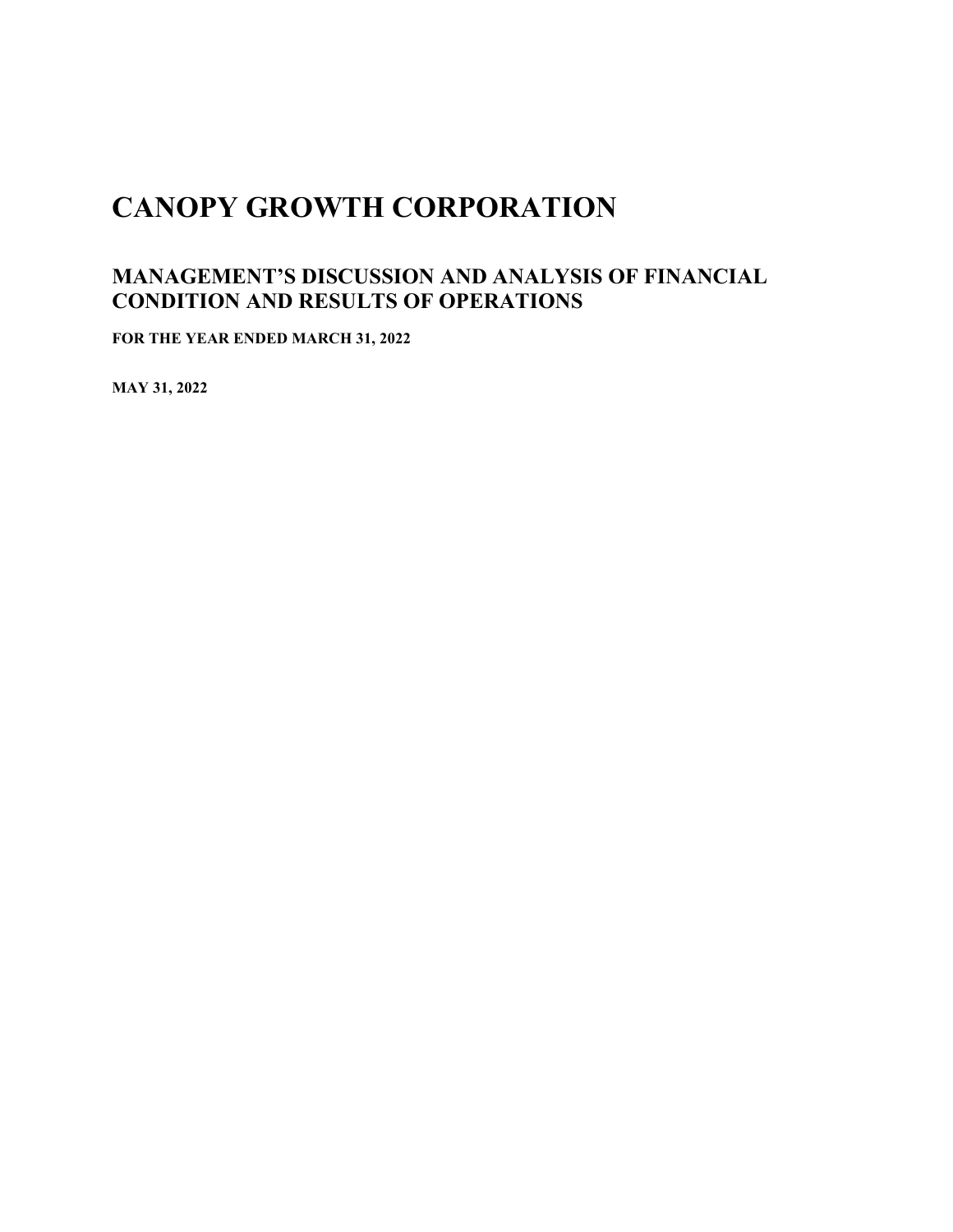# **CANOPY GROWTH CORPORATION**

# **MANAGEMENT'S DISCUSSION AND ANALYSIS OF FINANCIAL CONDITION AND RESULTS OF OPERATIONS**

**FOR THE YEAR ENDED MARCH 31, 2022**

**MAY 31, 2022**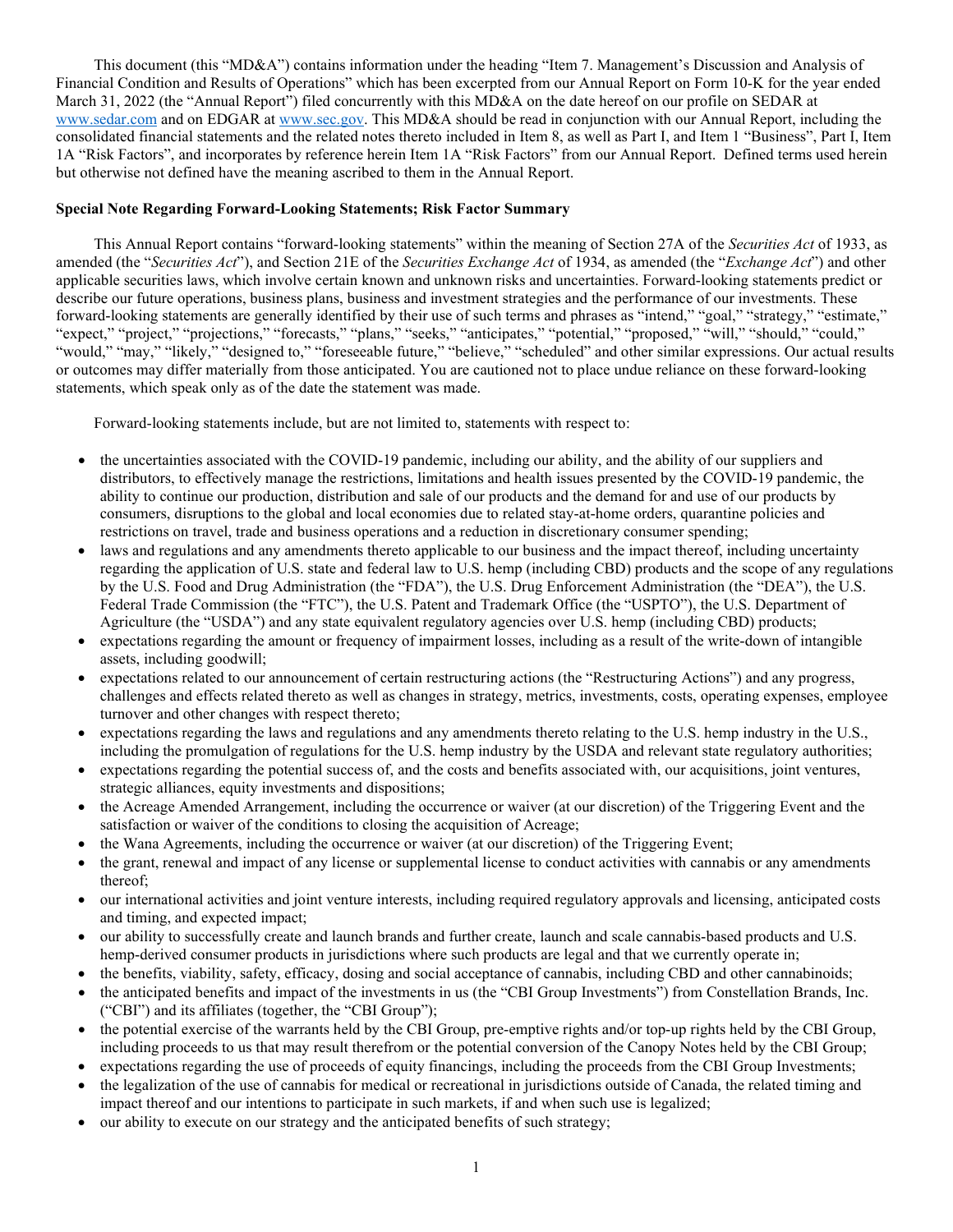This document (this "MD&A") contains information under the heading "Item 7. Management's Discussion and Analysis of Financial Condition and Results of Operations" which has been excerpted from our Annual Report on Form 10-K for the year ended March 31, 2022 (the "Annual Report") filed concurrently with this MD&A on the date hereof on our profile on SEDAR at [www.sedar.com](https://urldefense.proofpoint.com/v2/url?u=http-3A__www.sedar.com&d=DwQGaQ&c=UFQ_BMy7tXj0BMkmVOxFX4e3i90RZMjSpqUlPwQ3gLk&r=_GFW_QSZx7G4zKKrE50k5gNf-NfdQzSwr8VeoyKh-Do&m=QwbhpAxTsEijd5WgTNdsMDkgkr4HeG5ehK-0n6jLmh8&s=g03jnOTETKCEAgXEVoxoEiAfce577o1t5Z2s_QnA-5M&e=) and on EDGAR at [www.sec.gov.](https://urldefense.proofpoint.com/v2/url?u=http-3A__www.sec.gov&d=DwQGaQ&c=UFQ_BMy7tXj0BMkmVOxFX4e3i90RZMjSpqUlPwQ3gLk&r=_GFW_QSZx7G4zKKrE50k5gNf-NfdQzSwr8VeoyKh-Do&m=QwbhpAxTsEijd5WgTNdsMDkgkr4HeG5ehK-0n6jLmh8&s=KkoeDthi4bc2zzabUzVe5Tz5TaQ-dFh9QDs20ij9rPI&e=) This MD&A should be read in conjunction with our Annual Report, including the consolidated financial statements and the related notes thereto included in Item 8, as well as Part I, and Item 1 "Business", Part I, Item 1A "Risk Factors", and incorporates by reference herein Item 1A "Risk Factors" from our Annual Report. Defined terms used herein but otherwise not defined have the meaning ascribed to them in the Annual Report.

# **Special Note Regarding Forward-Looking Statements; Risk Factor Summary**

This Annual Report contains "forward-looking statements" within the meaning of Section 27A of the *Securities Act* of 1933, as amended (the "*Securities Act*"), and Section 21E of the *Securities Exchange Act* of 1934, as amended (the "*Exchange Act*") and other applicable securities laws, which involve certain known and unknown risks and uncertainties. Forward-looking statements predict or describe our future operations, business plans, business and investment strategies and the performance of our investments. These forward-looking statements are generally identified by their use of such terms and phrases as "intend," "goal," "strategy," "estimate," "expect," "project," "projections," "forecasts," "plans," "seeks," "anticipates," "potential," "proposed," "will," "should," "could," "would," "may," "likely," "designed to," "foreseeable future," "believe," "scheduled" and other similar expressions. Our actual results or outcomes may differ materially from those anticipated. You are cautioned not to place undue reliance on these forward-looking statements, which speak only as of the date the statement was made.

Forward-looking statements include, but are not limited to, statements with respect to:

- the uncertainties associated with the COVID-19 pandemic, including our ability, and the ability of our suppliers and distributors, to effectively manage the restrictions, limitations and health issues presented by the COVID-19 pandemic, the ability to continue our production, distribution and sale of our products and the demand for and use of our products by consumers, disruptions to the global and local economies due to related stay-at-home orders, quarantine policies and restrictions on travel, trade and business operations and a reduction in discretionary consumer spending;
- laws and regulations and any amendments thereto applicable to our business and the impact thereof, including uncertainty regarding the application of U.S. state and federal law to U.S. hemp (including CBD) products and the scope of any regulations by the U.S. Food and Drug Administration (the "FDA"), the U.S. Drug Enforcement Administration (the "DEA"), the U.S. Federal Trade Commission (the "FTC"), the U.S. Patent and Trademark Office (the "USPTO"), the U.S. Department of Agriculture (the "USDA") and any state equivalent regulatory agencies over U.S. hemp (including CBD) products;
- expectations regarding the amount or frequency of impairment losses, including as a result of the write-down of intangible assets, including goodwill;
- expectations related to our announcement of certain restructuring actions (the "Restructuring Actions") and any progress, challenges and effects related thereto as well as changes in strategy, metrics, investments, costs, operating expenses, employee turnover and other changes with respect thereto;
- expectations regarding the laws and regulations and any amendments thereto relating to the U.S. hemp industry in the U.S., including the promulgation of regulations for the U.S. hemp industry by the USDA and relevant state regulatory authorities;
- expectations regarding the potential success of, and the costs and benefits associated with, our acquisitions, joint ventures, strategic alliances, equity investments and dispositions;
- the Acreage Amended Arrangement, including the occurrence or waiver (at our discretion) of the Triggering Event and the satisfaction or waiver of the conditions to closing the acquisition of Acreage;
- the Wana Agreements, including the occurrence or waiver (at our discretion) of the Triggering Event;
- the grant, renewal and impact of any license or supplemental license to conduct activities with cannabis or any amendments thereof;
- our international activities and joint venture interests, including required regulatory approvals and licensing, anticipated costs and timing, and expected impact;
- our ability to successfully create and launch brands and further create, launch and scale cannabis-based products and U.S. hemp-derived consumer products in jurisdictions where such products are legal and that we currently operate in;
- the benefits, viability, safety, efficacy, dosing and social acceptance of cannabis, including CBD and other cannabinoids;
- the anticipated benefits and impact of the investments in us (the "CBI Group Investments") from Constellation Brands, Inc. ("CBI") and its affiliates (together, the "CBI Group");
- the potential exercise of the warrants held by the CBI Group, pre-emptive rights and/or top-up rights held by the CBI Group, including proceeds to us that may result therefrom or the potential conversion of the Canopy Notes held by the CBI Group;
- expectations regarding the use of proceeds of equity financings, including the proceeds from the CBI Group Investments;
- the legalization of the use of cannabis for medical or recreational in jurisdictions outside of Canada, the related timing and impact thereof and our intentions to participate in such markets, if and when such use is legalized;
- our ability to execute on our strategy and the anticipated benefits of such strategy;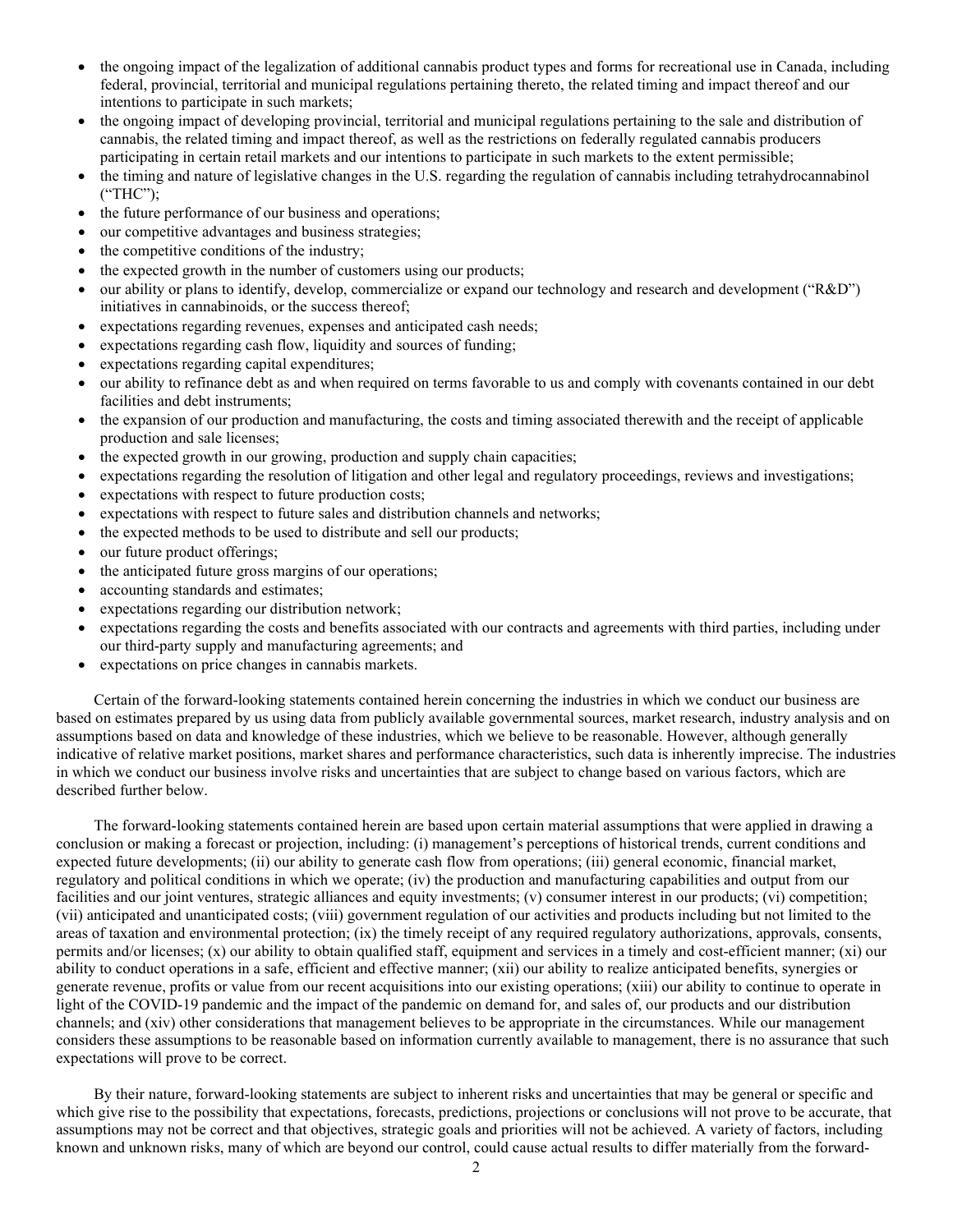- the ongoing impact of the legalization of additional cannabis product types and forms for recreational use in Canada, including federal, provincial, territorial and municipal regulations pertaining thereto, the related timing and impact thereof and our intentions to participate in such markets;
- the ongoing impact of developing provincial, territorial and municipal regulations pertaining to the sale and distribution of cannabis, the related timing and impact thereof, as well as the restrictions on federally regulated cannabis producers participating in certain retail markets and our intentions to participate in such markets to the extent permissible;
- the timing and nature of legislative changes in the U.S. regarding the regulation of cannabis including tetrahydrocannabinol ("THC");
- the future performance of our business and operations;
- our competitive advantages and business strategies;
- the competitive conditions of the industry;
- the expected growth in the number of customers using our products;
- our ability or plans to identify, develop, commercialize or expand our technology and research and development ("R&D") initiatives in cannabinoids, or the success thereof;
- expectations regarding revenues, expenses and anticipated cash needs;
- expectations regarding cash flow, liquidity and sources of funding;
- expectations regarding capital expenditures;
- our ability to refinance debt as and when required on terms favorable to us and comply with covenants contained in our debt facilities and debt instruments;
- the expansion of our production and manufacturing, the costs and timing associated therewith and the receipt of applicable production and sale licenses;
- the expected growth in our growing, production and supply chain capacities;
- expectations regarding the resolution of litigation and other legal and regulatory proceedings, reviews and investigations;
- expectations with respect to future production costs;
- expectations with respect to future sales and distribution channels and networks;
- the expected methods to be used to distribute and sell our products;
- our future product offerings;
- the anticipated future gross margins of our operations;
- accounting standards and estimates;
- expectations regarding our distribution network;
- expectations regarding the costs and benefits associated with our contracts and agreements with third parties, including under our third-party supply and manufacturing agreements; and
- expectations on price changes in cannabis markets.

Certain of the forward-looking statements contained herein concerning the industries in which we conduct our business are based on estimates prepared by us using data from publicly available governmental sources, market research, industry analysis and on assumptions based on data and knowledge of these industries, which we believe to be reasonable. However, although generally indicative of relative market positions, market shares and performance characteristics, such data is inherently imprecise. The industries in which we conduct our business involve risks and uncertainties that are subject to change based on various factors, which are described further below.

The forward-looking statements contained herein are based upon certain material assumptions that were applied in drawing a conclusion or making a forecast or projection, including: (i) management's perceptions of historical trends, current conditions and expected future developments; (ii) our ability to generate cash flow from operations; (iii) general economic, financial market, regulatory and political conditions in which we operate; (iv) the production and manufacturing capabilities and output from our facilities and our joint ventures, strategic alliances and equity investments; (v) consumer interest in our products; (vi) competition; (vii) anticipated and unanticipated costs; (viii) government regulation of our activities and products including but not limited to the areas of taxation and environmental protection; (ix) the timely receipt of any required regulatory authorizations, approvals, consents, permits and/or licenses; (x) our ability to obtain qualified staff, equipment and services in a timely and cost-efficient manner; (xi) our ability to conduct operations in a safe, efficient and effective manner; (xii) our ability to realize anticipated benefits, synergies or generate revenue, profits or value from our recent acquisitions into our existing operations; (xiii) our ability to continue to operate in light of the COVID-19 pandemic and the impact of the pandemic on demand for, and sales of, our products and our distribution channels; and (xiv) other considerations that management believes to be appropriate in the circumstances. While our management considers these assumptions to be reasonable based on information currently available to management, there is no assurance that such expectations will prove to be correct.

By their nature, forward-looking statements are subject to inherent risks and uncertainties that may be general or specific and which give rise to the possibility that expectations, forecasts, predictions, projections or conclusions will not prove to be accurate, that assumptions may not be correct and that objectives, strategic goals and priorities will not be achieved. A variety of factors, including known and unknown risks, many of which are beyond our control, could cause actual results to differ materially from the forward-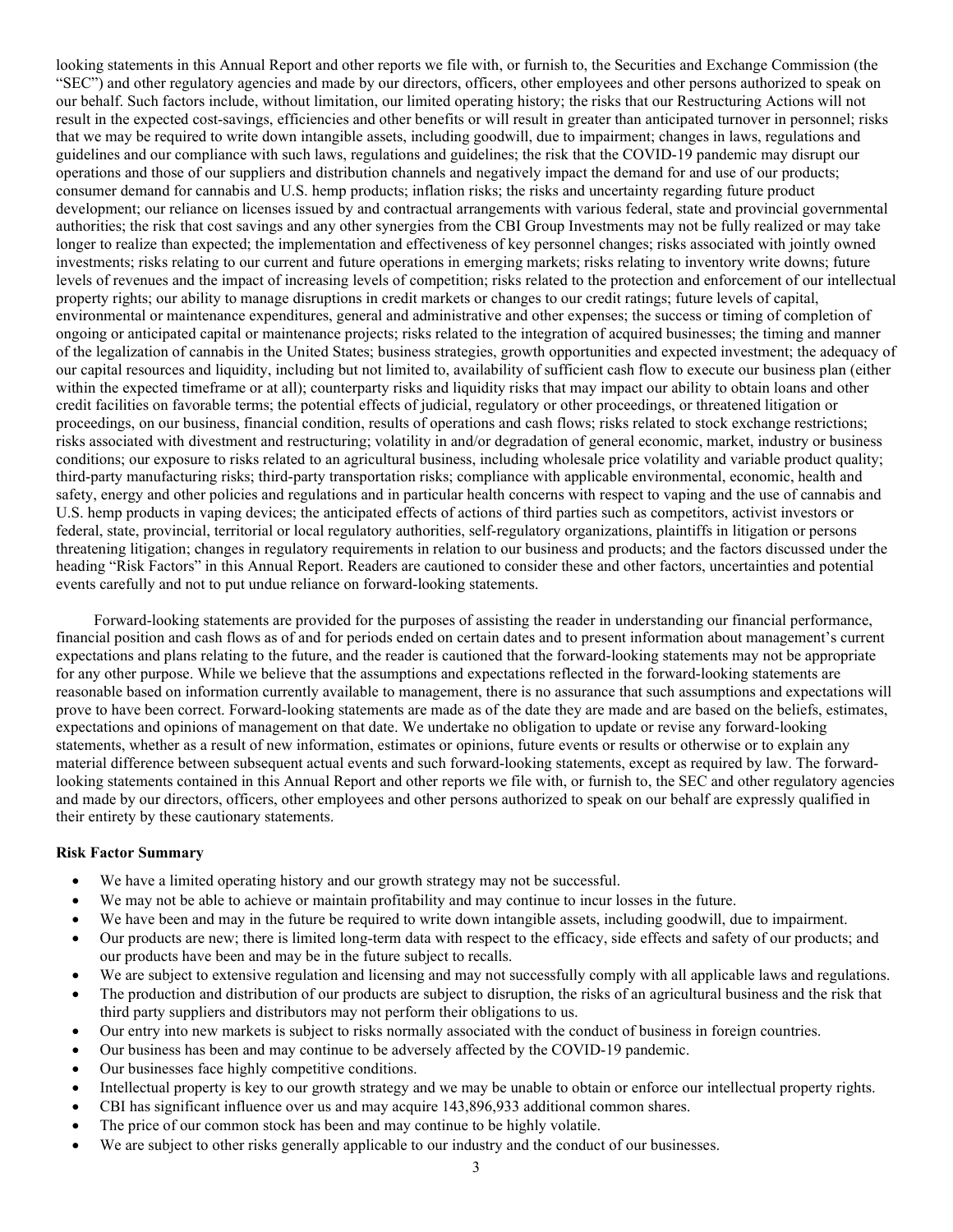looking statements in this Annual Report and other reports we file with, or furnish to, the Securities and Exchange Commission (the "SEC") and other regulatory agencies and made by our directors, officers, other employees and other persons authorized to speak on our behalf. Such factors include, without limitation, our limited operating history; the risks that our Restructuring Actions will not result in the expected cost-savings, efficiencies and other benefits or will result in greater than anticipated turnover in personnel; risks that we may be required to write down intangible assets, including goodwill, due to impairment; changes in laws, regulations and guidelines and our compliance with such laws, regulations and guidelines; the risk that the COVID-19 pandemic may disrupt our operations and those of our suppliers and distribution channels and negatively impact the demand for and use of our products; consumer demand for cannabis and U.S. hemp products; inflation risks; the risks and uncertainty regarding future product development; our reliance on licenses issued by and contractual arrangements with various federal, state and provincial governmental authorities; the risk that cost savings and any other synergies from the CBI Group Investments may not be fully realized or may take longer to realize than expected; the implementation and effectiveness of key personnel changes; risks associated with jointly owned investments; risks relating to our current and future operations in emerging markets; risks relating to inventory write downs; future levels of revenues and the impact of increasing levels of competition; risks related to the protection and enforcement of our intellectual property rights; our ability to manage disruptions in credit markets or changes to our credit ratings; future levels of capital, environmental or maintenance expenditures, general and administrative and other expenses; the success or timing of completion of ongoing or anticipated capital or maintenance projects; risks related to the integration of acquired businesses; the timing and manner of the legalization of cannabis in the United States; business strategies, growth opportunities and expected investment; the adequacy of our capital resources and liquidity, including but not limited to, availability of sufficient cash flow to execute our business plan (either within the expected timeframe or at all); counterparty risks and liquidity risks that may impact our ability to obtain loans and other credit facilities on favorable terms; the potential effects of judicial, regulatory or other proceedings, or threatened litigation or proceedings, on our business, financial condition, results of operations and cash flows; risks related to stock exchange restrictions; risks associated with divestment and restructuring; volatility in and/or degradation of general economic, market, industry or business conditions; our exposure to risks related to an agricultural business, including wholesale price volatility and variable product quality; third-party manufacturing risks; third-party transportation risks; compliance with applicable environmental, economic, health and safety, energy and other policies and regulations and in particular health concerns with respect to vaping and the use of cannabis and U.S. hemp products in vaping devices; the anticipated effects of actions of third parties such as competitors, activist investors or federal, state, provincial, territorial or local regulatory authorities, self-regulatory organizations, plaintiffs in litigation or persons threatening litigation; changes in regulatory requirements in relation to our business and products; and the factors discussed under the heading "Risk Factors" in this Annual Report. Readers are cautioned to consider these and other factors, uncertainties and potential events carefully and not to put undue reliance on forward-looking statements.

Forward-looking statements are provided for the purposes of assisting the reader in understanding our financial performance, financial position and cash flows as of and for periods ended on certain dates and to present information about management's current expectations and plans relating to the future, and the reader is cautioned that the forward-looking statements may not be appropriate for any other purpose. While we believe that the assumptions and expectations reflected in the forward-looking statements are reasonable based on information currently available to management, there is no assurance that such assumptions and expectations will prove to have been correct. Forward-looking statements are made as of the date they are made and are based on the beliefs, estimates, expectations and opinions of management on that date. We undertake no obligation to update or revise any forward-looking statements, whether as a result of new information, estimates or opinions, future events or results or otherwise or to explain any material difference between subsequent actual events and such forward-looking statements, except as required by law. The forwardlooking statements contained in this Annual Report and other reports we file with, or furnish to, the SEC and other regulatory agencies and made by our directors, officers, other employees and other persons authorized to speak on our behalf are expressly qualified in their entirety by these cautionary statements.

# **Risk Factor Summary**

- We have a limited operating history and our growth strategy may not be successful.
- We may not be able to achieve or maintain profitability and may continue to incur losses in the future.
- We have been and may in the future be required to write down intangible assets, including goodwill, due to impairment.
- Our products are new; there is limited long-term data with respect to the efficacy, side effects and safety of our products; and our products have been and may be in the future subject to recalls.
- We are subject to extensive regulation and licensing and may not successfully comply with all applicable laws and regulations.
- The production and distribution of our products are subject to disruption, the risks of an agricultural business and the risk that third party suppliers and distributors may not perform their obligations to us.
- Our entry into new markets is subject to risks normally associated with the conduct of business in foreign countries.
- Our business has been and may continue to be adversely affected by the COVID-19 pandemic.
- Our businesses face highly competitive conditions.
- Intellectual property is key to our growth strategy and we may be unable to obtain or enforce our intellectual property rights.
- CBI has significant influence over us and may acquire 143,896,933 additional common shares.
- The price of our common stock has been and may continue to be highly volatile.
- We are subject to other risks generally applicable to our industry and the conduct of our businesses.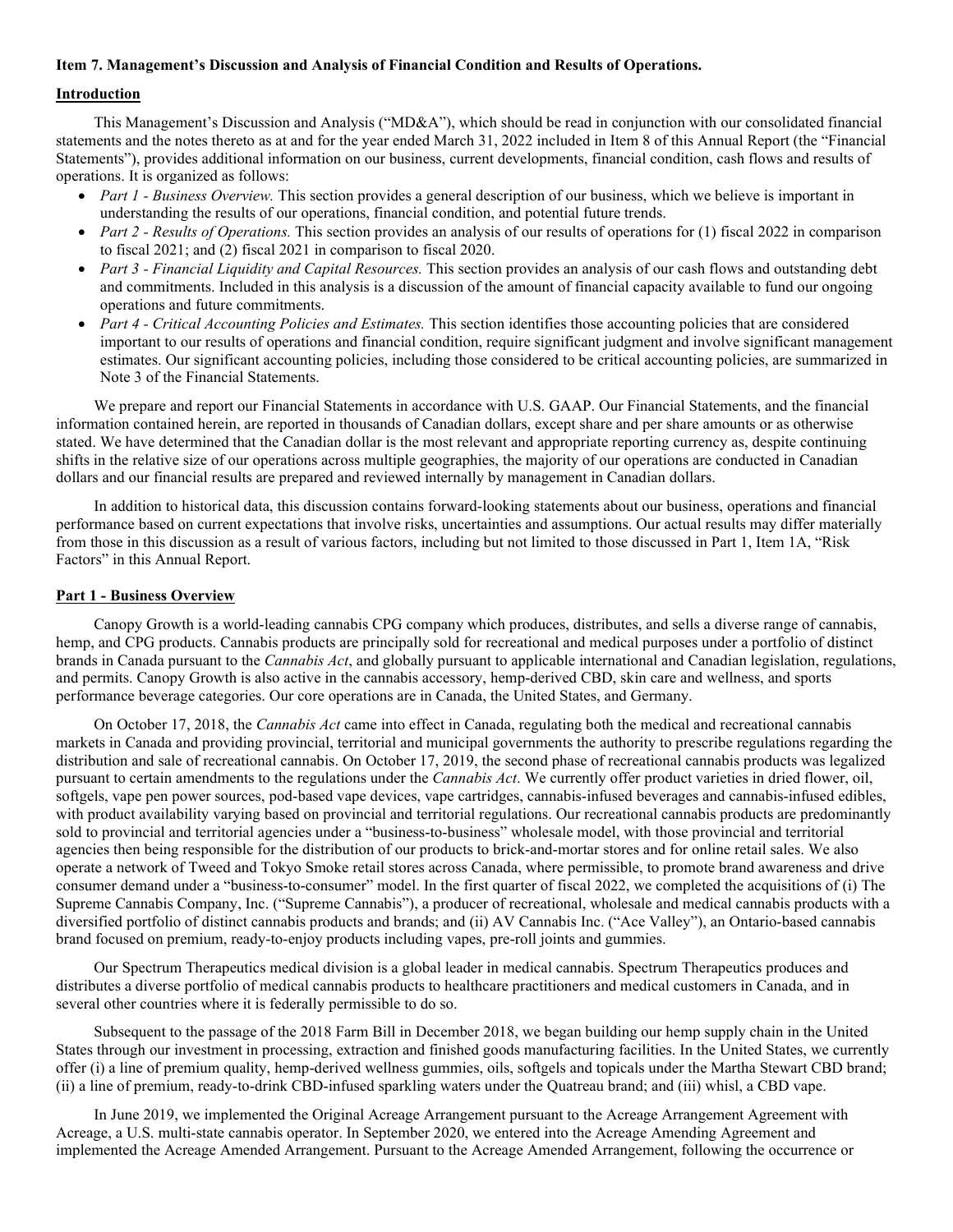# **Item 7. Management's Discussion and Analysis of Financial Condition and Results of Operations.**

# **Introduction**

This Management's Discussion and Analysis ("MD&A"), which should be read in conjunction with our consolidated financial statements and the notes thereto as at and for the year ended March 31, 2022 included in Item 8 of this Annual Report (the "Financial Statements"), provides additional information on our business, current developments, financial condition, cash flows and results of operations. It is organized as follows:

- *Part 1 Business Overview*. This section provides a general description of our business, which we believe is important in understanding the results of our operations, financial condition, and potential future trends.
- *Part 2 Results of Operations*. This section provides an analysis of our results of operations for (1) fiscal 2022 in comparison to fiscal 2021; and (2) fiscal 2021 in comparison to fiscal 2020.
- *Part 3 Financial Liquidity and Capital Resources.* This section provides an analysis of our cash flows and outstanding debt and commitments. Included in this analysis is a discussion of the amount of financial capacity available to fund our ongoing operations and future commitments.
- *Part 4 Critical Accounting Policies and Estimates.* This section identifies those accounting policies that are considered important to our results of operations and financial condition, require significant judgment and involve significant management estimates. Our significant accounting policies, including those considered to be critical accounting policies, are summarized in Note 3 of the Financial Statements.

We prepare and report our Financial Statements in accordance with U.S. GAAP. Our Financial Statements, and the financial information contained herein, are reported in thousands of Canadian dollars, except share and per share amounts or as otherwise stated. We have determined that the Canadian dollar is the most relevant and appropriate reporting currency as, despite continuing shifts in the relative size of our operations across multiple geographies, the majority of our operations are conducted in Canadian dollars and our financial results are prepared and reviewed internally by management in Canadian dollars.

In addition to historical data, this discussion contains forward-looking statements about our business, operations and financial performance based on current expectations that involve risks, uncertainties and assumptions. Our actual results may differ materially from those in this discussion as a result of various factors, including but not limited to those discussed in Part 1, Item 1A, "Risk Factors" in this Annual Report.

# **Part 1 - Business Overview**

Canopy Growth is a world-leading cannabis CPG company which produces, distributes, and sells a diverse range of cannabis, hemp, and CPG products. Cannabis products are principally sold for recreational and medical purposes under a portfolio of distinct brands in Canada pursuant to the *Cannabis Act*, and globally pursuant to applicable international and Canadian legislation, regulations, and permits. Canopy Growth is also active in the cannabis accessory, hemp-derived CBD, skin care and wellness, and sports performance beverage categories. Our core operations are in Canada, the United States, and Germany.

On October 17, 2018, the *Cannabis Act* came into effect in Canada, regulating both the medical and recreational cannabis markets in Canada and providing provincial, territorial and municipal governments the authority to prescribe regulations regarding the distribution and sale of recreational cannabis. On October 17, 2019, the second phase of recreational cannabis products was legalized pursuant to certain amendments to the regulations under the *Cannabis Act*. We currently offer product varieties in dried flower, oil, softgels, vape pen power sources, pod-based vape devices, vape cartridges, cannabis-infused beverages and cannabis-infused edibles, with product availability varying based on provincial and territorial regulations. Our recreational cannabis products are predominantly sold to provincial and territorial agencies under a "business-to-business" wholesale model, with those provincial and territorial agencies then being responsible for the distribution of our products to brick-and-mortar stores and for online retail sales. We also operate a network of Tweed and Tokyo Smoke retail stores across Canada, where permissible, to promote brand awareness and drive consumer demand under a "business-to-consumer" model. In the first quarter of fiscal 2022, we completed the acquisitions of (i) The Supreme Cannabis Company, Inc. ("Supreme Cannabis"), a producer of recreational, wholesale and medical cannabis products with a diversified portfolio of distinct cannabis products and brands; and (ii) AV Cannabis Inc. ("Ace Valley"), an Ontario-based cannabis brand focused on premium, ready-to-enjoy products including vapes, pre-roll joints and gummies.

Our Spectrum Therapeutics medical division is a global leader in medical cannabis. Spectrum Therapeutics produces and distributes a diverse portfolio of medical cannabis products to healthcare practitioners and medical customers in Canada, and in several other countries where it is federally permissible to do so.

Subsequent to the passage of the 2018 Farm Bill in December 2018, we began building our hemp supply chain in the United States through our investment in processing, extraction and finished goods manufacturing facilities. In the United States, we currently offer (i) a line of premium quality, hemp-derived wellness gummies, oils, softgels and topicals under the Martha Stewart CBD brand; (ii) a line of premium, ready-to-drink CBD-infused sparkling waters under the Quatreau brand; and (iii) whisl, a CBD vape.

In June 2019, we implemented the Original Acreage Arrangement pursuant to the Acreage Arrangement Agreement with Acreage, a U.S. multi-state cannabis operator. In September 2020, we entered into the Acreage Amending Agreement and implemented the Acreage Amended Arrangement. Pursuant to the Acreage Amended Arrangement, following the occurrence or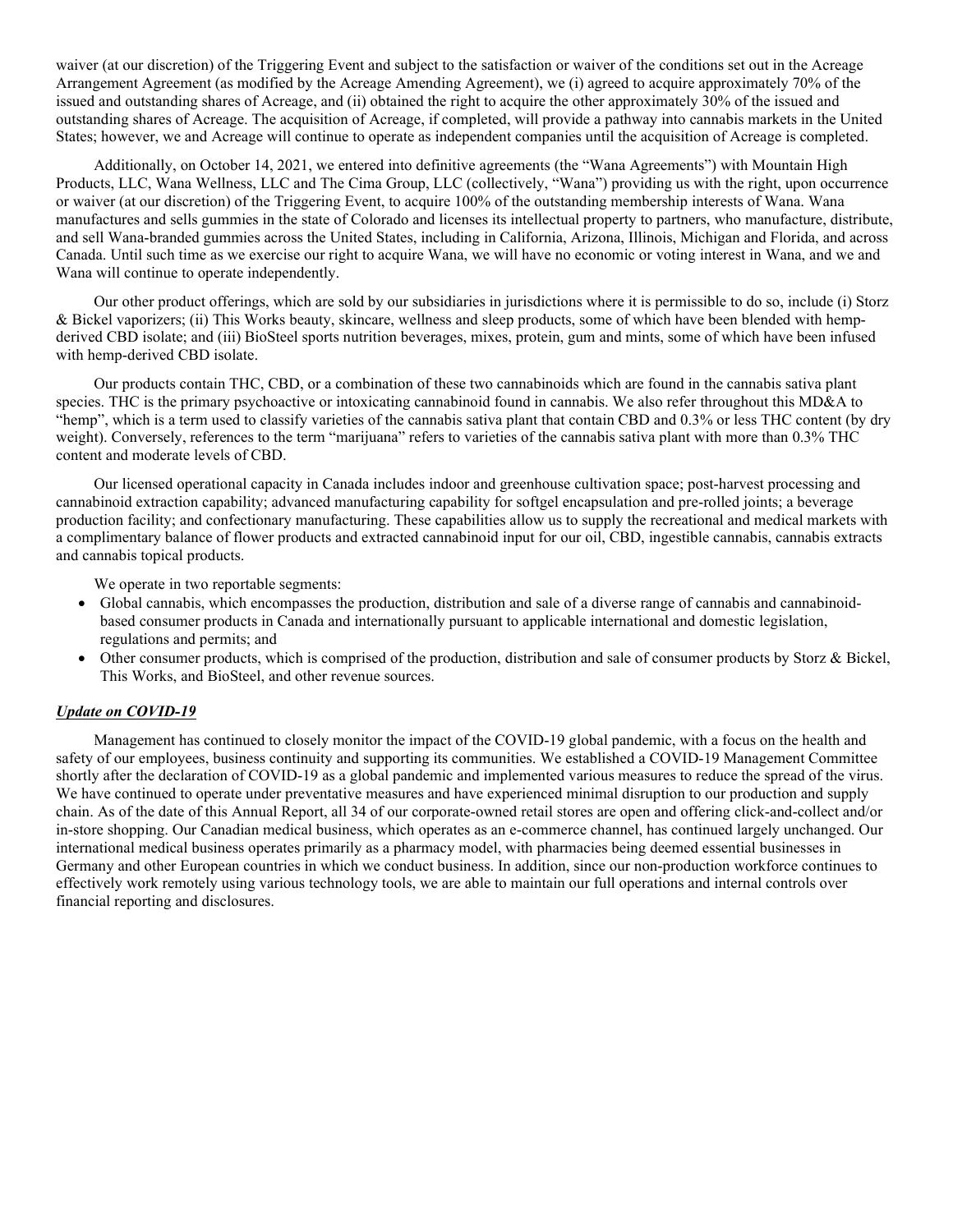waiver (at our discretion) of the Triggering Event and subject to the satisfaction or waiver of the conditions set out in the Acreage Arrangement Agreement (as modified by the Acreage Amending Agreement), we (i) agreed to acquire approximately 70% of the issued and outstanding shares of Acreage, and (ii) obtained the right to acquire the other approximately 30% of the issued and outstanding shares of Acreage. The acquisition of Acreage, if completed, will provide a pathway into cannabis markets in the United States; however, we and Acreage will continue to operate as independent companies until the acquisition of Acreage is completed.

Additionally, on October 14, 2021, we entered into definitive agreements (the "Wana Agreements") with Mountain High Products, LLC, Wana Wellness, LLC and The Cima Group, LLC (collectively, "Wana") providing us with the right, upon occurrence or waiver (at our discretion) of the Triggering Event, to acquire 100% of the outstanding membership interests of Wana. Wana manufactures and sells gummies in the state of Colorado and licenses its intellectual property to partners, who manufacture, distribute, and sell Wana-branded gummies across the United States, including in California, Arizona, Illinois, Michigan and Florida, and across Canada. Until such time as we exercise our right to acquire Wana, we will have no economic or voting interest in Wana, and we and Wana will continue to operate independently.

Our other product offerings, which are sold by our subsidiaries in jurisdictions where it is permissible to do so, include (i) Storz & Bickel vaporizers; (ii) This Works beauty, skincare, wellness and sleep products, some of which have been blended with hempderived CBD isolate; and (iii) BioSteel sports nutrition beverages, mixes, protein, gum and mints, some of which have been infused with hemp-derived CBD isolate.

Our products contain THC, CBD, or a combination of these two cannabinoids which are found in the cannabis sativa plant species. THC is the primary psychoactive or intoxicating cannabinoid found in cannabis. We also refer throughout this MD&A to "hemp", which is a term used to classify varieties of the cannabis sativa plant that contain CBD and 0.3% or less THC content (by dry weight). Conversely, references to the term "marijuana" refers to varieties of the cannabis sativa plant with more than 0.3% THC content and moderate levels of CBD.

Our licensed operational capacity in Canada includes indoor and greenhouse cultivation space; post-harvest processing and cannabinoid extraction capability; advanced manufacturing capability for softgel encapsulation and pre-rolled joints; a beverage production facility; and confectionary manufacturing. These capabilities allow us to supply the recreational and medical markets with a complimentary balance of flower products and extracted cannabinoid input for our oil, CBD, ingestible cannabis, cannabis extracts and cannabis topical products.

We operate in two reportable segments:

- Global cannabis, which encompasses the production, distribution and sale of a diverse range of cannabis and cannabinoidbased consumer products in Canada and internationally pursuant to applicable international and domestic legislation, regulations and permits; and
- Other consumer products, which is comprised of the production, distribution and sale of consumer products by Storz & Bickel, This Works, and BioSteel, and other revenue sources.

# *Update on COVID-19*

Management has continued to closely monitor the impact of the COVID-19 global pandemic, with a focus on the health and safety of our employees, business continuity and supporting its communities. We established a COVID-19 Management Committee shortly after the declaration of COVID-19 as a global pandemic and implemented various measures to reduce the spread of the virus. We have continued to operate under preventative measures and have experienced minimal disruption to our production and supply chain. As of the date of this Annual Report, all 34 of our corporate-owned retail stores are open and offering click-and-collect and/or in-store shopping. Our Canadian medical business, which operates as an e-commerce channel, has continued largely unchanged. Our international medical business operates primarily as a pharmacy model, with pharmacies being deemed essential businesses in Germany and other European countries in which we conduct business. In addition, since our non-production workforce continues to effectively work remotely using various technology tools, we are able to maintain our full operations and internal controls over financial reporting and disclosures.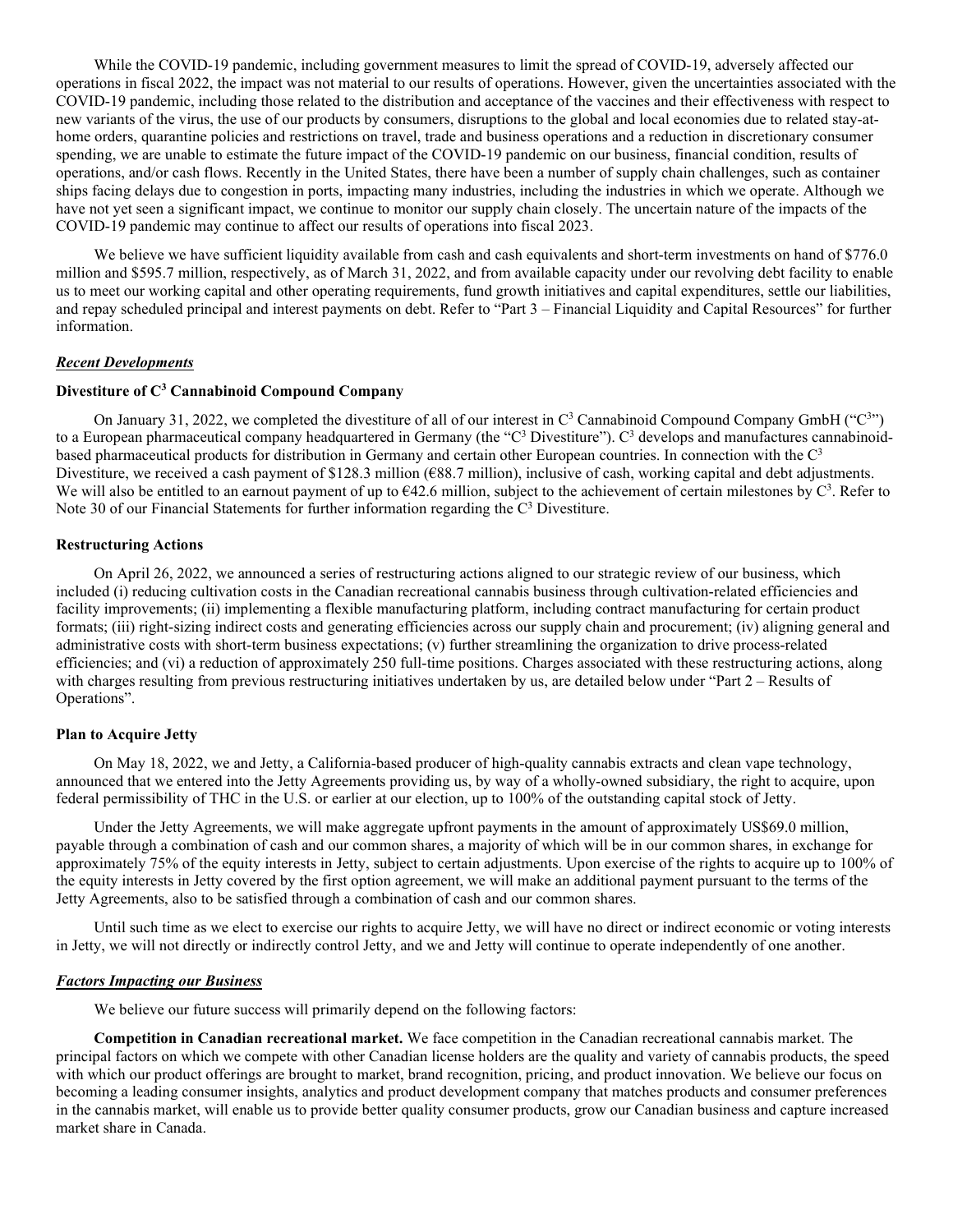While the COVID-19 pandemic, including government measures to limit the spread of COVID-19, adversely affected our operations in fiscal 2022, the impact was not material to our results of operations. However, given the uncertainties associated with the COVID-19 pandemic, including those related to the distribution and acceptance of the vaccines and their effectiveness with respect to new variants of the virus, the use of our products by consumers, disruptions to the global and local economies due to related stay-athome orders, quarantine policies and restrictions on travel, trade and business operations and a reduction in discretionary consumer spending, we are unable to estimate the future impact of the COVID-19 pandemic on our business, financial condition, results of operations, and/or cash flows. Recently in the United States, there have been a number of supply chain challenges, such as container ships facing delays due to congestion in ports, impacting many industries, including the industries in which we operate. Although we have not yet seen a significant impact, we continue to monitor our supply chain closely. The uncertain nature of the impacts of the COVID-19 pandemic may continue to affect our results of operations into fiscal 2023.

We believe we have sufficient liquidity available from cash and cash equivalents and short-term investments on hand of \$776.0 million and \$595.7 million, respectively, as of March 31, 2022, and from available capacity under our revolving debt facility to enable us to meet our working capital and other operating requirements, fund growth initiatives and capital expenditures, settle our liabilities, and repay scheduled principal and interest payments on debt. Refer to "Part 3 – Financial Liquidity and Capital Resources" for further information.

# *Recent Developments*

# **Divestiture of C3 Cannabinoid Compound Company**

On January 31, 2022, we completed the divestiture of all of our interest in  $C^3$  Cannabinoid Compound Company GmbH ("C<sup>3</sup>") to a European pharmaceutical company headquartered in Germany (the "C<sup>3</sup> Divestiture"). C<sup>3</sup> develops and manufactures cannabinoidbased pharmaceutical products for distribution in Germany and certain other European countries. In connection with the C3 Divestiture, we received a cash payment of \$128.3 million ( $\epsilon$ 88.7 million), inclusive of cash, working capital and debt adjustments. We will also be entitled to an earnout payment of up to  $642.6$  million, subject to the achievement of certain milestones by  $C^3$ . Refer to Note 30 of our Financial Statements for further information regarding the  $C<sup>3</sup>$  Divestiture.

#### **Restructuring Actions**

On April 26, 2022, we announced a series of restructuring actions aligned to our strategic review of our business, which included (i) reducing cultivation costs in the Canadian recreational cannabis business through cultivation-related efficiencies and facility improvements; (ii) implementing a flexible manufacturing platform, including contract manufacturing for certain product formats; (iii) right-sizing indirect costs and generating efficiencies across our supply chain and procurement; (iv) aligning general and administrative costs with short-term business expectations; (v) further streamlining the organization to drive process-related efficiencies; and (vi) a reduction of approximately 250 full-time positions. Charges associated with these restructuring actions, along with charges resulting from previous restructuring initiatives undertaken by us, are detailed below under "Part 2 – Results of Operations".

#### **Plan to Acquire Jetty**

On May 18, 2022, we and Jetty, a California-based producer of high-quality cannabis extracts and clean vape technology, announced that we entered into the Jetty Agreements providing us, by way of a wholly-owned subsidiary, the right to acquire, upon federal permissibility of THC in the U.S. or earlier at our election, up to 100% of the outstanding capital stock of Jetty.

Under the Jetty Agreements, we will make aggregate upfront payments in the amount of approximately US\$69.0 million, payable through a combination of cash and our common shares, a majority of which will be in our common shares, in exchange for approximately 75% of the equity interests in Jetty, subject to certain adjustments. Upon exercise of the rights to acquire up to 100% of the equity interests in Jetty covered by the first option agreement, we will make an additional payment pursuant to the terms of the Jetty Agreements, also to be satisfied through a combination of cash and our common shares.

Until such time as we elect to exercise our rights to acquire Jetty, we will have no direct or indirect economic or voting interests in Jetty, we will not directly or indirectly control Jetty, and we and Jetty will continue to operate independently of one another.

#### *Factors Impacting our Business*

We believe our future success will primarily depend on the following factors:

**Competition in Canadian recreational market.** We face competition in the Canadian recreational cannabis market. The principal factors on which we compete with other Canadian license holders are the quality and variety of cannabis products, the speed with which our product offerings are brought to market, brand recognition, pricing, and product innovation. We believe our focus on becoming a leading consumer insights, analytics and product development company that matches products and consumer preferences in the cannabis market, will enable us to provide better quality consumer products, grow our Canadian business and capture increased market share in Canada.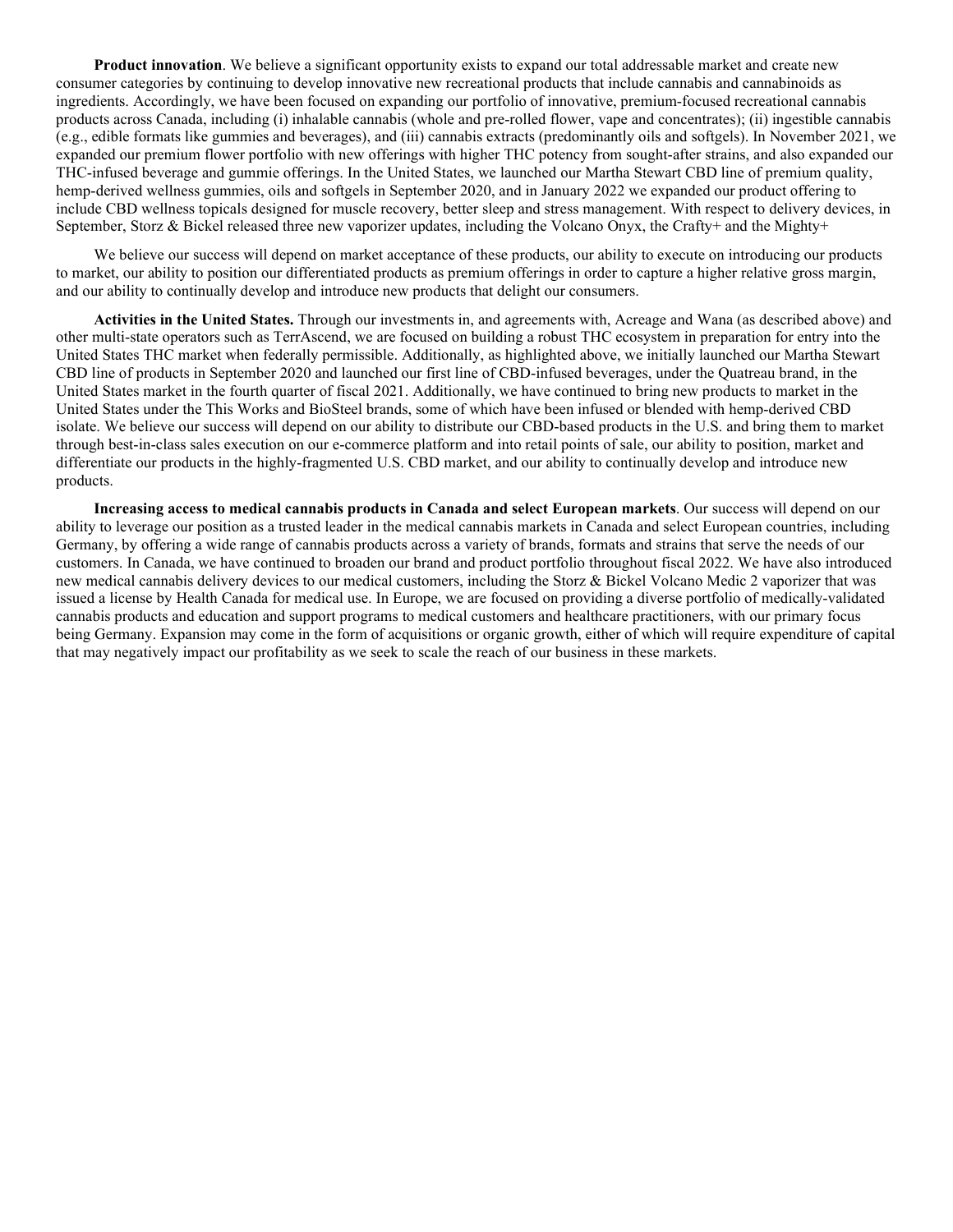**Product innovation**. We believe a significant opportunity exists to expand our total addressable market and create new consumer categories by continuing to develop innovative new recreational products that include cannabis and cannabinoids as ingredients. Accordingly, we have been focused on expanding our portfolio of innovative, premium-focused recreational cannabis products across Canada, including (i) inhalable cannabis (whole and pre-rolled flower, vape and concentrates); (ii) ingestible cannabis (e.g., edible formats like gummies and beverages), and (iii) cannabis extracts (predominantly oils and softgels). In November 2021, we expanded our premium flower portfolio with new offerings with higher THC potency from sought-after strains, and also expanded our THC-infused beverage and gummie offerings. In the United States, we launched our Martha Stewart CBD line of premium quality, hemp-derived wellness gummies, oils and softgels in September 2020, and in January 2022 we expanded our product offering to include CBD wellness topicals designed for muscle recovery, better sleep and stress management. With respect to delivery devices, in September, Storz & Bickel released three new vaporizer updates, including the Volcano Onyx, the Crafty+ and the Mighty+

We believe our success will depend on market acceptance of these products, our ability to execute on introducing our products to market, our ability to position our differentiated products as premium offerings in order to capture a higher relative gross margin, and our ability to continually develop and introduce new products that delight our consumers.

**Activities in the United States.** Through our investments in, and agreements with, Acreage and Wana (as described above) and other multi-state operators such as TerrAscend, we are focused on building a robust THC ecosystem in preparation for entry into the United States THC market when federally permissible. Additionally, as highlighted above, we initially launched our Martha Stewart CBD line of products in September 2020 and launched our first line of CBD-infused beverages, under the Quatreau brand, in the United States market in the fourth quarter of fiscal 2021. Additionally, we have continued to bring new products to market in the United States under the This Works and BioSteel brands, some of which have been infused or blended with hemp-derived CBD isolate. We believe our success will depend on our ability to distribute our CBD-based products in the U.S. and bring them to market through best-in-class sales execution on our e-commerce platform and into retail points of sale, our ability to position, market and differentiate our products in the highly-fragmented U.S. CBD market, and our ability to continually develop and introduce new products.

**Increasing access to medical cannabis products in Canada and select European markets**. Our success will depend on our ability to leverage our position as a trusted leader in the medical cannabis markets in Canada and select European countries, including Germany, by offering a wide range of cannabis products across a variety of brands, formats and strains that serve the needs of our customers. In Canada, we have continued to broaden our brand and product portfolio throughout fiscal 2022. We have also introduced new medical cannabis delivery devices to our medical customers, including the Storz & Bickel Volcano Medic 2 vaporizer that was issued a license by Health Canada for medical use. In Europe, we are focused on providing a diverse portfolio of medically-validated cannabis products and education and support programs to medical customers and healthcare practitioners, with our primary focus being Germany. Expansion may come in the form of acquisitions or organic growth, either of which will require expenditure of capital that may negatively impact our profitability as we seek to scale the reach of our business in these markets.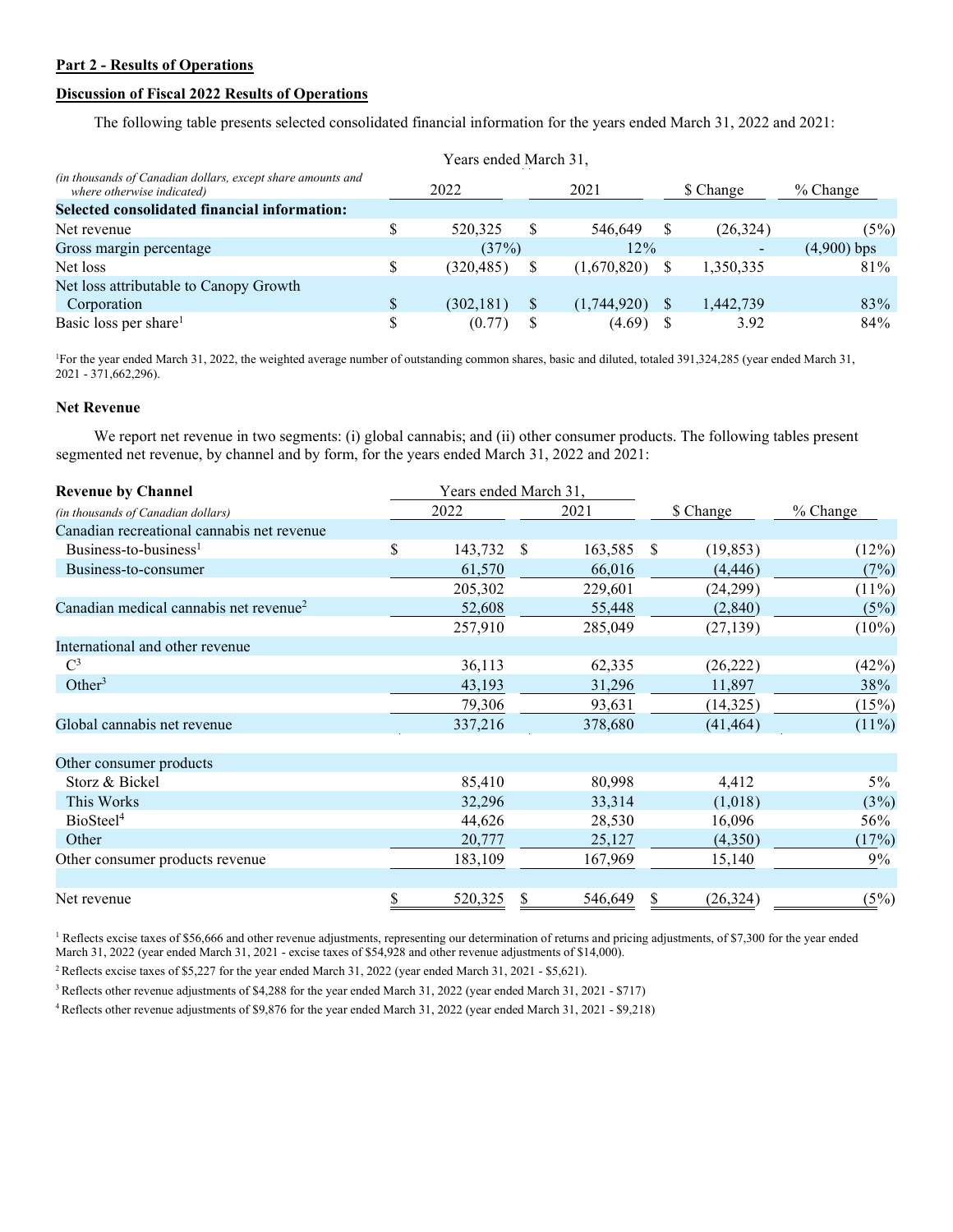# **Part 2 - Results of Operations**

# **Discussion of Fiscal 2022 Results of Operations**

The following table presents selected consolidated financial information for the years ended March 31, 2022 and 2021:

|                                                                                           | Years ended March 31, |            |   |             |          |           |               |
|-------------------------------------------------------------------------------------------|-----------------------|------------|---|-------------|----------|-----------|---------------|
| (in thousands of Canadian dollars, except share amounts and<br>where otherwise indicated) | 2021<br>2022          |            |   | \$ Change   |          | % Change  |               |
| Selected consolidated financial information:                                              |                       |            |   |             |          |           |               |
| Net revenue                                                                               | S                     | 520,325    | S | 546,649     | S        | (26, 324) | $(5\%)$       |
| Gross margin percentage                                                                   |                       | (37%)      |   | 12%         |          |           | $(4,900)$ bps |
| Net loss                                                                                  | \$                    | (320, 485) |   | (1,670,820) |          | 1,350,335 | 81\%          |
| Net loss attributable to Canopy Growth                                                    |                       |            |   |             |          |           |               |
| Corporation                                                                               | \$                    | (302, 181) | S | (1,744,920) | <b>S</b> | 1,442,739 | 83%           |
| Basic loss per share <sup>1</sup>                                                         | S                     | (0.77)     |   | (4.69)      |          | 3.92      | 84%           |

1 For the year ended March 31, 2022, the weighted average number of outstanding common shares, basic and diluted, totaled 391,324,285 (year ended March 31, 2021 - 371,662,296).

# **Net Revenue**

We report net revenue in two segments: (i) global cannabis; and (ii) other consumer products. The following tables present segmented net revenue, by channel and by form, for the years ended March 31, 2022 and 2021:

| <b>Revenue by Channel</b>                          | Years ended March 31, |         |      |         |    |           |          |
|----------------------------------------------------|-----------------------|---------|------|---------|----|-----------|----------|
| (in thousands of Canadian dollars)                 | 2022                  |         |      | 2021    |    | \$ Change | % Change |
| Canadian recreational cannabis net revenue         |                       |         |      |         |    |           |          |
| Business-to-business <sup>1</sup>                  | \$                    | 143,732 | - \$ | 163,585 | S  | (19, 853) | (12%)    |
| Business-to-consumer                               |                       | 61,570  |      | 66,016  |    | (4, 446)  | (7%)     |
|                                                    |                       | 205,302 |      | 229,601 |    | (24,299)  | $(11\%)$ |
| Canadian medical cannabis net revenue <sup>2</sup> |                       | 52,608  |      | 55,448  |    | (2,840)   | (5%)     |
|                                                    |                       | 257,910 |      | 285,049 |    | (27, 139) | $(10\%)$ |
| International and other revenue                    |                       |         |      |         |    |           |          |
| $\mathbf{C}^3$                                     |                       | 36,113  |      | 62,335  |    | (26, 222) | (42%)    |
| Other <sup>3</sup>                                 |                       | 43,193  |      | 31,296  |    | 11,897    | 38%      |
|                                                    |                       | 79,306  |      | 93,631  |    | (14,325)  | (15%)    |
| Global cannabis net revenue                        |                       | 337,216 |      | 378,680 |    | (41, 464) | $(11\%)$ |
| Other consumer products                            |                       |         |      |         |    |           |          |
| Storz & Bickel                                     |                       | 85,410  |      | 80,998  |    | 4,412     | $5\%$    |
| This Works                                         |                       | 32,296  |      | 33,314  |    | (1,018)   | (3%)     |
| BioSteel <sup>4</sup>                              |                       | 44,626  |      | 28,530  |    | 16,096    | 56%      |
| Other                                              |                       | 20,777  |      | 25,127  |    | (4,350)   | (17%)    |
| Other consumer products revenue                    |                       | 183,109 |      | 167,969 |    | 15,140    | 9%       |
| Net revenue                                        | \$                    | 520,325 |      | 546,649 | У, | (26, 324) | (5%)     |

<sup>1</sup> Reflects excise taxes of \$56,666 and other revenue adjustments, representing our determination of returns and pricing adjustments, of \$7,300 for the year ended March 31, 2022 (year ended March 31, 2021 - excise taxes of \$54,928 and other revenue adjustments of \$14,000).

<sup>2</sup> Reflects excise taxes of \$5,227 for the year ended March 31, 2022 (year ended March 31, 2021 - \$5,621).

3 Reflects other revenue adjustments of \$4,288 for the year ended March 31, 2022 (year ended March 31, 2021 - \$717)

4 Reflects other revenue adjustments of \$9,876 for the year ended March 31, 2022 (year ended March 31, 2021 - \$9,218)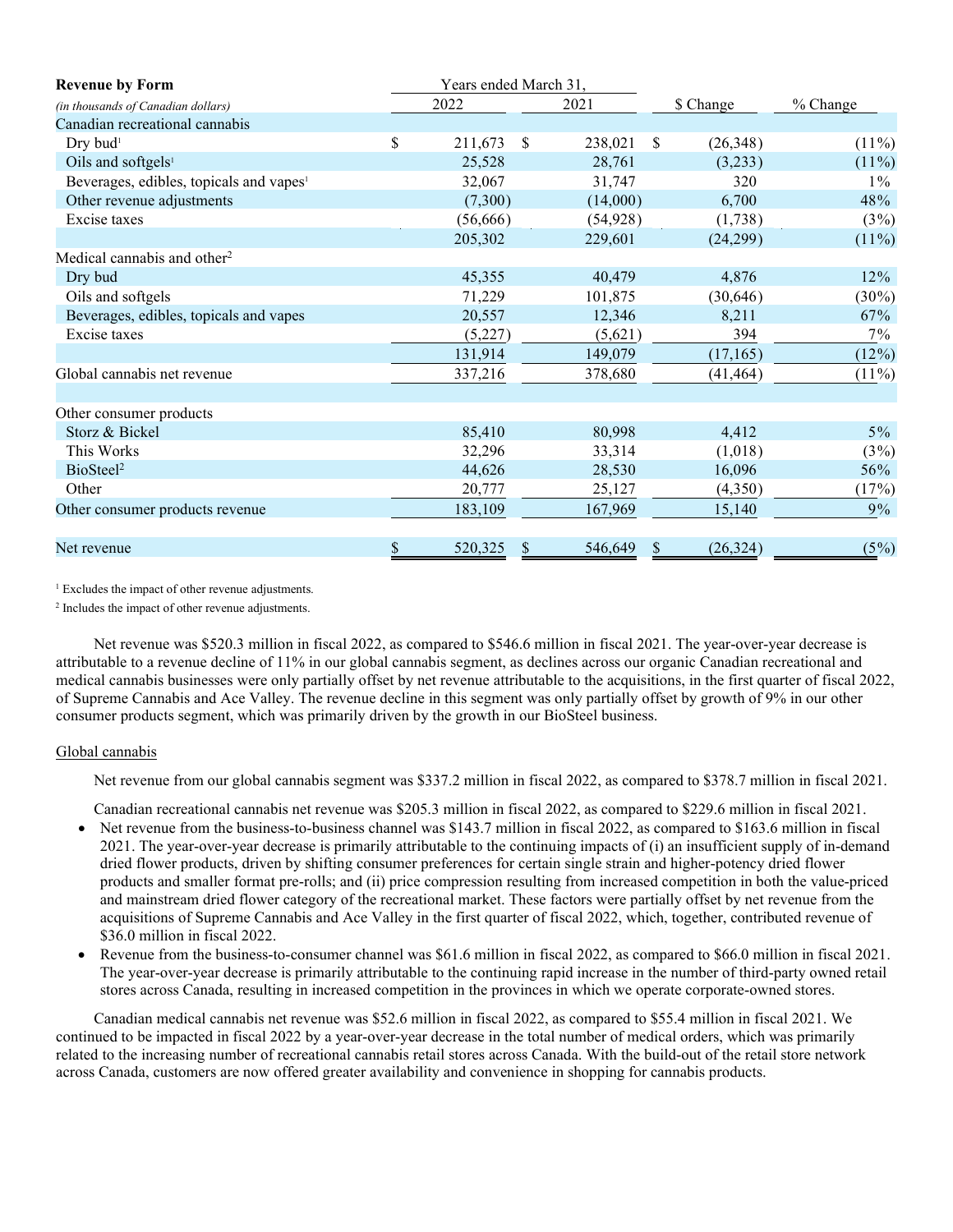| <b>Revenue by Form</b>                              |               | Years ended March 31, |               |           |               |           |          |
|-----------------------------------------------------|---------------|-----------------------|---------------|-----------|---------------|-----------|----------|
| (in thousands of Canadian dollars)                  |               | 2022                  |               | 2021      |               | \$ Change | % Change |
| Canadian recreational cannabis                      |               |                       |               |           |               |           |          |
| Dry bud <sup>1</sup>                                | \$            | 211,673               | <sup>\$</sup> | 238,021   | <sup>\$</sup> | (26,348)  | $(11\%)$ |
| Oils and softgels <sup>1</sup>                      |               | 25,528                |               | 28,761    |               | (3,233)   | $(11\%)$ |
| Beverages, edibles, topicals and vapes <sup>1</sup> |               | 32,067                |               | 31,747    |               | 320       | $1\%$    |
| Other revenue adjustments                           |               | (7,300)               |               | (14,000)  |               | 6,700     | 48%      |
| Excise taxes                                        |               | (56, 666)             |               | (54, 928) |               | (1,738)   | $(3\%)$  |
|                                                     |               | 205,302               |               | 229,601   |               | (24,299)  | $(11\%)$ |
| Medical cannabis and other <sup>2</sup>             |               |                       |               |           |               |           |          |
| Dry bud                                             |               | 45,355                |               | 40,479    |               | 4,876     | 12%      |
| Oils and softgels                                   |               | 71,229                |               | 101,875   |               | (30,646)  | $(30\%)$ |
| Beverages, edibles, topicals and vapes              |               | 20,557                |               | 12,346    |               | 8,211     | 67%      |
| Excise taxes                                        |               | (5,227)               |               | (5,621)   |               | 394       | $7\%$    |
|                                                     |               | 131,914               |               | 149,079   |               | (17, 165) | $(12\%)$ |
| Global cannabis net revenue                         |               | 337,216               |               | 378,680   |               | (41, 464) | $(11\%)$ |
|                                                     |               |                       |               |           |               |           |          |
| Other consumer products                             |               |                       |               |           |               |           |          |
| Storz & Bickel                                      |               | 85,410                |               | 80,998    |               | 4,412     | $5\%$    |
| This Works                                          |               | 32,296                |               | 33,314    |               | (1,018)   | $(3\%)$  |
| BioSteel <sup>2</sup>                               |               | 44,626                |               | 28,530    |               | 16,096    | 56%      |
| Other                                               |               | 20,777                |               | 25,127    |               | (4,350)   | (17%)    |
| Other consumer products revenue                     |               | 183,109               |               | 167,969   |               | 15,140    | 9%       |
|                                                     |               |                       |               |           |               |           |          |
| Net revenue                                         | $\frac{1}{2}$ | 520,325               |               | 546,649   |               | (26, 324) | (5%)     |

<sup>1</sup> Excludes the impact of other revenue adjustments.

<sup>2</sup> Includes the impact of other revenue adjustments.

Net revenue was \$520.3 million in fiscal 2022, as compared to \$546.6 million in fiscal 2021. The year-over-year decrease is attributable to a revenue decline of 11% in our global cannabis segment, as declines across our organic Canadian recreational and medical cannabis businesses were only partially offset by net revenue attributable to the acquisitions, in the first quarter of fiscal 2022, of Supreme Cannabis and Ace Valley. The revenue decline in this segment was only partially offset by growth of 9% in our other consumer products segment, which was primarily driven by the growth in our BioSteel business.

# Global cannabis

Net revenue from our global cannabis segment was \$337.2 million in fiscal 2022, as compared to \$378.7 million in fiscal 2021.

Canadian recreational cannabis net revenue was \$205.3 million in fiscal 2022, as compared to \$229.6 million in fiscal 2021.

- Net revenue from the business-to-business channel was \$143.7 million in fiscal 2022, as compared to \$163.6 million in fiscal 2021. The year-over-year decrease is primarily attributable to the continuing impacts of (i) an insufficient supply of in-demand dried flower products, driven by shifting consumer preferences for certain single strain and higher-potency dried flower products and smaller format pre-rolls; and (ii) price compression resulting from increased competition in both the value-priced and mainstream dried flower category of the recreational market. These factors were partially offset by net revenue from the acquisitions of Supreme Cannabis and Ace Valley in the first quarter of fiscal 2022, which, together, contributed revenue of \$36.0 million in fiscal 2022.
- Revenue from the business-to-consumer channel was \$61.6 million in fiscal 2022, as compared to \$66.0 million in fiscal 2021. The year-over-year decrease is primarily attributable to the continuing rapid increase in the number of third-party owned retail stores across Canada, resulting in increased competition in the provinces in which we operate corporate-owned stores.

Canadian medical cannabis net revenue was \$52.6 million in fiscal 2022, as compared to \$55.4 million in fiscal 2021. We continued to be impacted in fiscal 2022 by a year-over-year decrease in the total number of medical orders, which was primarily related to the increasing number of recreational cannabis retail stores across Canada. With the build-out of the retail store network across Canada, customers are now offered greater availability and convenience in shopping for cannabis products.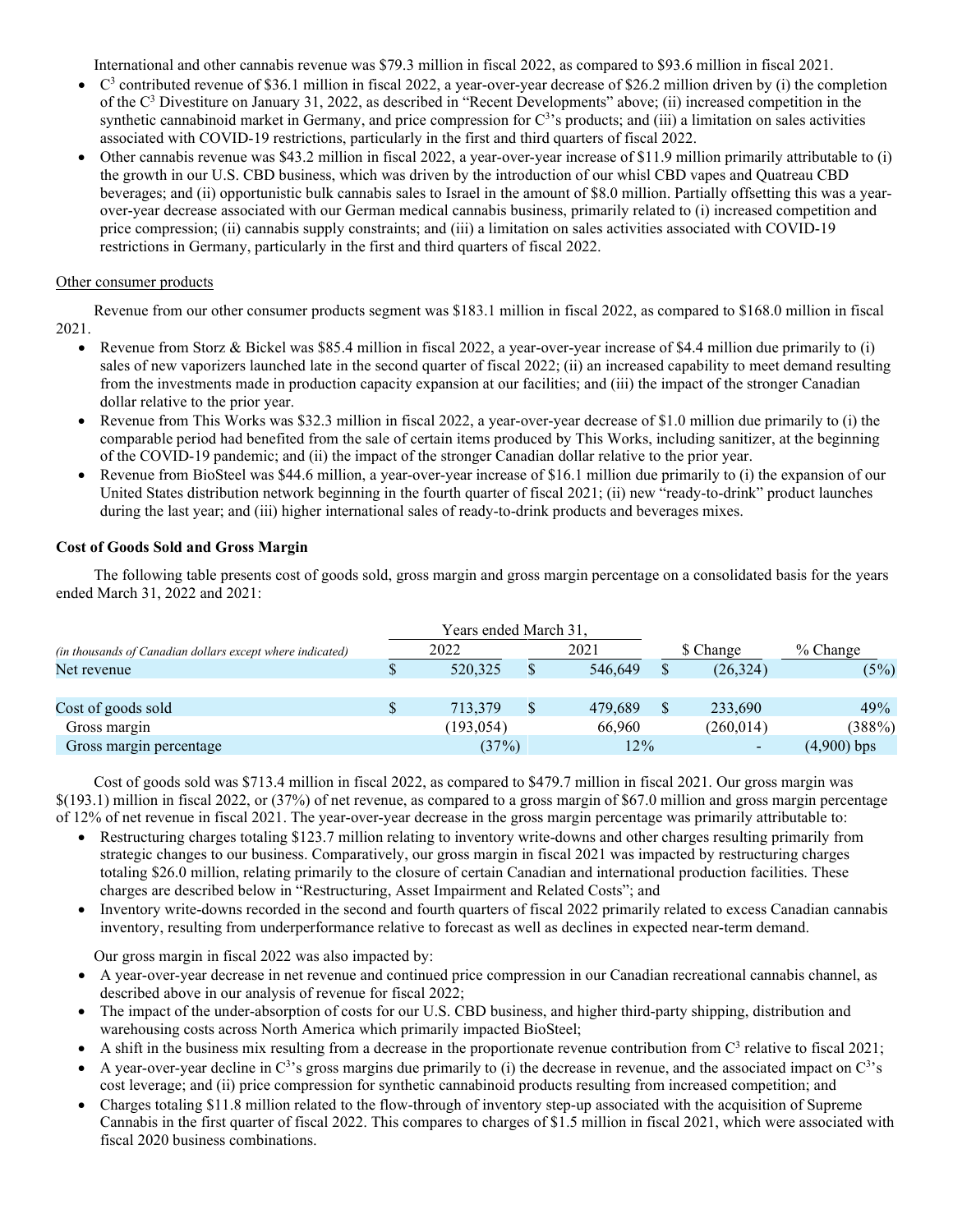International and other cannabis revenue was \$79.3 million in fiscal 2022, as compared to \$93.6 million in fiscal 2021.

- $C<sup>3</sup>$  contributed revenue of \$36.1 million in fiscal 2022, a year-over-year decrease of \$26.2 million driven by (i) the completion of the C3 Divestiture on January 31, 2022, as described in "Recent Developments" above; (ii) increased competition in the synthetic cannabinoid market in Germany, and price compression for  $C^3$ 's products; and (iii) a limitation on sales activities associated with COVID-19 restrictions, particularly in the first and third quarters of fiscal 2022.
- Other cannabis revenue was \$43.2 million in fiscal 2022, a year-over-year increase of \$11.9 million primarily attributable to (i) the growth in our U.S. CBD business, which was driven by the introduction of our whisl CBD vapes and Quatreau CBD beverages; and (ii) opportunistic bulk cannabis sales to Israel in the amount of \$8.0 million. Partially offsetting this was a yearover-year decrease associated with our German medical cannabis business, primarily related to (i) increased competition and price compression; (ii) cannabis supply constraints; and (iii) a limitation on sales activities associated with COVID-19 restrictions in Germany, particularly in the first and third quarters of fiscal 2022.

# Other consumer products

Revenue from our other consumer products segment was \$183.1 million in fiscal 2022, as compared to \$168.0 million in fiscal 2021.

- Revenue from Storz & Bickel was \$85.4 million in fiscal 2022, a year-over-year increase of \$4.4 million due primarily to (i) sales of new vaporizers launched late in the second quarter of fiscal 2022; (ii) an increased capability to meet demand resulting from the investments made in production capacity expansion at our facilities; and (iii) the impact of the stronger Canadian dollar relative to the prior year.
- Revenue from This Works was \$32.3 million in fiscal 2022, a year-over-year decrease of \$1.0 million due primarily to (i) the comparable period had benefited from the sale of certain items produced by This Works, including sanitizer, at the beginning of the COVID-19 pandemic; and (ii) the impact of the stronger Canadian dollar relative to the prior year.
- Revenue from BioSteel was \$44.6 million, a year-over-year increase of \$16.1 million due primarily to (i) the expansion of our United States distribution network beginning in the fourth quarter of fiscal 2021; (ii) new "ready-to-drink" product launches during the last year; and (iii) higher international sales of ready-to-drink products and beverages mixes.

# **Cost of Goods Sold and Gross Margin**

The following table presents cost of goods sold, gross margin and gross margin percentage on a consolidated basis for the years ended March 31, 2022 and 2021:

|                                                           | Years ended March 31, |            |               |         |    |                          |               |
|-----------------------------------------------------------|-----------------------|------------|---------------|---------|----|--------------------------|---------------|
| (in thousands of Canadian dollars except where indicated) |                       | 2022       |               | 2021    |    | \$ Change                | $%$ Change    |
| Net revenue                                               |                       | 520,325    | <sup>\$</sup> | 546,649 |    | (26, 324)                | (5%)          |
|                                                           |                       |            |               |         |    |                          |               |
| Cost of goods sold                                        |                       | 713,379    | <sup>\$</sup> | 479.689 | \$ | 233,690                  | 49%           |
| Gross margin                                              |                       | (193, 054) |               | 66,960  |    | (260, 014)               | (388%)        |
| Gross margin percentage                                   |                       | (37%)      |               | 12%     |    | $\overline{\phantom{a}}$ | $(4,900)$ bps |

Cost of goods sold was \$713.4 million in fiscal 2022, as compared to \$479.7 million in fiscal 2021. Our gross margin was \$(193.1) million in fiscal 2022, or (37%) of net revenue, as compared to a gross margin of \$67.0 million and gross margin percentage of 12% of net revenue in fiscal 2021. The year-over-year decrease in the gross margin percentage was primarily attributable to:

- Restructuring charges totaling \$123.7 million relating to inventory write-downs and other charges resulting primarily from strategic changes to our business. Comparatively, our gross margin in fiscal 2021 was impacted by restructuring charges totaling \$26.0 million, relating primarily to the closure of certain Canadian and international production facilities. These charges are described below in "Restructuring, Asset Impairment and Related Costs"; and
- Inventory write-downs recorded in the second and fourth quarters of fiscal 2022 primarily related to excess Canadian cannabis inventory, resulting from underperformance relative to forecast as well as declines in expected near-term demand.

Our gross margin in fiscal 2022 was also impacted by:

- A year-over-year decrease in net revenue and continued price compression in our Canadian recreational cannabis channel, as described above in our analysis of revenue for fiscal 2022;
- The impact of the under-absorption of costs for our U.S. CBD business, and higher third-party shipping, distribution and warehousing costs across North America which primarily impacted BioSteel;
- A shift in the business mix resulting from a decrease in the proportionate revenue contribution from  $C<sup>3</sup>$  relative to fiscal 2021;
- A year-over-year decline in  $C^{3}$ 's gross margins due primarily to (i) the decrease in revenue, and the associated impact on  $C^{3}$ 's cost leverage; and (ii) price compression for synthetic cannabinoid products resulting from increased competition; and
- Charges totaling \$11.8 million related to the flow-through of inventory step-up associated with the acquisition of Supreme Cannabis in the first quarter of fiscal 2022. This compares to charges of \$1.5 million in fiscal 2021, which were associated with fiscal 2020 business combinations.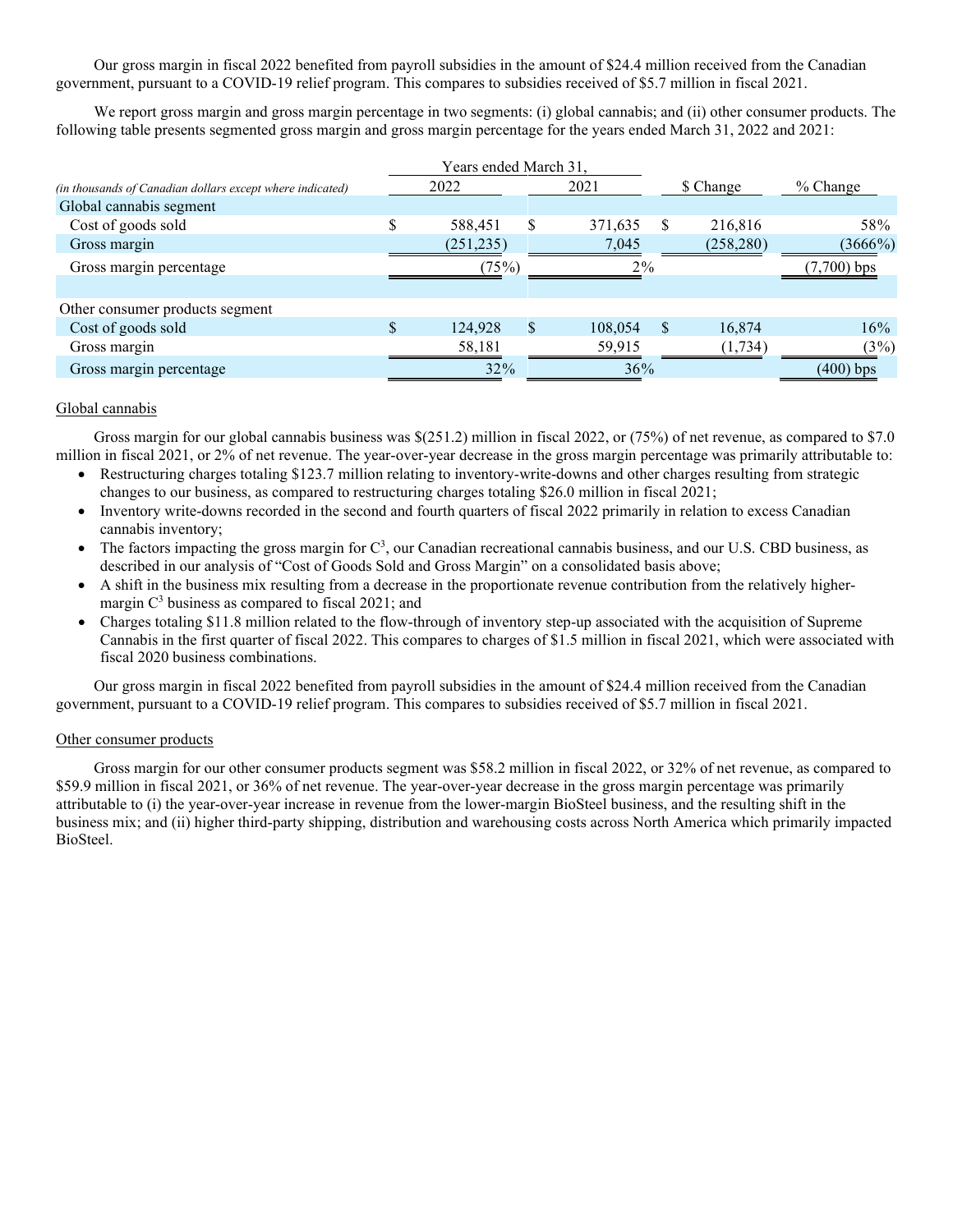Our gross margin in fiscal 2022 benefited from payroll subsidies in the amount of \$24.4 million received from the Canadian government, pursuant to a COVID-19 relief program. This compares to subsidies received of \$5.7 million in fiscal 2021.

We report gross margin and gross margin percentage in two segments: (i) global cannabis; and (ii) other consumer products. The following table presents segmented gross margin and gross margin percentage for the years ended March 31, 2022 and 2021:

|                                                           | Years ended March 31, |               |           |            |               |
|-----------------------------------------------------------|-----------------------|---------------|-----------|------------|---------------|
| (in thousands of Canadian dollars except where indicated) | 2022                  | 2021          | \$ Change |            | % Change      |
| Global cannabis segment                                   |                       |               |           |            |               |
| Cost of goods sold                                        | 588,451               | \$<br>371,635 | S         | 216,816    | 58%           |
| Gross margin                                              | (251, 235)            | 7,045         |           | (258, 280) | (3666%)       |
| Gross margin percentage                                   | (75%)                 | $2\%$         |           |            | $(7,700)$ bps |
|                                                           |                       |               |           |            |               |
| Other consumer products segment                           |                       |               |           |            |               |
| Cost of goods sold                                        | \$<br>124,928         | \$<br>108,054 | S         | 16.874     | 16%           |
| Gross margin                                              | 58,181                | 59,915        |           | (1, 734)   | (3%)          |
| Gross margin percentage                                   | 32%                   | 36%           |           |            | $(400)$ bps   |

# Global cannabis

Gross margin for our global cannabis business was \$(251.2) million in fiscal 2022, or (75%) of net revenue, as compared to \$7.0 million in fiscal 2021, or 2% of net revenue. The year-over-year decrease in the gross margin percentage was primarily attributable to:

- Restructuring charges totaling \$123.7 million relating to inventory-write-downs and other charges resulting from strategic changes to our business, as compared to restructuring charges totaling \$26.0 million in fiscal 2021;
- Inventory write-downs recorded in the second and fourth quarters of fiscal 2022 primarily in relation to excess Canadian cannabis inventory;
- $\bullet$  The factors impacting the gross margin for  $C^3$ , our Canadian recreational cannabis business, and our U.S. CBD business, as described in our analysis of "Cost of Goods Sold and Gross Margin" on a consolidated basis above;
- A shift in the business mix resulting from a decrease in the proportionate revenue contribution from the relatively highermargin  $C<sup>3</sup>$  business as compared to fiscal 2021; and
- Charges totaling \$11.8 million related to the flow-through of inventory step-up associated with the acquisition of Supreme Cannabis in the first quarter of fiscal 2022. This compares to charges of \$1.5 million in fiscal 2021, which were associated with fiscal 2020 business combinations.

Our gross margin in fiscal 2022 benefited from payroll subsidies in the amount of \$24.4 million received from the Canadian government, pursuant to a COVID-19 relief program. This compares to subsidies received of \$5.7 million in fiscal 2021.

# Other consumer products

Gross margin for our other consumer products segment was \$58.2 million in fiscal 2022, or 32% of net revenue, as compared to \$59.9 million in fiscal 2021, or 36% of net revenue. The year-over-year decrease in the gross margin percentage was primarily attributable to (i) the year-over-year increase in revenue from the lower-margin BioSteel business, and the resulting shift in the business mix; and (ii) higher third-party shipping, distribution and warehousing costs across North America which primarily impacted BioSteel.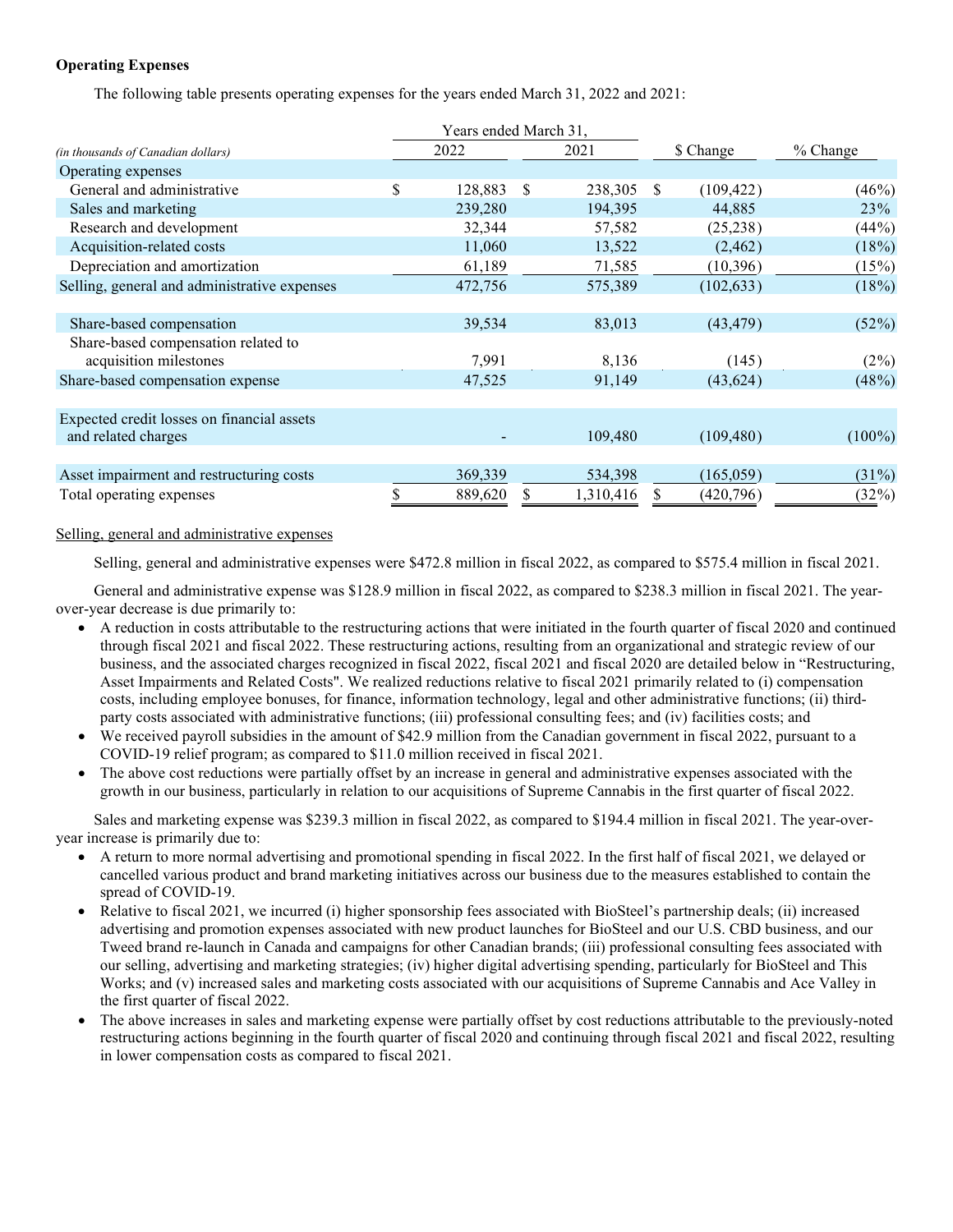# **Operating Expenses**

The following table presents operating expenses for the years ended March 31, 2022 and 2021:

|                                              | Years ended March 31, |    |           |              |            |           |
|----------------------------------------------|-----------------------|----|-----------|--------------|------------|-----------|
| (in thousands of Canadian dollars)           | 2022                  |    | 2021      |              | \$ Change  | % Change  |
| Operating expenses                           |                       |    |           |              |            |           |
| General and administrative                   | \$<br>128,883         | -S | 238,305   | <sup>S</sup> | (109, 422) | (46%)     |
| Sales and marketing                          | 239,280               |    | 194,395   |              | 44,885     | 23%       |
| Research and development                     | 32,344                |    | 57,582    |              | (25, 238)  | (44%)     |
| Acquisition-related costs                    | 11,060                |    | 13,522    |              | (2, 462)   | (18%)     |
| Depreciation and amortization                | 61,189                |    | 71,585    |              | (10, 396)  | (15%)     |
| Selling, general and administrative expenses | 472,756               |    | 575,389   |              | (102, 633) | (18%)     |
|                                              |                       |    |           |              |            |           |
| Share-based compensation                     | 39,534                |    | 83,013    |              | (43, 479)  | (52%)     |
| Share-based compensation related to          |                       |    |           |              |            |           |
| acquisition milestones                       | 7,991                 |    | 8,136     |              | (145)      | $(2\%)$   |
| Share-based compensation expense             | 47,525                |    | 91,149    |              | (43, 624)  | (48%)     |
|                                              |                       |    |           |              |            |           |
| Expected credit losses on financial assets   |                       |    |           |              |            |           |
| and related charges                          |                       |    | 109,480   |              | (109, 480) | $(100\%)$ |
|                                              |                       |    |           |              |            |           |
| Asset impairment and restructuring costs     | 369,339               |    | 534,398   |              | (165, 059) | $(31\%)$  |
| Total operating expenses                     | 889,620               | S  | 1,310,416 | S            | (420, 796) | (32%)     |

# Selling, general and administrative expenses

Selling, general and administrative expenses were \$472.8 million in fiscal 2022, as compared to \$575.4 million in fiscal 2021.

General and administrative expense was \$128.9 million in fiscal 2022, as compared to \$238.3 million in fiscal 2021. The yearover-year decrease is due primarily to:

- A reduction in costs attributable to the restructuring actions that were initiated in the fourth quarter of fiscal 2020 and continued through fiscal 2021 and fiscal 2022. These restructuring actions, resulting from an organizational and strategic review of our business, and the associated charges recognized in fiscal 2022, fiscal 2021 and fiscal 2020 are detailed below in "Restructuring, Asset Impairments and Related Costs". We realized reductions relative to fiscal 2021 primarily related to (i) compensation costs, including employee bonuses, for finance, information technology, legal and other administrative functions; (ii) thirdparty costs associated with administrative functions; (iii) professional consulting fees; and (iv) facilities costs; and
- We received payroll subsidies in the amount of \$42.9 million from the Canadian government in fiscal 2022, pursuant to a COVID-19 relief program; as compared to \$11.0 million received in fiscal 2021.
- The above cost reductions were partially offset by an increase in general and administrative expenses associated with the growth in our business, particularly in relation to our acquisitions of Supreme Cannabis in the first quarter of fiscal 2022.

Sales and marketing expense was \$239.3 million in fiscal 2022, as compared to \$194.4 million in fiscal 2021. The year-overyear increase is primarily due to:

- A return to more normal advertising and promotional spending in fiscal 2022. In the first half of fiscal 2021, we delayed or cancelled various product and brand marketing initiatives across our business due to the measures established to contain the spread of COVID-19.
- Relative to fiscal 2021, we incurred (i) higher sponsorship fees associated with BioSteel's partnership deals; (ii) increased advertising and promotion expenses associated with new product launches for BioSteel and our U.S. CBD business, and our Tweed brand re-launch in Canada and campaigns for other Canadian brands; (iii) professional consulting fees associated with our selling, advertising and marketing strategies; (iv) higher digital advertising spending, particularly for BioSteel and This Works; and (v) increased sales and marketing costs associated with our acquisitions of Supreme Cannabis and Ace Valley in the first quarter of fiscal 2022.
- The above increases in sales and marketing expense were partially offset by cost reductions attributable to the previously-noted restructuring actions beginning in the fourth quarter of fiscal 2020 and continuing through fiscal 2021 and fiscal 2022, resulting in lower compensation costs as compared to fiscal 2021.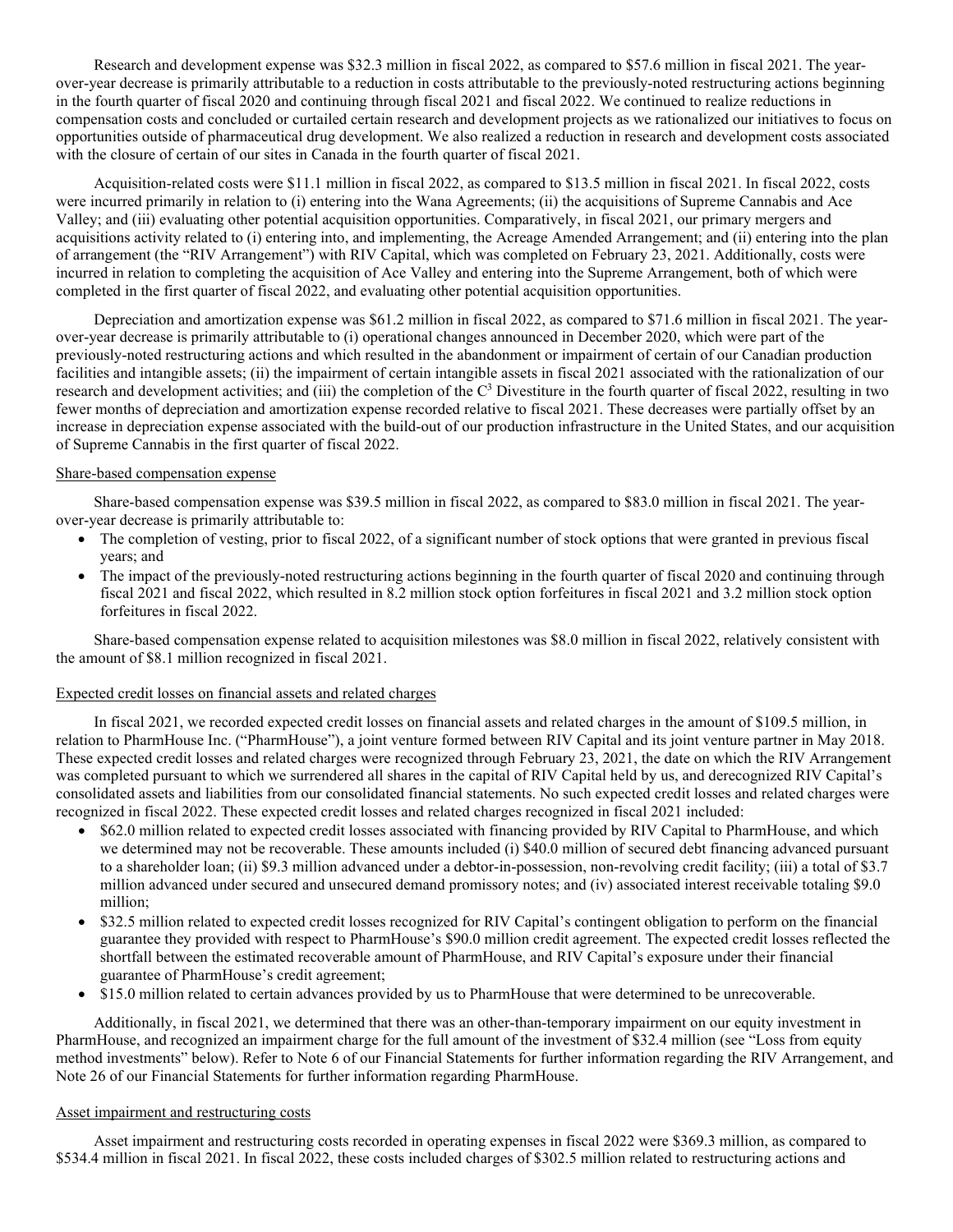Research and development expense was \$32.3 million in fiscal 2022, as compared to \$57.6 million in fiscal 2021. The yearover-year decrease is primarily attributable to a reduction in costs attributable to the previously-noted restructuring actions beginning in the fourth quarter of fiscal 2020 and continuing through fiscal 2021 and fiscal 2022. We continued to realize reductions in compensation costs and concluded or curtailed certain research and development projects as we rationalized our initiatives to focus on opportunities outside of pharmaceutical drug development. We also realized a reduction in research and development costs associated with the closure of certain of our sites in Canada in the fourth quarter of fiscal 2021.

Acquisition-related costs were \$11.1 million in fiscal 2022, as compared to \$13.5 million in fiscal 2021. In fiscal 2022, costs were incurred primarily in relation to (i) entering into the Wana Agreements; (ii) the acquisitions of Supreme Cannabis and Ace Valley; and (iii) evaluating other potential acquisition opportunities. Comparatively, in fiscal 2021, our primary mergers and acquisitions activity related to (i) entering into, and implementing, the Acreage Amended Arrangement; and (ii) entering into the plan of arrangement (the "RIV Arrangement") with RIV Capital, which was completed on February 23, 2021. Additionally, costs were incurred in relation to completing the acquisition of Ace Valley and entering into the Supreme Arrangement, both of which were completed in the first quarter of fiscal 2022, and evaluating other potential acquisition opportunities.

Depreciation and amortization expense was \$61.2 million in fiscal 2022, as compared to \$71.6 million in fiscal 2021. The yearover-year decrease is primarily attributable to (i) operational changes announced in December 2020, which were part of the previously-noted restructuring actions and which resulted in the abandonment or impairment of certain of our Canadian production facilities and intangible assets; (ii) the impairment of certain intangible assets in fiscal 2021 associated with the rationalization of our research and development activities; and (iii) the completion of the  $C<sup>3</sup>$  Divestiture in the fourth quarter of fiscal 2022, resulting in two fewer months of depreciation and amortization expense recorded relative to fiscal 2021. These decreases were partially offset by an increase in depreciation expense associated with the build-out of our production infrastructure in the United States, and our acquisition of Supreme Cannabis in the first quarter of fiscal 2022.

#### Share-based compensation expense

Share-based compensation expense was \$39.5 million in fiscal 2022, as compared to \$83.0 million in fiscal 2021. The yearover-year decrease is primarily attributable to:

- The completion of vesting, prior to fiscal 2022, of a significant number of stock options that were granted in previous fiscal years; and
- The impact of the previously-noted restructuring actions beginning in the fourth quarter of fiscal 2020 and continuing through fiscal 2021 and fiscal 2022, which resulted in 8.2 million stock option forfeitures in fiscal 2021 and 3.2 million stock option forfeitures in fiscal 2022.

Share-based compensation expense related to acquisition milestones was \$8.0 million in fiscal 2022, relatively consistent with the amount of \$8.1 million recognized in fiscal 2021.

#### Expected credit losses on financial assets and related charges

In fiscal 2021, we recorded expected credit losses on financial assets and related charges in the amount of \$109.5 million, in relation to PharmHouse Inc. ("PharmHouse"), a joint venture formed between RIV Capital and its joint venture partner in May 2018. These expected credit losses and related charges were recognized through February 23, 2021, the date on which the RIV Arrangement was completed pursuant to which we surrendered all shares in the capital of RIV Capital held by us, and derecognized RIV Capital's consolidated assets and liabilities from our consolidated financial statements. No such expected credit losses and related charges were recognized in fiscal 2022. These expected credit losses and related charges recognized in fiscal 2021 included:

- \$62.0 million related to expected credit losses associated with financing provided by RIV Capital to PharmHouse, and which we determined may not be recoverable. These amounts included (i) \$40.0 million of secured debt financing advanced pursuant to a shareholder loan; (ii) \$9.3 million advanced under a debtor-in-possession, non-revolving credit facility; (iii) a total of \$3.7 million advanced under secured and unsecured demand promissory notes; and (iv) associated interest receivable totaling \$9.0 million;
- \$32.5 million related to expected credit losses recognized for RIV Capital's contingent obligation to perform on the financial guarantee they provided with respect to PharmHouse's \$90.0 million credit agreement. The expected credit losses reflected the shortfall between the estimated recoverable amount of PharmHouse, and RIV Capital's exposure under their financial guarantee of PharmHouse's credit agreement;
- \$15.0 million related to certain advances provided by us to PharmHouse that were determined to be unrecoverable.

Additionally, in fiscal 2021, we determined that there was an other-than-temporary impairment on our equity investment in PharmHouse, and recognized an impairment charge for the full amount of the investment of \$32.4 million (see "Loss from equity method investments" below). Refer to Note 6 of our Financial Statements for further information regarding the RIV Arrangement, and Note 26 of our Financial Statements for further information regarding PharmHouse.

# Asset impairment and restructuring costs

Asset impairment and restructuring costs recorded in operating expenses in fiscal 2022 were \$369.3 million, as compared to \$534.4 million in fiscal 2021. In fiscal 2022, these costs included charges of \$302.5 million related to restructuring actions and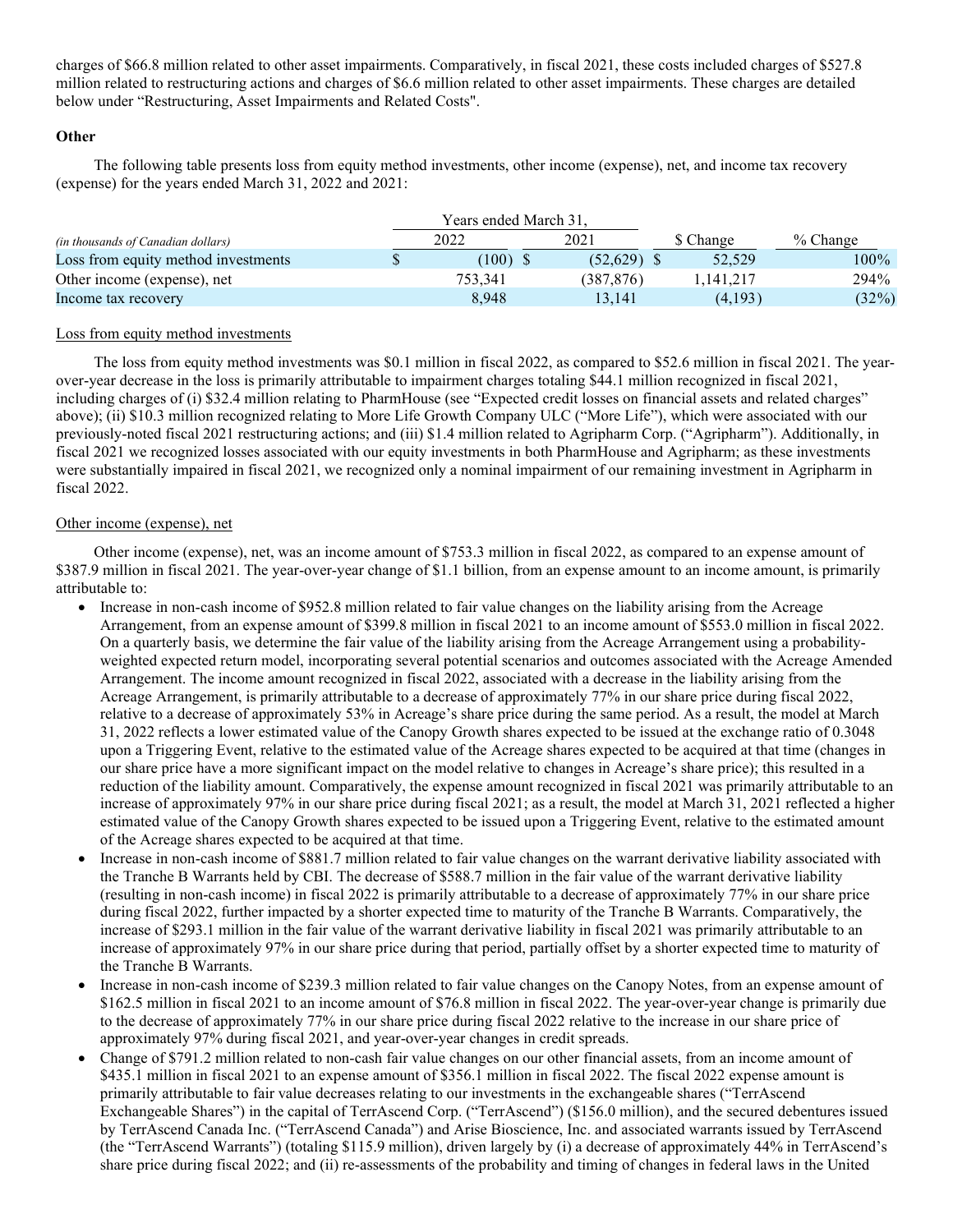charges of \$66.8 million related to other asset impairments. Comparatively, in fiscal 2021, these costs included charges of \$527.8 million related to restructuring actions and charges of \$6.6 million related to other asset impairments. These charges are detailed below under "Restructuring, Asset Impairments and Related Costs".

# **Other**

The following table presents loss from equity method investments, other income (expense), net, and income tax recovery (expense) for the years ended March 31, 2022 and 2021:

|                                           | Years ended March 31. |            |           |            |
|-------------------------------------------|-----------------------|------------|-----------|------------|
| <i>(in thousands of Canadian dollars)</i> | 2022                  | 2021       | \$ Change | $%$ Change |
| Loss from equity method investments       | \$<br>(100)           | (52.629)   | 52,529    | 100%       |
| Other income (expense), net               | 753.341               | (387, 876) | 1.141.217 | 294%       |
| Income tax recovery                       | 8.948                 | 13.141     | (4,193)   | (32%)      |

# Loss from equity method investments

The loss from equity method investments was \$0.1 million in fiscal 2022, as compared to \$52.6 million in fiscal 2021. The yearover-year decrease in the loss is primarily attributable to impairment charges totaling \$44.1 million recognized in fiscal 2021, including charges of (i) \$32.4 million relating to PharmHouse (see "Expected credit losses on financial assets and related charges" above); (ii) \$10.3 million recognized relating to More Life Growth Company ULC ("More Life"), which were associated with our previously-noted fiscal 2021 restructuring actions; and (iii) \$1.4 million related to Agripharm Corp. ("Agripharm"). Additionally, in fiscal 2021 we recognized losses associated with our equity investments in both PharmHouse and Agripharm; as these investments were substantially impaired in fiscal 2021, we recognized only a nominal impairment of our remaining investment in Agripharm in fiscal 2022.

#### Other income (expense), net

Other income (expense), net, was an income amount of \$753.3 million in fiscal 2022, as compared to an expense amount of \$387.9 million in fiscal 2021. The year-over-year change of \$1.1 billion, from an expense amount to an income amount, is primarily attributable to:

- Increase in non-cash income of \$952.8 million related to fair value changes on the liability arising from the Acreage Arrangement, from an expense amount of \$399.8 million in fiscal 2021 to an income amount of \$553.0 million in fiscal 2022. On a quarterly basis, we determine the fair value of the liability arising from the Acreage Arrangement using a probabilityweighted expected return model, incorporating several potential scenarios and outcomes associated with the Acreage Amended Arrangement. The income amount recognized in fiscal 2022, associated with a decrease in the liability arising from the Acreage Arrangement, is primarily attributable to a decrease of approximately 77% in our share price during fiscal 2022, relative to a decrease of approximately 53% in Acreage's share price during the same period. As a result, the model at March 31, 2022 reflects a lower estimated value of the Canopy Growth shares expected to be issued at the exchange ratio of 0.3048 upon a Triggering Event, relative to the estimated value of the Acreage shares expected to be acquired at that time (changes in our share price have a more significant impact on the model relative to changes in Acreage's share price); this resulted in a reduction of the liability amount. Comparatively, the expense amount recognized in fiscal 2021 was primarily attributable to an increase of approximately 97% in our share price during fiscal 2021; as a result, the model at March 31, 2021 reflected a higher estimated value of the Canopy Growth shares expected to be issued upon a Triggering Event, relative to the estimated amount of the Acreage shares expected to be acquired at that time.
- Increase in non-cash income of \$881.7 million related to fair value changes on the warrant derivative liability associated with the Tranche B Warrants held by CBI. The decrease of \$588.7 million in the fair value of the warrant derivative liability (resulting in non-cash income) in fiscal 2022 is primarily attributable to a decrease of approximately 77% in our share price during fiscal 2022, further impacted by a shorter expected time to maturity of the Tranche B Warrants. Comparatively, the increase of \$293.1 million in the fair value of the warrant derivative liability in fiscal 2021 was primarily attributable to an increase of approximately 97% in our share price during that period, partially offset by a shorter expected time to maturity of the Tranche B Warrants.
- Increase in non-cash income of \$239.3 million related to fair value changes on the Canopy Notes, from an expense amount of \$162.5 million in fiscal 2021 to an income amount of \$76.8 million in fiscal 2022. The year-over-year change is primarily due to the decrease of approximately 77% in our share price during fiscal 2022 relative to the increase in our share price of approximately 97% during fiscal 2021, and year-over-year changes in credit spreads.
- Change of \$791.2 million related to non-cash fair value changes on our other financial assets, from an income amount of \$435.1 million in fiscal 2021 to an expense amount of \$356.1 million in fiscal 2022. The fiscal 2022 expense amount is primarily attributable to fair value decreases relating to our investments in the exchangeable shares ("TerrAscend Exchangeable Shares") in the capital of TerrAscend Corp. ("TerrAscend") (\$156.0 million), and the secured debentures issued by TerrAscend Canada Inc. ("TerrAscend Canada") and Arise Bioscience, Inc. and associated warrants issued by TerrAscend (the "TerrAscend Warrants") (totaling \$115.9 million), driven largely by (i) a decrease of approximately 44% in TerrAscend's share price during fiscal 2022; and (ii) re-assessments of the probability and timing of changes in federal laws in the United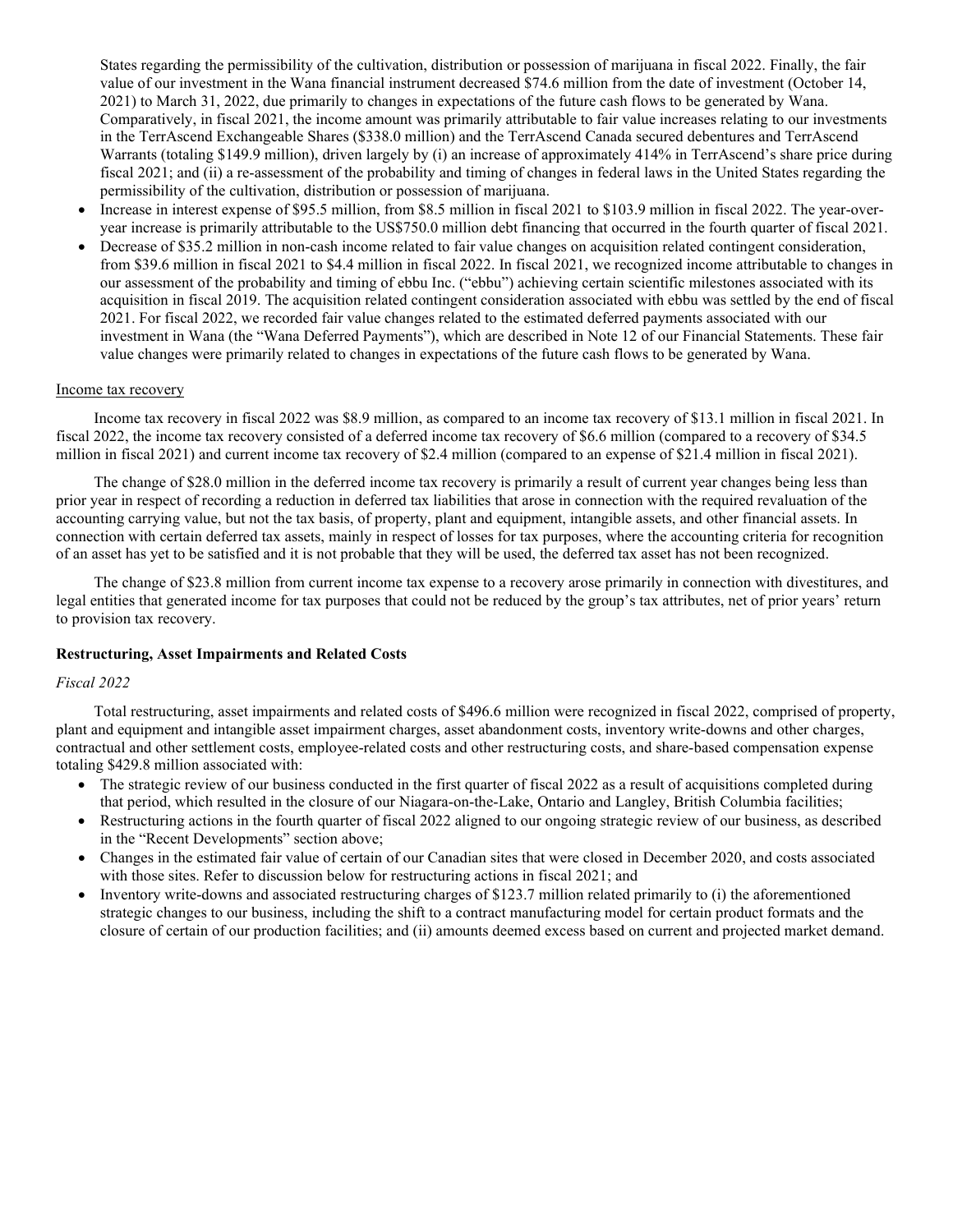States regarding the permissibility of the cultivation, distribution or possession of marijuana in fiscal 2022. Finally, the fair value of our investment in the Wana financial instrument decreased \$74.6 million from the date of investment (October 14, 2021) to March 31, 2022, due primarily to changes in expectations of the future cash flows to be generated by Wana. Comparatively, in fiscal 2021, the income amount was primarily attributable to fair value increases relating to our investments in the TerrAscend Exchangeable Shares (\$338.0 million) and the TerrAscend Canada secured debentures and TerrAscend Warrants (totaling \$149.9 million), driven largely by (i) an increase of approximately 414% in TerrAscend's share price during fiscal 2021; and (ii) a re-assessment of the probability and timing of changes in federal laws in the United States regarding the permissibility of the cultivation, distribution or possession of marijuana.

- Increase in interest expense of \$95.5 million, from \$8.5 million in fiscal 2021 to \$103.9 million in fiscal 2022. The year-overyear increase is primarily attributable to the US\$750.0 million debt financing that occurred in the fourth quarter of fiscal 2021.
- Decrease of \$35.2 million in non-cash income related to fair value changes on acquisition related contingent consideration, from \$39.6 million in fiscal 2021 to \$4.4 million in fiscal 2022. In fiscal 2021, we recognized income attributable to changes in our assessment of the probability and timing of ebbu Inc. ("ebbu") achieving certain scientific milestones associated with its acquisition in fiscal 2019. The acquisition related contingent consideration associated with ebbu was settled by the end of fiscal 2021. For fiscal 2022, we recorded fair value changes related to the estimated deferred payments associated with our investment in Wana (the "Wana Deferred Payments"), which are described in Note 12 of our Financial Statements. These fair value changes were primarily related to changes in expectations of the future cash flows to be generated by Wana.

#### Income tax recovery

Income tax recovery in fiscal 2022 was \$8.9 million, as compared to an income tax recovery of \$13.1 million in fiscal 2021. In fiscal 2022, the income tax recovery consisted of a deferred income tax recovery of \$6.6 million (compared to a recovery of \$34.5 million in fiscal 2021) and current income tax recovery of \$2.4 million (compared to an expense of \$21.4 million in fiscal 2021).

The change of \$28.0 million in the deferred income tax recovery is primarily a result of current year changes being less than prior year in respect of recording a reduction in deferred tax liabilities that arose in connection with the required revaluation of the accounting carrying value, but not the tax basis, of property, plant and equipment, intangible assets, and other financial assets. In connection with certain deferred tax assets, mainly in respect of losses for tax purposes, where the accounting criteria for recognition of an asset has yet to be satisfied and it is not probable that they will be used, the deferred tax asset has not been recognized.

The change of \$23.8 million from current income tax expense to a recovery arose primarily in connection with divestitures, and legal entities that generated income for tax purposes that could not be reduced by the group's tax attributes, net of prior years' return to provision tax recovery.

#### **Restructuring, Asset Impairments and Related Costs**

#### *Fiscal 2022*

Total restructuring, asset impairments and related costs of \$496.6 million were recognized in fiscal 2022, comprised of property, plant and equipment and intangible asset impairment charges, asset abandonment costs, inventory write-downs and other charges, contractual and other settlement costs, employee-related costs and other restructuring costs, and share-based compensation expense totaling \$429.8 million associated with:

- The strategic review of our business conducted in the first quarter of fiscal 2022 as a result of acquisitions completed during that period, which resulted in the closure of our Niagara-on-the-Lake, Ontario and Langley, British Columbia facilities;
- Restructuring actions in the fourth quarter of fiscal 2022 aligned to our ongoing strategic review of our business, as described in the "Recent Developments" section above;
- Changes in the estimated fair value of certain of our Canadian sites that were closed in December 2020, and costs associated with those sites. Refer to discussion below for restructuring actions in fiscal 2021; and
- Inventory write-downs and associated restructuring charges of \$123.7 million related primarily to (i) the aforementioned strategic changes to our business, including the shift to a contract manufacturing model for certain product formats and the closure of certain of our production facilities; and (ii) amounts deemed excess based on current and projected market demand.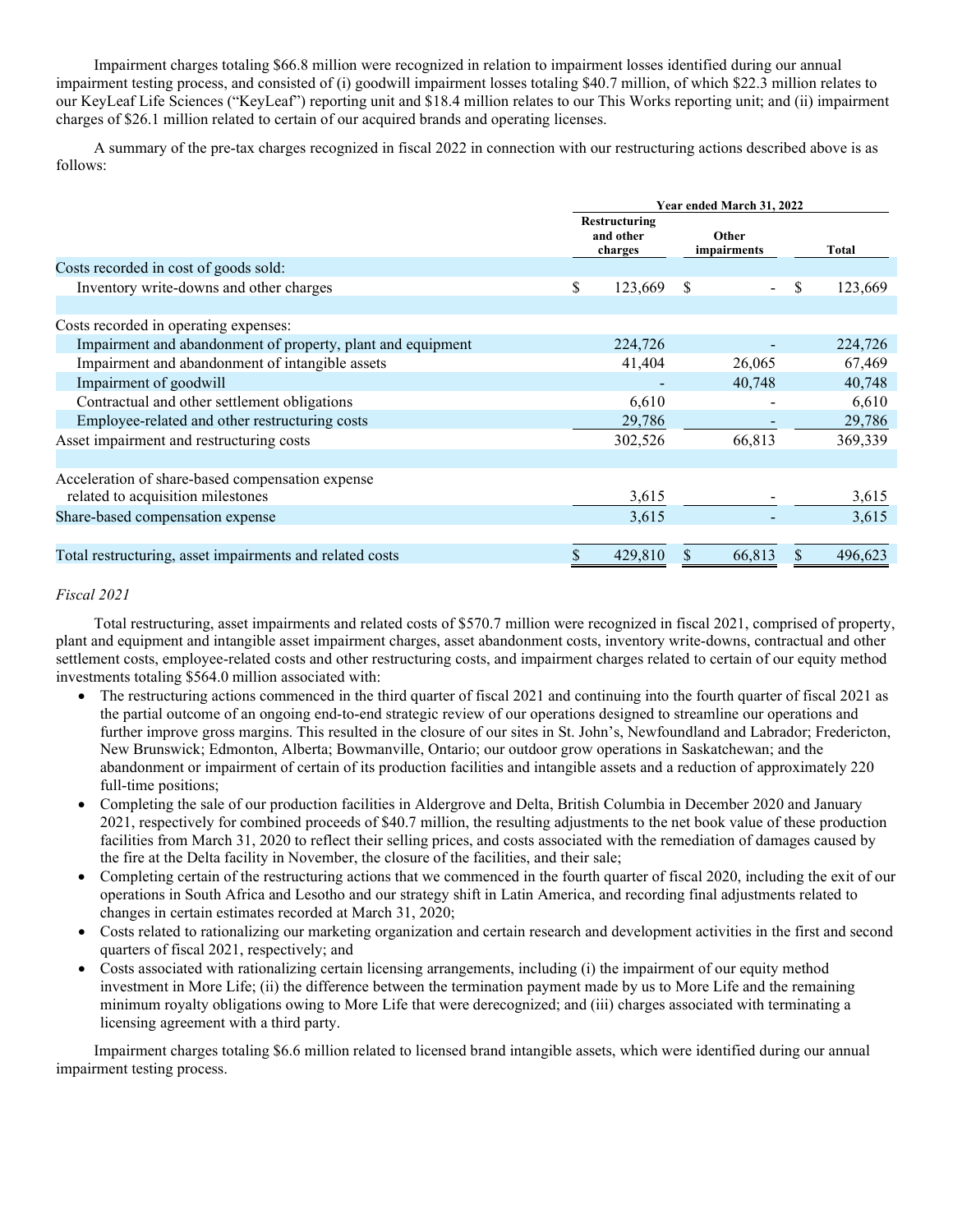Impairment charges totaling \$66.8 million were recognized in relation to impairment losses identified during our annual impairment testing process, and consisted of (i) goodwill impairment losses totaling \$40.7 million, of which \$22.3 million relates to our KeyLeaf Life Sciences ("KeyLeaf") reporting unit and \$18.4 million relates to our This Works reporting unit; and (ii) impairment charges of \$26.1 million related to certain of our acquired brands and operating licenses.

A summary of the pre-tax charges recognized in fiscal 2022 in connection with our restructuring actions described above is as follows:

|                                                             | Year ended March 31, 2022 |                                       |                      |    |         |  |
|-------------------------------------------------------------|---------------------------|---------------------------------------|----------------------|----|---------|--|
|                                                             |                           | Restructuring<br>and other<br>charges | Other<br>impairments |    | Total   |  |
| Costs recorded in cost of goods sold:                       |                           |                                       |                      |    |         |  |
| Inventory write-downs and other charges                     | \$                        | 123,669                               | <sup>S</sup>         | \$ | 123,669 |  |
| Costs recorded in operating expenses:                       |                           |                                       |                      |    |         |  |
| Impairment and abandonment of property, plant and equipment |                           | 224,726                               |                      |    | 224,726 |  |
| Impairment and abandonment of intangible assets             |                           | 41,404                                | 26,065               |    | 67,469  |  |
| Impairment of goodwill                                      |                           |                                       | 40,748               |    | 40,748  |  |
| Contractual and other settlement obligations                |                           | 6,610                                 |                      |    | 6,610   |  |
| Employee-related and other restructuring costs              |                           | 29,786                                |                      |    | 29,786  |  |
| Asset impairment and restructuring costs                    |                           | 302,526                               | 66,813               |    | 369,339 |  |
| Acceleration of share-based compensation expense            |                           |                                       |                      |    |         |  |
| related to acquisition milestones                           |                           | 3,615                                 |                      |    | 3,615   |  |
| Share-based compensation expense                            |                           | 3,615                                 |                      |    | 3,615   |  |
| Total restructuring, asset impairments and related costs    |                           | 429,810                               | 66,813               |    | 496.623 |  |

# *Fiscal 2021*

Total restructuring, asset impairments and related costs of \$570.7 million were recognized in fiscal 2021, comprised of property, plant and equipment and intangible asset impairment charges, asset abandonment costs, inventory write-downs, contractual and other settlement costs, employee-related costs and other restructuring costs, and impairment charges related to certain of our equity method investments totaling \$564.0 million associated with:

- The restructuring actions commenced in the third quarter of fiscal 2021 and continuing into the fourth quarter of fiscal 2021 as the partial outcome of an ongoing end-to-end strategic review of our operations designed to streamline our operations and further improve gross margins. This resulted in the closure of our sites in St. John's, Newfoundland and Labrador; Fredericton, New Brunswick; Edmonton, Alberta; Bowmanville, Ontario; our outdoor grow operations in Saskatchewan; and the abandonment or impairment of certain of its production facilities and intangible assets and a reduction of approximately 220 full-time positions;
- Completing the sale of our production facilities in Aldergrove and Delta, British Columbia in December 2020 and January 2021, respectively for combined proceeds of \$40.7 million, the resulting adjustments to the net book value of these production facilities from March 31, 2020 to reflect their selling prices, and costs associated with the remediation of damages caused by the fire at the Delta facility in November, the closure of the facilities, and their sale;
- Completing certain of the restructuring actions that we commenced in the fourth quarter of fiscal 2020, including the exit of our operations in South Africa and Lesotho and our strategy shift in Latin America, and recording final adjustments related to changes in certain estimates recorded at March 31, 2020;
- Costs related to rationalizing our marketing organization and certain research and development activities in the first and second quarters of fiscal 2021, respectively; and
- Costs associated with rationalizing certain licensing arrangements, including (i) the impairment of our equity method investment in More Life; (ii) the difference between the termination payment made by us to More Life and the remaining minimum royalty obligations owing to More Life that were derecognized; and (iii) charges associated with terminating a licensing agreement with a third party.

Impairment charges totaling \$6.6 million related to licensed brand intangible assets, which were identified during our annual impairment testing process.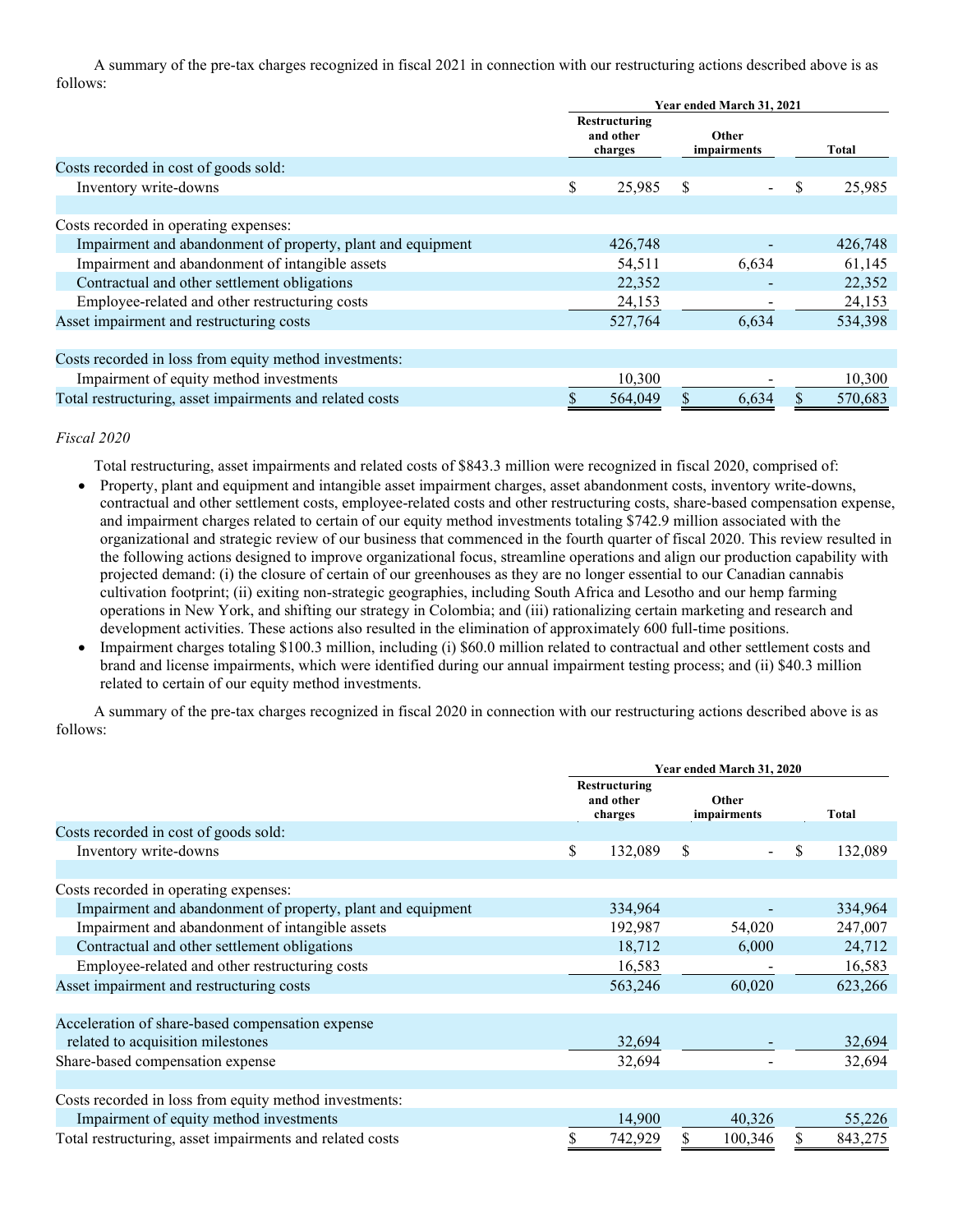A summary of the pre-tax charges recognized in fiscal 2021 in connection with our restructuring actions described above is as follows:

|                                                             | Year ended March 31, 2021 |                                       |   |                             |    |         |
|-------------------------------------------------------------|---------------------------|---------------------------------------|---|-----------------------------|----|---------|
|                                                             |                           | Restructuring<br>and other<br>charges |   | <b>Other</b><br>impairments |    | Total   |
| Costs recorded in cost of goods sold:                       |                           |                                       |   |                             |    |         |
| Inventory write-downs                                       | \$                        | 25,985                                | S | $\overline{\phantom{a}}$    | \$ | 25,985  |
|                                                             |                           |                                       |   |                             |    |         |
| Costs recorded in operating expenses:                       |                           |                                       |   |                             |    |         |
| Impairment and abandonment of property, plant and equipment |                           | 426,748                               |   |                             |    | 426,748 |
| Impairment and abandonment of intangible assets             |                           | 54,511                                |   | 6,634                       |    | 61,145  |
| Contractual and other settlement obligations                |                           | 22,352                                |   |                             |    | 22,352  |
| Employee-related and other restructuring costs              |                           | 24,153                                |   |                             |    | 24,153  |
| Asset impairment and restructuring costs                    |                           | 527,764                               |   | 6,634                       |    | 534,398 |
|                                                             |                           |                                       |   |                             |    |         |
| Costs recorded in loss from equity method investments:      |                           |                                       |   |                             |    |         |
| Impairment of equity method investments                     |                           | 10,300                                |   |                             |    | 10,300  |
| Total restructuring, asset impairments and related costs    |                           | 564,049                               |   | 6,634                       |    | 570,683 |

*Fiscal 2020*

Total restructuring, asset impairments and related costs of \$843.3 million were recognized in fiscal 2020, comprised of:

- Property, plant and equipment and intangible asset impairment charges, asset abandonment costs, inventory write-downs, contractual and other settlement costs, employee-related costs and other restructuring costs, share-based compensation expense, and impairment charges related to certain of our equity method investments totaling \$742.9 million associated with the organizational and strategic review of our business that commenced in the fourth quarter of fiscal 2020. This review resulted in the following actions designed to improve organizational focus, streamline operations and align our production capability with projected demand: (i) the closure of certain of our greenhouses as they are no longer essential to our Canadian cannabis cultivation footprint; (ii) exiting non-strategic geographies, including South Africa and Lesotho and our hemp farming operations in New York, and shifting our strategy in Colombia; and (iii) rationalizing certain marketing and research and development activities. These actions also resulted in the elimination of approximately 600 full-time positions.
- Impairment charges totaling \$100.3 million, including (i) \$60.0 million related to contractual and other settlement costs and brand and license impairments, which were identified during our annual impairment testing process; and (ii) \$40.3 million related to certain of our equity method investments.

A summary of the pre-tax charges recognized in fiscal 2020 in connection with our restructuring actions described above is as follows:

|                                                             | Year ended March 31, 2020 |                                       |    |                      |    |         |
|-------------------------------------------------------------|---------------------------|---------------------------------------|----|----------------------|----|---------|
|                                                             |                           | Restructuring<br>and other<br>charges |    | Other<br>impairments |    | Total   |
| Costs recorded in cost of goods sold:                       |                           |                                       |    |                      |    |         |
| Inventory write-downs                                       | \$                        | 132,089                               | S  |                      | \$ | 132,089 |
|                                                             |                           |                                       |    |                      |    |         |
| Costs recorded in operating expenses:                       |                           |                                       |    |                      |    |         |
| Impairment and abandonment of property, plant and equipment |                           | 334,964                               |    |                      |    | 334,964 |
| Impairment and abandonment of intangible assets             |                           | 192,987                               |    | 54,020               |    | 247,007 |
| Contractual and other settlement obligations                |                           | 18,712                                |    | 6,000                |    | 24,712  |
| Employee-related and other restructuring costs              |                           | 16,583                                |    |                      |    | 16,583  |
| Asset impairment and restructuring costs                    |                           | 563,246                               |    | 60,020               |    | 623,266 |
|                                                             |                           |                                       |    |                      |    |         |
| Acceleration of share-based compensation expense            |                           |                                       |    |                      |    |         |
| related to acquisition milestones                           |                           | 32,694                                |    |                      |    | 32,694  |
| Share-based compensation expense                            |                           | 32,694                                |    |                      |    | 32,694  |
|                                                             |                           |                                       |    |                      |    |         |
| Costs recorded in loss from equity method investments:      |                           |                                       |    |                      |    |         |
| Impairment of equity method investments                     |                           | 14,900                                |    | 40,326               |    | 55,226  |
| Total restructuring, asset impairments and related costs    | \$                        | 742,929                               | \$ | 100,346              | \$ | 843,275 |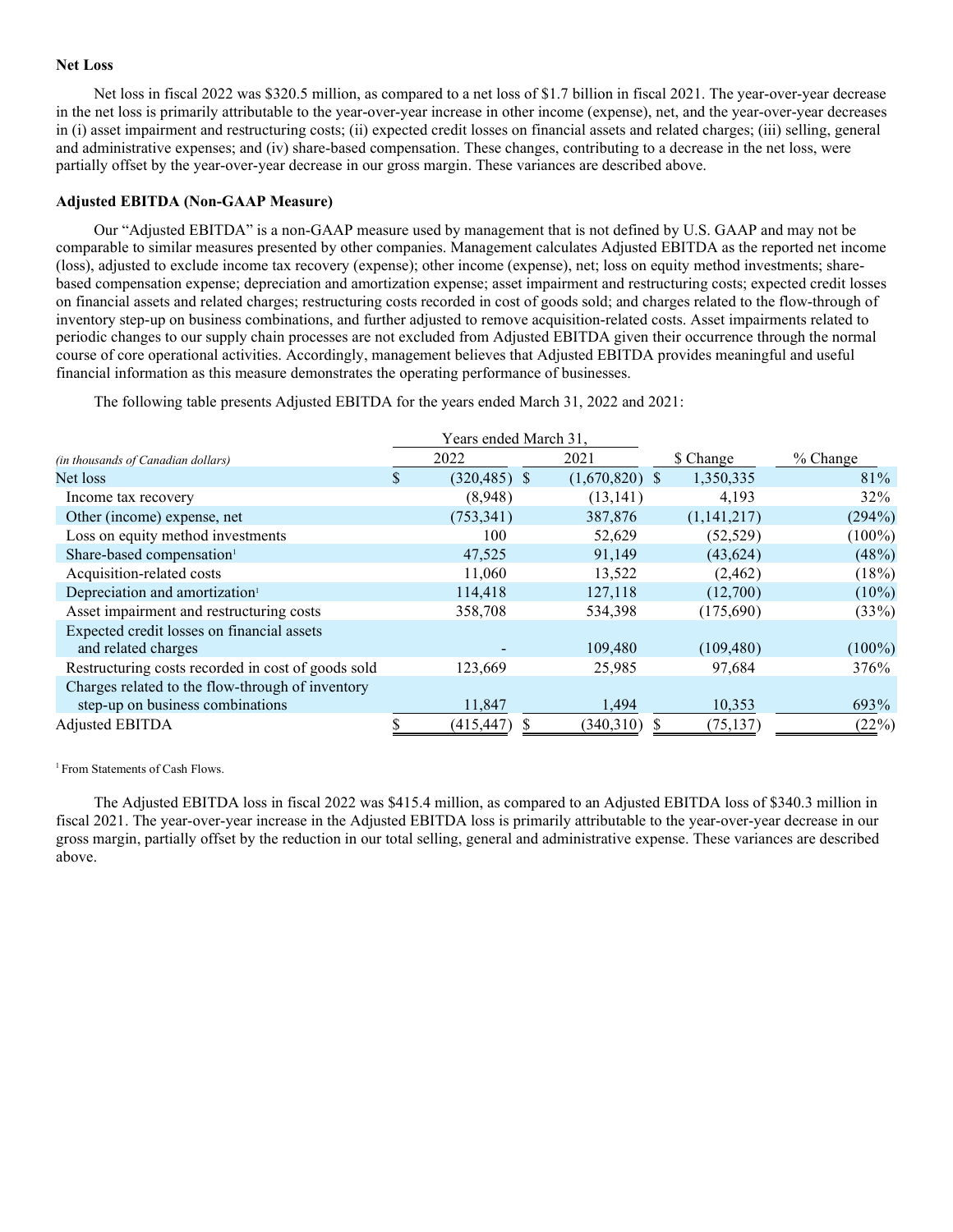#### **Net Loss**

Net loss in fiscal 2022 was \$320.5 million, as compared to a net loss of \$1.7 billion in fiscal 2021. The year-over-year decrease in the net loss is primarily attributable to the year-over-year increase in other income (expense), net, and the year-over-year decreases in (i) asset impairment and restructuring costs; (ii) expected credit losses on financial assets and related charges; (iii) selling, general and administrative expenses; and (iv) share-based compensation. These changes, contributing to a decrease in the net loss, were partially offset by the year-over-year decrease in our gross margin. These variances are described above.

#### **Adjusted EBITDA (Non-GAAP Measure)**

Our "Adjusted EBITDA" is a non-GAAP measure used by management that is not defined by U.S. GAAP and may not be comparable to similar measures presented by other companies. Management calculates Adjusted EBITDA as the reported net income (loss), adjusted to exclude income tax recovery (expense); other income (expense), net; loss on equity method investments; sharebased compensation expense; depreciation and amortization expense; asset impairment and restructuring costs; expected credit losses on financial assets and related charges; restructuring costs recorded in cost of goods sold; and charges related to the flow-through of inventory step-up on business combinations, and further adjusted to remove acquisition-related costs. Asset impairments related to periodic changes to our supply chain processes are not excluded from Adjusted EBITDA given their occurrence through the normal course of core operational activities. Accordingly, management believes that Adjusted EBITDA provides meaningful and useful financial information as this measure demonstrates the operating performance of businesses.

The following table presents Adjusted EBITDA for the years ended March 31, 2022 and 2021:

|                                                    | Years ended March 31, |                  |             |            |
|----------------------------------------------------|-----------------------|------------------|-------------|------------|
| <i>(in thousands of Canadian dollars)</i>          | 2022                  | 2021             | \$ Change   | $%$ Change |
| Net loss                                           | \$<br>$(320, 485)$ \$ | $(1,670,820)$ \$ | 1,350,335   | 81\%       |
| Income tax recovery                                | (8,948)               | (13, 141)        | 4.193       | $32\%$     |
| Other (income) expense, net                        | (753, 341)            | 387,876          | (1,141,217) | (294%)     |
| Loss on equity method investments                  | 100                   | 52,629           | (52, 529)   | $(100\%)$  |
| Share-based compensation <sup>1</sup>              | 47,525                | 91,149           | (43, 624)   | (48%)      |
| Acquisition-related costs                          | 11,060                | 13,522           | (2, 462)    | (18%)      |
| Depreciation and amortization <sup>1</sup>         | 114,418               | 127,118          | (12,700)    | $(10\%)$   |
| Asset impairment and restructuring costs           | 358,708               | 534,398          | (175,690)   | (33%)      |
| Expected credit losses on financial assets         |                       |                  |             |            |
| and related charges                                |                       | 109,480          | (109, 480)  | $(100\%)$  |
| Restructuring costs recorded in cost of goods sold | 123,669               | 25,985           | 97,684      | 376%       |
| Charges related to the flow-through of inventory   |                       |                  |             |            |
| step-up on business combinations                   | 11,847                | 1,494            | 10,353      | 693%       |
| Adjusted EBITDA                                    | (415, 447)            | (340,310)        | (75, 137)   | (22%)      |

<sup>1</sup> From Statements of Cash Flows.

The Adjusted EBITDA loss in fiscal 2022 was \$415.4 million, as compared to an Adjusted EBITDA loss of \$340.3 million in fiscal 2021. The year-over-year increase in the Adjusted EBITDA loss is primarily attributable to the year-over-year decrease in our gross margin, partially offset by the reduction in our total selling, general and administrative expense. These variances are described above.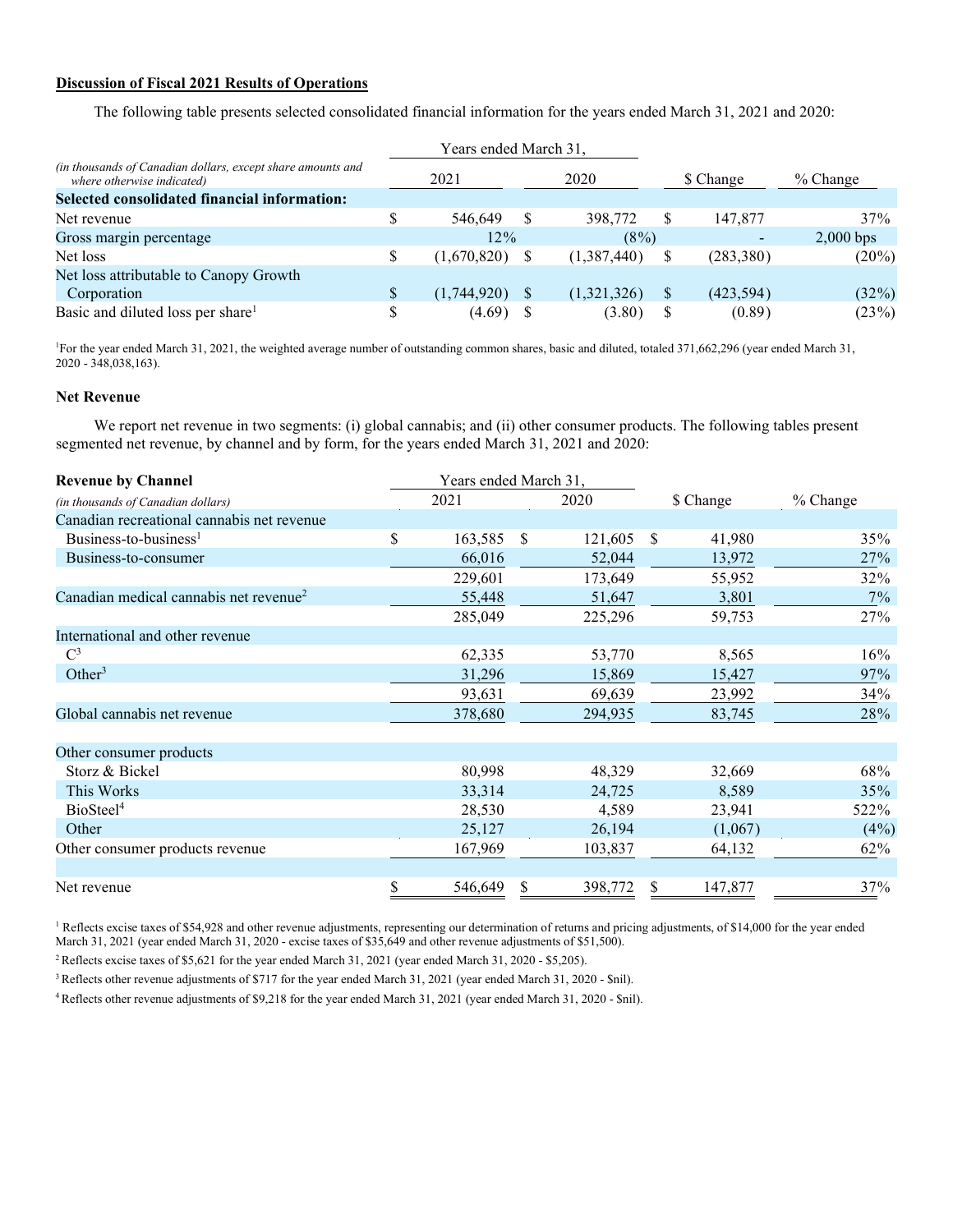# **Discussion of Fiscal 2021 Results of Operations**

The following table presents selected consolidated financial information for the years ended March 31, 2021 and 2020:

|                                                                                           | Years ended March 31, |             |    |             |            |                          |             |
|-------------------------------------------------------------------------------------------|-----------------------|-------------|----|-------------|------------|--------------------------|-------------|
| (in thousands of Canadian dollars, except share amounts and<br>where otherwise indicated) | 2020<br>2021          |             |    | \$ Change   | $%$ Change |                          |             |
| Selected consolidated financial information:                                              |                       |             |    |             |            |                          |             |
| Net revenue                                                                               | \$                    | 546,649     | -S | 398,772     | S          | 147,877                  | 37%         |
| Gross margin percentage                                                                   |                       | 12%         |    | (8%)        |            | $\overline{\phantom{0}}$ | $2,000$ bps |
| Net loss                                                                                  | \$                    | (1,670,820) |    | (1,387,440) | S          | (283, 380)               | $(20\%)$    |
| Net loss attributable to Canopy Growth                                                    |                       |             |    |             |            |                          |             |
| Corporation                                                                               |                       | (1,744,920) |    | (1,321,326) | S          | (423, 594)               | (32%)       |
| Basic and diluted loss per share <sup>1</sup>                                             | \$                    | (4.69)      |    | (3.80)      | S          | (0.89)                   | (23%)       |

1 For the year ended March 31, 2021, the weighted average number of outstanding common shares, basic and diluted, totaled 371,662,296 (year ended March 31, 2020 - 348,038,163).

# **Net Revenue**

We report net revenue in two segments: (i) global cannabis; and (ii) other consumer products. The following tables present segmented net revenue, by channel and by form, for the years ended March 31, 2021 and 2020:

| <b>Revenue by Channel</b>                          |    | Years ended March 31, |      |         |               |           |            |
|----------------------------------------------------|----|-----------------------|------|---------|---------------|-----------|------------|
| (in thousands of Canadian dollars)                 |    | 2021                  |      | 2020    |               | \$ Change | $%$ Change |
| Canadian recreational cannabis net revenue         |    |                       |      |         |               |           |            |
| Business-to-business <sup>1</sup>                  | \$ | 163,585               | - \$ | 121,605 | <sup>\$</sup> | 41,980    | 35%        |
| Business-to-consumer                               |    | 66,016                |      | 52,044  |               | 13,972    | 27%        |
|                                                    |    | 229,601               |      | 173,649 |               | 55,952    | 32%        |
| Canadian medical cannabis net revenue <sup>2</sup> |    | 55,448                |      | 51,647  |               | 3,801     | $7\%$      |
|                                                    |    | 285,049               |      | 225,296 |               | 59,753    | 27%        |
| International and other revenue                    |    |                       |      |         |               |           |            |
| $\rm C^3$                                          |    | 62,335                |      | 53,770  |               | 8,565     | $16\%$     |
| Other $3$                                          |    | 31,296                |      | 15,869  |               | 15,427    | 97%        |
|                                                    |    | 93,631                |      | 69,639  |               | 23,992    | 34%        |
| Global cannabis net revenue                        |    | 378,680               |      | 294,935 |               | 83,745    | 28%        |
|                                                    |    |                       |      |         |               |           |            |
| Other consumer products                            |    |                       |      |         |               |           |            |
| Storz & Bickel                                     |    | 80,998                |      | 48,329  |               | 32,669    | 68%        |
| This Works                                         |    | 33,314                |      | 24,725  |               | 8,589     | 35%        |
| BioSteel <sup>4</sup>                              |    | 28,530                |      | 4,589   |               | 23,941    | 522%       |
| Other                                              |    | 25,127                |      | 26,194  |               | (1,067)   | $(4\%)$    |
| Other consumer products revenue                    |    | 167,969               |      | 103,837 |               | 64,132    | 62%        |
|                                                    |    |                       |      |         |               |           |            |
| Net revenue                                        | S  | 546,649               |      | 398,772 |               | 147,877   | 37%        |

<sup>1</sup> Reflects excise taxes of \$54,928 and other revenue adjustments, representing our determination of returns and pricing adjustments, of \$14,000 for the year ended March 31, 2021 (year ended March 31, 2020 - excise taxes of \$35,649 and other revenue adjustments of \$51,500).

<sup>2</sup> Reflects excise taxes of \$5,621 for the year ended March 31, 2021 (year ended March 31, 2020 - \$5,205).

<sup>3</sup> Reflects other revenue adjustments of \$717 for the year ended March 31, 2021 (year ended March 31, 2020 - \$nil).

4 Reflects other revenue adjustments of \$9,218 for the year ended March 31, 2021 (year ended March 31, 2020 - \$nil).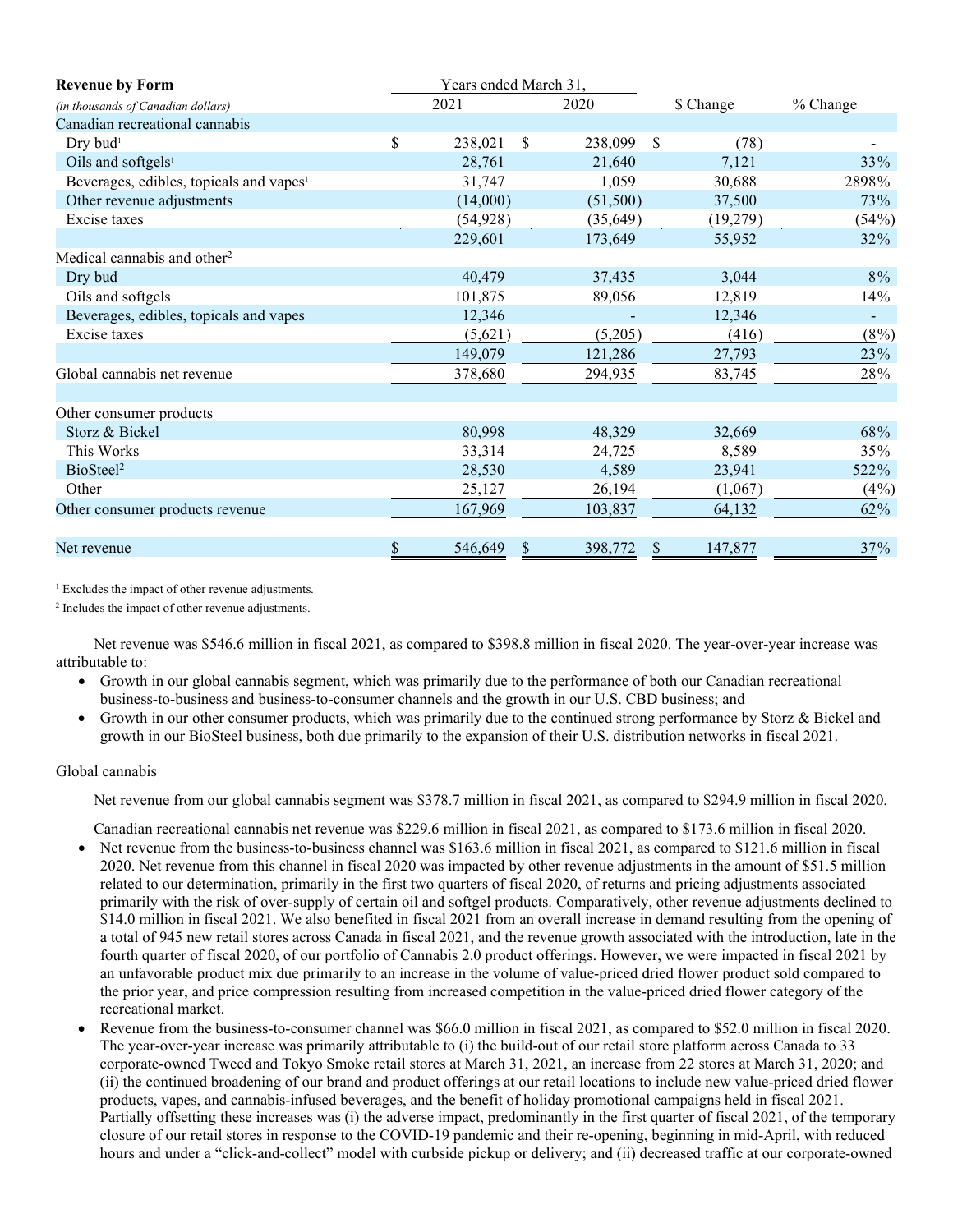| <b>Revenue by Form</b>                              | Years ended March 31, |               |            |          |
|-----------------------------------------------------|-----------------------|---------------|------------|----------|
| (in thousands of Canadian dollars)                  | 2021                  | 2020          | \$ Change  | % Change |
| Canadian recreational cannabis                      |                       |               |            |          |
| Dry bud <sup>1</sup>                                | \$<br>238,021         | \$<br>238,099 | \$<br>(78) |          |
| Oils and softgels <sup>1</sup>                      | 28,761                | 21,640        | 7,121      | 33%      |
| Beverages, edibles, topicals and vapes <sup>1</sup> | 31,747                | 1,059         | 30,688     | 2898%    |
| Other revenue adjustments                           | (14,000)              | (51,500)      | 37,500     | 73%      |
| Excise taxes                                        | (54, 928)             | (35, 649)     | (19,279)   | (54%)    |
|                                                     | 229,601               | 173,649       | 55,952     | 32%      |
| Medical cannabis and other <sup>2</sup>             |                       |               |            |          |
| Dry bud                                             | 40,479                | 37,435        | 3,044      | 8%       |
| Oils and softgels                                   | 101,875               | 89,056        | 12,819     | 14%      |
| Beverages, edibles, topicals and vapes              | 12,346                |               | 12,346     |          |
| Excise taxes                                        | (5,621)               | (5,205)       | (416)      | $(8\%)$  |
|                                                     | 149,079               | 121,286       | 27,793     | 23%      |
| Global cannabis net revenue                         | 378,680               | 294,935       | 83,745     | 28%      |
|                                                     |                       |               |            |          |
| Other consumer products                             |                       |               |            |          |
| Storz & Bickel                                      | 80,998                | 48,329        | 32,669     | 68%      |
| This Works                                          | 33,314                | 24,725        | 8,589      | 35%      |
| BioSteel <sup>2</sup>                               | 28,530                | 4,589         | 23,941     | 522%     |
| Other                                               | 25,127                | 26,194        | (1,067)    | $(4\%)$  |
| Other consumer products revenue                     | 167,969               | 103,837       | 64,132     | 62%      |
|                                                     |                       |               |            |          |
| Net revenue                                         | \$<br>546,649         | 398,772       | 147,877    | 37%      |

<sup>1</sup> Excludes the impact of other revenue adjustments.

<sup>2</sup> Includes the impact of other revenue adjustments.

Net revenue was \$546.6 million in fiscal 2021, as compared to \$398.8 million in fiscal 2020. The year-over-year increase was attributable to:

- Growth in our global cannabis segment, which was primarily due to the performance of both our Canadian recreational business-to-business and business-to-consumer channels and the growth in our U.S. CBD business; and
- Growth in our other consumer products, which was primarily due to the continued strong performance by Storz & Bickel and growth in our BioSteel business, both due primarily to the expansion of their U.S. distribution networks in fiscal 2021.

# Global cannabis

Net revenue from our global cannabis segment was \$378.7 million in fiscal 2021, as compared to \$294.9 million in fiscal 2020.

Canadian recreational cannabis net revenue was \$229.6 million in fiscal 2021, as compared to \$173.6 million in fiscal 2020.

- Net revenue from the business-to-business channel was \$163.6 million in fiscal 2021, as compared to \$121.6 million in fiscal 2020. Net revenue from this channel in fiscal 2020 was impacted by other revenue adjustments in the amount of \$51.5 million related to our determination, primarily in the first two quarters of fiscal 2020, of returns and pricing adjustments associated primarily with the risk of over-supply of certain oil and softgel products. Comparatively, other revenue adjustments declined to \$14.0 million in fiscal 2021. We also benefited in fiscal 2021 from an overall increase in demand resulting from the opening of a total of 945 new retail stores across Canada in fiscal 2021, and the revenue growth associated with the introduction, late in the fourth quarter of fiscal 2020, of our portfolio of Cannabis 2.0 product offerings. However, we were impacted in fiscal 2021 by an unfavorable product mix due primarily to an increase in the volume of value-priced dried flower product sold compared to the prior year, and price compression resulting from increased competition in the value-priced dried flower category of the recreational market.
- Revenue from the business-to-consumer channel was \$66.0 million in fiscal 2021, as compared to \$52.0 million in fiscal 2020. The year-over-year increase was primarily attributable to (i) the build-out of our retail store platform across Canada to 33 corporate-owned Tweed and Tokyo Smoke retail stores at March 31, 2021, an increase from 22 stores at March 31, 2020; and (ii) the continued broadening of our brand and product offerings at our retail locations to include new value-priced dried flower products, vapes, and cannabis-infused beverages, and the benefit of holiday promotional campaigns held in fiscal 2021. Partially offsetting these increases was (i) the adverse impact, predominantly in the first quarter of fiscal 2021, of the temporary closure of our retail stores in response to the COVID-19 pandemic and their re-opening, beginning in mid-April, with reduced hours and under a "click-and-collect" model with curbside pickup or delivery; and (ii) decreased traffic at our corporate-owned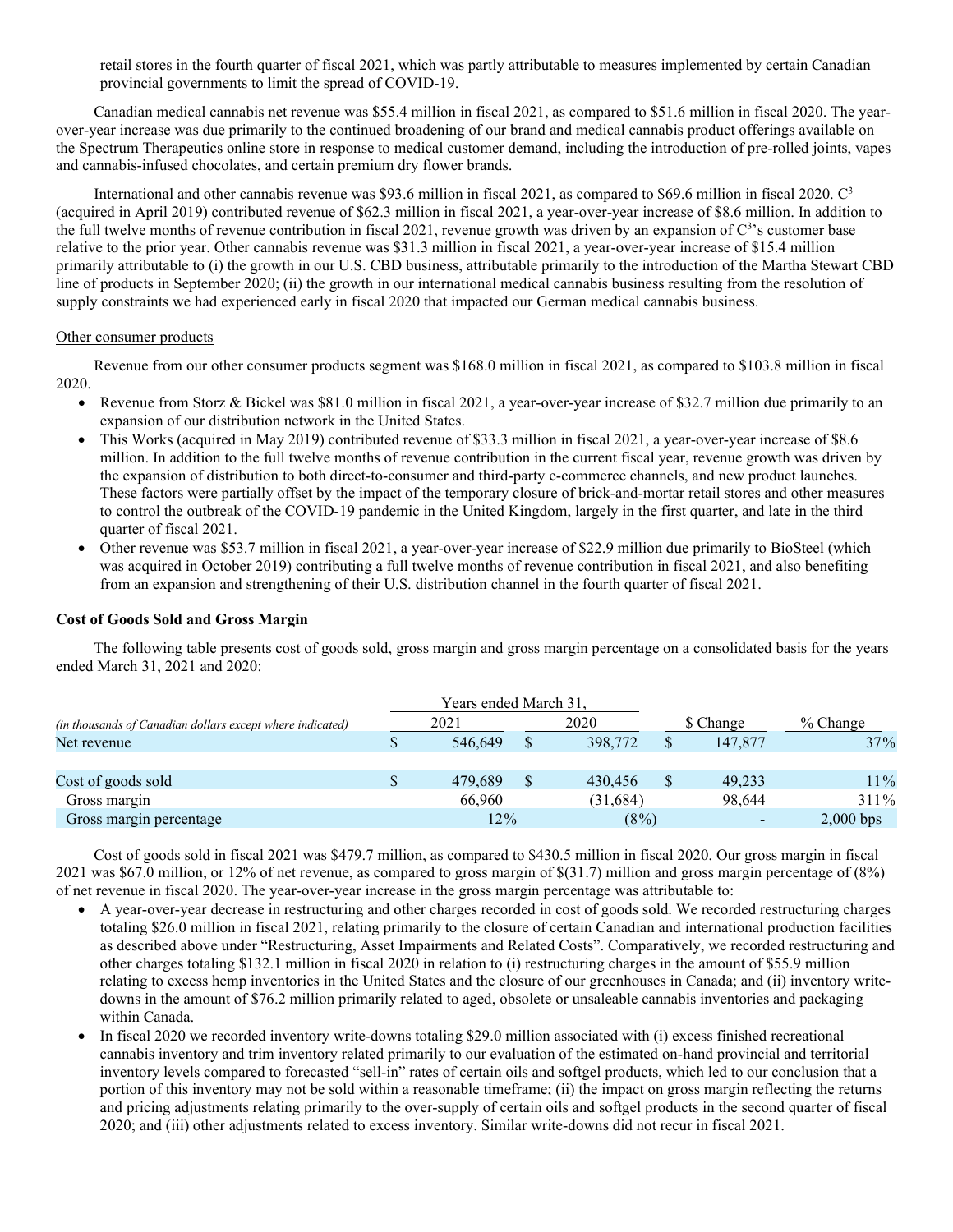retail stores in the fourth quarter of fiscal 2021, which was partly attributable to measures implemented by certain Canadian provincial governments to limit the spread of COVID-19.

Canadian medical cannabis net revenue was \$55.4 million in fiscal 2021, as compared to \$51.6 million in fiscal 2020. The yearover-year increase was due primarily to the continued broadening of our brand and medical cannabis product offerings available on the Spectrum Therapeutics online store in response to medical customer demand, including the introduction of pre-rolled joints, vapes and cannabis-infused chocolates, and certain premium dry flower brands.

International and other cannabis revenue was \$93.6 million in fiscal 2021, as compared to \$69.6 million in fiscal 2020. C3 (acquired in April 2019) contributed revenue of \$62.3 million in fiscal 2021, a year-over-year increase of \$8.6 million. In addition to the full twelve months of revenue contribution in fiscal 2021, revenue growth was driven by an expansion of  $C<sup>3</sup>$ 's customer base relative to the prior year. Other cannabis revenue was \$31.3 million in fiscal 2021, a year-over-year increase of \$15.4 million primarily attributable to (i) the growth in our U.S. CBD business, attributable primarily to the introduction of the Martha Stewart CBD line of products in September 2020; (ii) the growth in our international medical cannabis business resulting from the resolution of supply constraints we had experienced early in fiscal 2020 that impacted our German medical cannabis business.

# Other consumer products

Revenue from our other consumer products segment was \$168.0 million in fiscal 2021, as compared to \$103.8 million in fiscal 2020.

- Revenue from Storz & Bickel was \$81.0 million in fiscal 2021, a year-over-year increase of \$32.7 million due primarily to an expansion of our distribution network in the United States.
- This Works (acquired in May 2019) contributed revenue of \$33.3 million in fiscal 2021, a year-over-year increase of \$8.6 million. In addition to the full twelve months of revenue contribution in the current fiscal year, revenue growth was driven by the expansion of distribution to both direct-to-consumer and third-party e-commerce channels, and new product launches. These factors were partially offset by the impact of the temporary closure of brick-and-mortar retail stores and other measures to control the outbreak of the COVID-19 pandemic in the United Kingdom, largely in the first quarter, and late in the third quarter of fiscal 2021.
- Other revenue was \$53.7 million in fiscal 2021, a year-over-year increase of \$22.9 million due primarily to BioSteel (which was acquired in October 2019) contributing a full twelve months of revenue contribution in fiscal 2021, and also benefiting from an expansion and strengthening of their U.S. distribution channel in the fourth quarter of fiscal 2021.

# **Cost of Goods Sold and Gross Margin**

The following table presents cost of goods sold, gross margin and gross margin percentage on a consolidated basis for the years ended March 31, 2021 and 2020:

|                                                           |  | Years ended March 31. |               |           |             |
|-----------------------------------------------------------|--|-----------------------|---------------|-----------|-------------|
| (in thousands of Canadian dollars except where indicated) |  | 2021                  | 2020          | \$ Change | $%$ Change  |
| Net revenue                                               |  | 546,649               | \$<br>398,772 | 147,877   | 37%         |
|                                                           |  |                       |               |           |             |
| Cost of goods sold                                        |  | 479.689               | \$<br>430,456 | 49.233    | 11%         |
| Gross margin                                              |  | 66,960                | (31,684)      | 98.644    | 311%        |
| Gross margin percentage                                   |  | $12\%$                | $(8\%)$       |           | $2,000$ bps |

Cost of goods sold in fiscal 2021 was \$479.7 million, as compared to \$430.5 million in fiscal 2020. Our gross margin in fiscal 2021 was \$67.0 million, or 12% of net revenue, as compared to gross margin of \$(31.7) million and gross margin percentage of (8%) of net revenue in fiscal 2020. The year-over-year increase in the gross margin percentage was attributable to:

- A year-over-year decrease in restructuring and other charges recorded in cost of goods sold. We recorded restructuring charges totaling \$26.0 million in fiscal 2021, relating primarily to the closure of certain Canadian and international production facilities as described above under "Restructuring, Asset Impairments and Related Costs". Comparatively, we recorded restructuring and other charges totaling \$132.1 million in fiscal 2020 in relation to (i) restructuring charges in the amount of \$55.9 million relating to excess hemp inventories in the United States and the closure of our greenhouses in Canada; and (ii) inventory writedowns in the amount of \$76.2 million primarily related to aged, obsolete or unsaleable cannabis inventories and packaging within Canada.
- In fiscal 2020 we recorded inventory write-downs totaling \$29.0 million associated with (i) excess finished recreational cannabis inventory and trim inventory related primarily to our evaluation of the estimated on-hand provincial and territorial inventory levels compared to forecasted "sell-in" rates of certain oils and softgel products, which led to our conclusion that a portion of this inventory may not be sold within a reasonable timeframe; (ii) the impact on gross margin reflecting the returns and pricing adjustments relating primarily to the over-supply of certain oils and softgel products in the second quarter of fiscal 2020; and (iii) other adjustments related to excess inventory. Similar write-downs did not recur in fiscal 2021.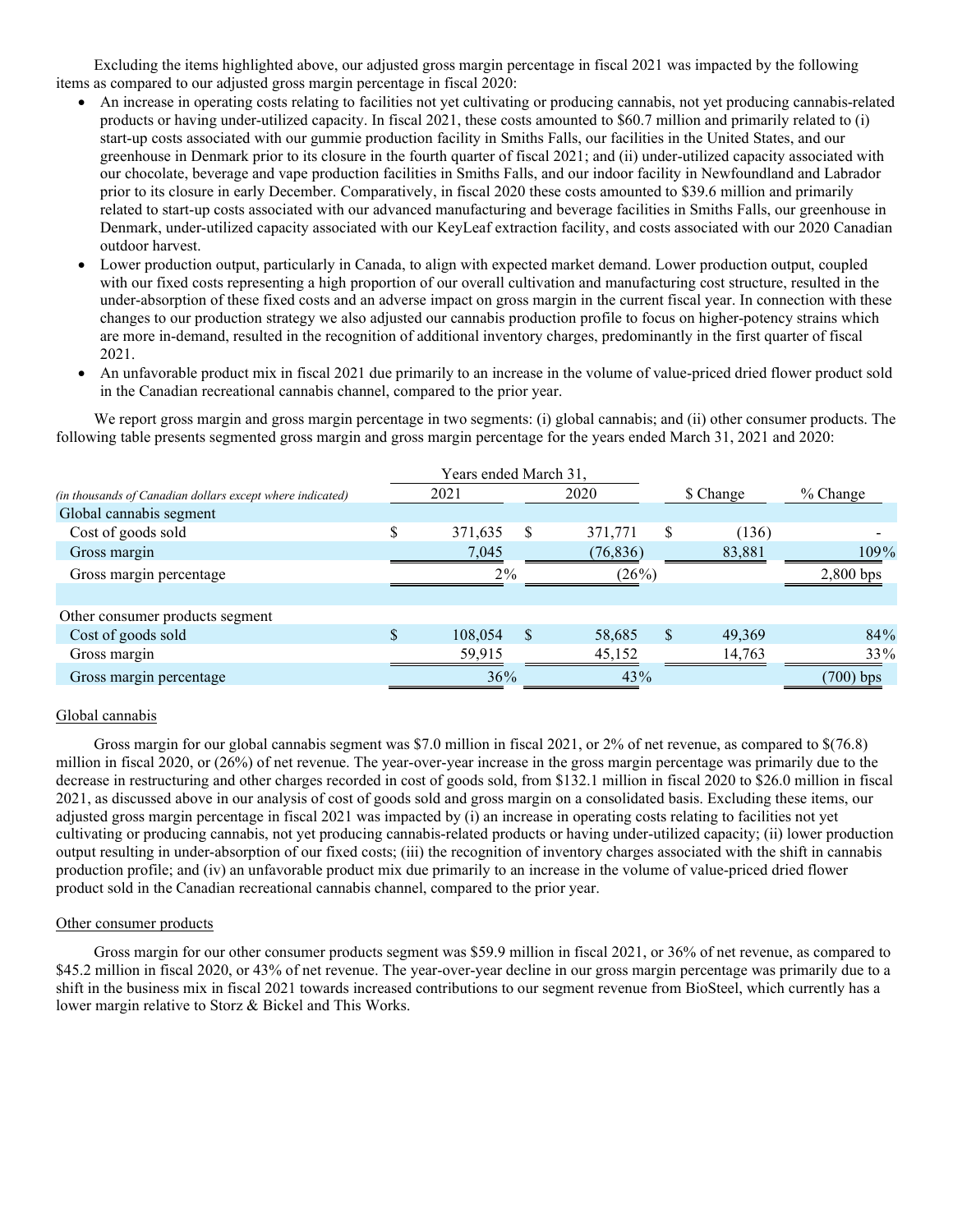Excluding the items highlighted above, our adjusted gross margin percentage in fiscal 2021 was impacted by the following items as compared to our adjusted gross margin percentage in fiscal 2020:

- An increase in operating costs relating to facilities not yet cultivating or producing cannabis, not yet producing cannabis-related products or having under-utilized capacity. In fiscal 2021, these costs amounted to \$60.7 million and primarily related to (i) start-up costs associated with our gummie production facility in Smiths Falls, our facilities in the United States, and our greenhouse in Denmark prior to its closure in the fourth quarter of fiscal 2021; and (ii) under-utilized capacity associated with our chocolate, beverage and vape production facilities in Smiths Falls, and our indoor facility in Newfoundland and Labrador prior to its closure in early December. Comparatively, in fiscal 2020 these costs amounted to \$39.6 million and primarily related to start-up costs associated with our advanced manufacturing and beverage facilities in Smiths Falls, our greenhouse in Denmark, under-utilized capacity associated with our KeyLeaf extraction facility, and costs associated with our 2020 Canadian outdoor harvest.
- Lower production output, particularly in Canada, to align with expected market demand. Lower production output, coupled with our fixed costs representing a high proportion of our overall cultivation and manufacturing cost structure, resulted in the under-absorption of these fixed costs and an adverse impact on gross margin in the current fiscal year. In connection with these changes to our production strategy we also adjusted our cannabis production profile to focus on higher-potency strains which are more in-demand, resulted in the recognition of additional inventory charges, predominantly in the first quarter of fiscal 2021.
- An unfavorable product mix in fiscal 2021 due primarily to an increase in the volume of value-priced dried flower product sold in the Canadian recreational cannabis channel, compared to the prior year.

We report gross margin and gross margin percentage in two segments: (i) global cannabis; and (ii) other consumer products. The following table presents segmented gross margin and gross margin percentage for the years ended March 31, 2021 and 2020:

|                                                           |       | Years ended March 31, |   |           |               |           |             |
|-----------------------------------------------------------|-------|-----------------------|---|-----------|---------------|-----------|-------------|
| (in thousands of Canadian dollars except where indicated) | 2021  |                       |   | 2020      |               | \$ Change | $%$ Change  |
| Global cannabis segment                                   |       |                       |   |           |               |           |             |
| Cost of goods sold                                        |       | 371,635               | S | 371,771   |               | (136)     |             |
| Gross margin                                              |       | 7,045                 |   | (76, 836) |               | 83,881    | 109%        |
| Gross margin percentage                                   | $2\%$ |                       |   | (26%)     |               |           | $2,800$ bps |
| Other consumer products segment                           |       |                       |   |           |               |           |             |
| Cost of goods sold                                        |       | 108,054               | S | 58,685    | <sup>\$</sup> | 49,369    | 84%         |
| Gross margin                                              |       | 59,915                |   | 45,152    |               | 14,763    | 33%         |
| Gross margin percentage                                   |       | 36%                   |   | 43%       |               |           | $(700)$ bps |

#### Global cannabis

Gross margin for our global cannabis segment was \$7.0 million in fiscal 2021, or 2% of net revenue, as compared to \$(76.8) million in fiscal 2020, or (26%) of net revenue. The year-over-year increase in the gross margin percentage was primarily due to the decrease in restructuring and other charges recorded in cost of goods sold, from \$132.1 million in fiscal 2020 to \$26.0 million in fiscal 2021, as discussed above in our analysis of cost of goods sold and gross margin on a consolidated basis. Excluding these items, our adjusted gross margin percentage in fiscal 2021 was impacted by (i) an increase in operating costs relating to facilities not yet cultivating or producing cannabis, not yet producing cannabis-related products or having under-utilized capacity; (ii) lower production output resulting in under-absorption of our fixed costs; (iii) the recognition of inventory charges associated with the shift in cannabis production profile; and (iv) an unfavorable product mix due primarily to an increase in the volume of value-priced dried flower product sold in the Canadian recreational cannabis channel, compared to the prior year.

#### Other consumer products

Gross margin for our other consumer products segment was \$59.9 million in fiscal 2021, or 36% of net revenue, as compared to \$45.2 million in fiscal 2020, or 43% of net revenue. The year-over-year decline in our gross margin percentage was primarily due to a shift in the business mix in fiscal 2021 towards increased contributions to our segment revenue from BioSteel, which currently has a lower margin relative to Storz & Bickel and This Works.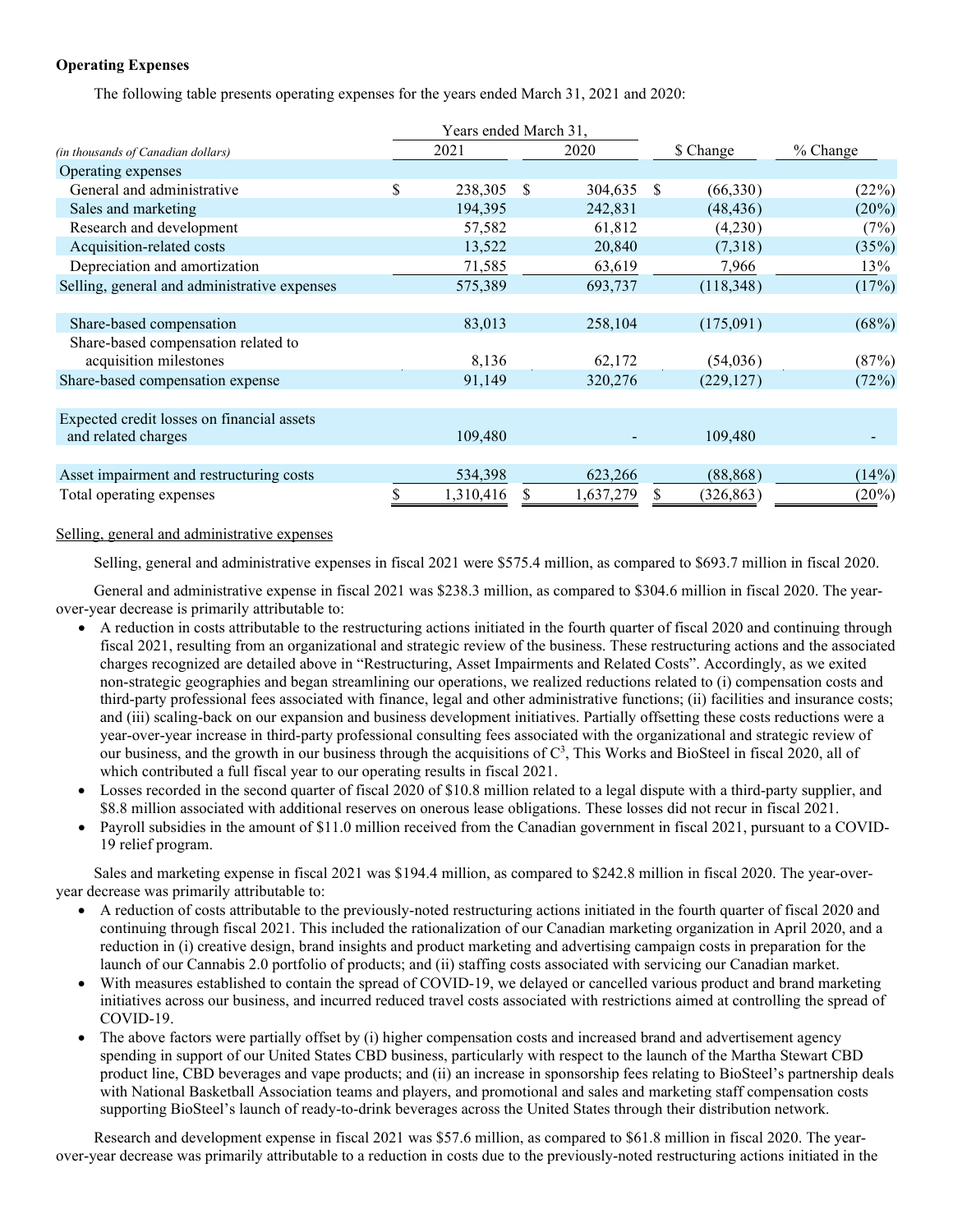# **Operating Expenses**

The following table presents operating expenses for the years ended March 31, 2021 and 2020:

|                                              |    | Years ended March 31, |               |           |              |            |          |
|----------------------------------------------|----|-----------------------|---------------|-----------|--------------|------------|----------|
| (in thousands of Canadian dollars)           |    | 2021                  |               | 2020      |              | \$ Change  | % Change |
| Operating expenses                           |    |                       |               |           |              |            |          |
| General and administrative                   | \$ | 238,305               | $\mathcal{S}$ | 304,635   | <sup>S</sup> | (66,330)   | (22%)    |
| Sales and marketing                          |    | 194,395               |               | 242,831   |              | (48, 436)  | $(20\%)$ |
| Research and development                     |    | 57,582                |               | 61,812    |              | (4,230)    | (7%)     |
| Acquisition-related costs                    |    | 13,522                |               | 20,840    |              | (7,318)    | (35%)    |
| Depreciation and amortization                |    | 71,585                |               | 63,619    |              | 7,966      | 13%      |
| Selling, general and administrative expenses |    | 575,389               |               | 693,737   |              | (118,348)  | (17%)    |
|                                              |    |                       |               |           |              |            |          |
| Share-based compensation                     |    | 83,013                |               | 258,104   |              | (175,091)  | (68%)    |
| Share-based compensation related to          |    |                       |               |           |              |            |          |
| acquisition milestones                       |    | 8,136                 |               | 62,172    |              | (54,036)   | (87%)    |
| Share-based compensation expense             |    | 91,149                | 320,276       |           |              | (229, 127) | (72%)    |
|                                              |    |                       |               |           |              |            |          |
| Expected credit losses on financial assets   |    |                       |               |           |              |            |          |
| and related charges                          |    | 109,480               |               |           |              | 109,480    |          |
|                                              |    |                       |               |           |              |            |          |
| Asset impairment and restructuring costs     |    | 534,398               |               | 623,266   |              | (88, 868)  | (14%)    |
| Total operating expenses                     |    | 1,310,416             |               | 1,637,279 |              | (326, 863) | $(20\%)$ |

# Selling, general and administrative expenses

Selling, general and administrative expenses in fiscal 2021 were \$575.4 million, as compared to \$693.7 million in fiscal 2020.

General and administrative expense in fiscal 2021 was \$238.3 million, as compared to \$304.6 million in fiscal 2020. The yearover-year decrease is primarily attributable to:

- A reduction in costs attributable to the restructuring actions initiated in the fourth quarter of fiscal 2020 and continuing through fiscal 2021, resulting from an organizational and strategic review of the business. These restructuring actions and the associated charges recognized are detailed above in "Restructuring, Asset Impairments and Related Costs". Accordingly, as we exited non-strategic geographies and began streamlining our operations, we realized reductions related to (i) compensation costs and third-party professional fees associated with finance, legal and other administrative functions; (ii) facilities and insurance costs; and (iii) scaling-back on our expansion and business development initiatives. Partially offsetting these costs reductions were a year-over-year increase in third-party professional consulting fees associated with the organizational and strategic review of our business, and the growth in our business through the acquisitions of  $C<sup>3</sup>$ , This Works and BioSteel in fiscal 2020, all of which contributed a full fiscal year to our operating results in fiscal 2021.
- Losses recorded in the second quarter of fiscal 2020 of \$10.8 million related to a legal dispute with a third-party supplier, and \$8.8 million associated with additional reserves on onerous lease obligations. These losses did not recur in fiscal 2021.
- Payroll subsidies in the amount of \$11.0 million received from the Canadian government in fiscal 2021, pursuant to a COVID-19 relief program.

Sales and marketing expense in fiscal 2021 was \$194.4 million, as compared to \$242.8 million in fiscal 2020. The year-overyear decrease was primarily attributable to:

- A reduction of costs attributable to the previously-noted restructuring actions initiated in the fourth quarter of fiscal 2020 and continuing through fiscal 2021. This included the rationalization of our Canadian marketing organization in April 2020, and a reduction in (i) creative design, brand insights and product marketing and advertising campaign costs in preparation for the launch of our Cannabis 2.0 portfolio of products; and (ii) staffing costs associated with servicing our Canadian market.
- With measures established to contain the spread of COVID-19, we delayed or cancelled various product and brand marketing initiatives across our business, and incurred reduced travel costs associated with restrictions aimed at controlling the spread of COVID-19.
- The above factors were partially offset by (i) higher compensation costs and increased brand and advertisement agency spending in support of our United States CBD business, particularly with respect to the launch of the Martha Stewart CBD product line, CBD beverages and vape products; and (ii) an increase in sponsorship fees relating to BioSteel's partnership deals with National Basketball Association teams and players, and promotional and sales and marketing staff compensation costs supporting BioSteel's launch of ready-to-drink beverages across the United States through their distribution network.

Research and development expense in fiscal 2021 was \$57.6 million, as compared to \$61.8 million in fiscal 2020. The yearover-year decrease was primarily attributable to a reduction in costs due to the previously-noted restructuring actions initiated in the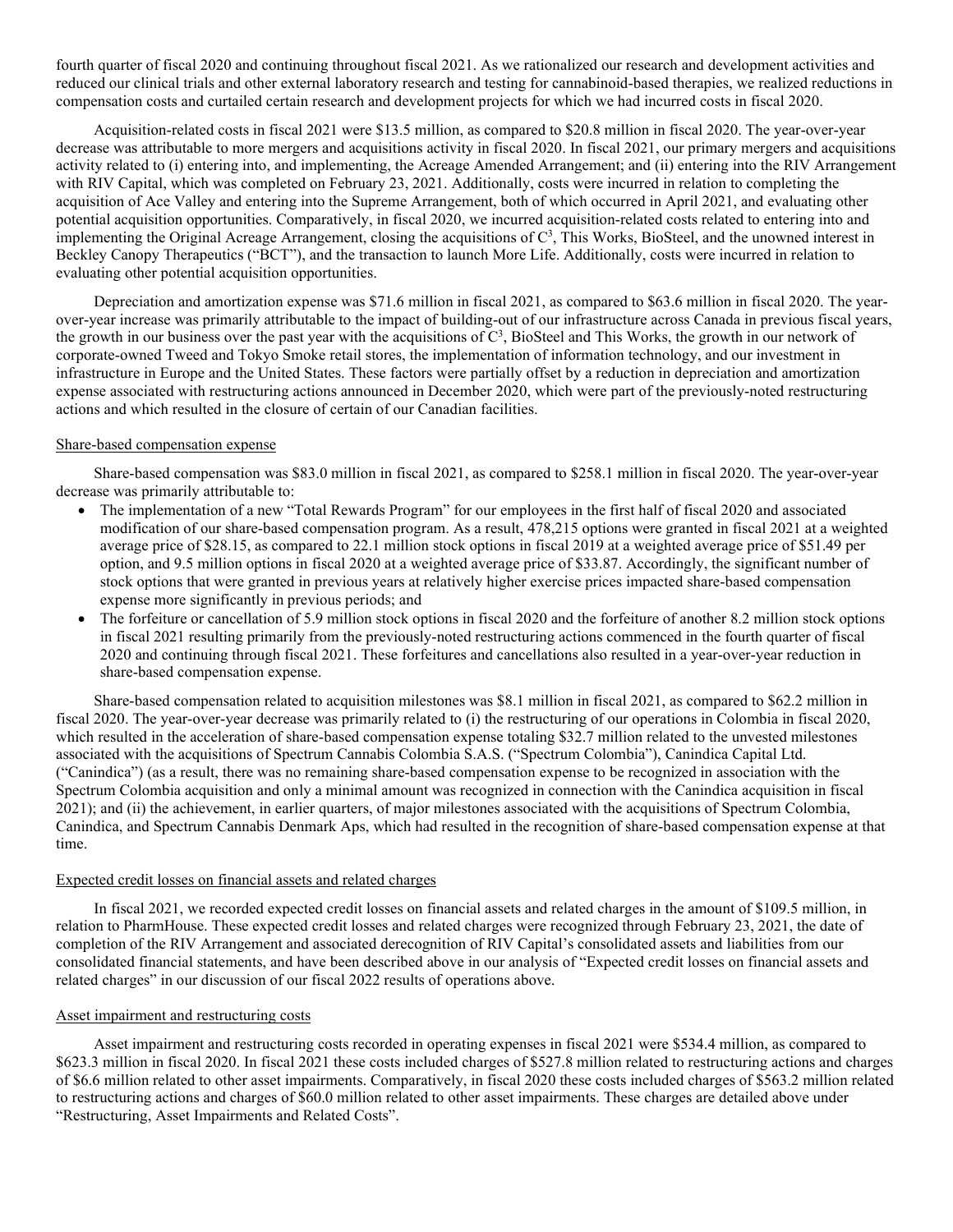fourth quarter of fiscal 2020 and continuing throughout fiscal 2021. As we rationalized our research and development activities and reduced our clinical trials and other external laboratory research and testing for cannabinoid-based therapies, we realized reductions in compensation costs and curtailed certain research and development projects for which we had incurred costs in fiscal 2020.

Acquisition-related costs in fiscal 2021 were \$13.5 million, as compared to \$20.8 million in fiscal 2020. The year-over-year decrease was attributable to more mergers and acquisitions activity in fiscal 2020. In fiscal 2021, our primary mergers and acquisitions activity related to (i) entering into, and implementing, the Acreage Amended Arrangement; and (ii) entering into the RIV Arrangement with RIV Capital, which was completed on February 23, 2021. Additionally, costs were incurred in relation to completing the acquisition of Ace Valley and entering into the Supreme Arrangement, both of which occurred in April 2021, and evaluating other potential acquisition opportunities. Comparatively, in fiscal 2020, we incurred acquisition-related costs related to entering into and implementing the Original Acreage Arrangement, closing the acquisitions of  $C<sup>3</sup>$ , This Works, BioSteel, and the unowned interest in Beckley Canopy Therapeutics ("BCT"), and the transaction to launch More Life. Additionally, costs were incurred in relation to evaluating other potential acquisition opportunities.

Depreciation and amortization expense was \$71.6 million in fiscal 2021, as compared to \$63.6 million in fiscal 2020. The yearover-year increase was primarily attributable to the impact of building-out of our infrastructure across Canada in previous fiscal years, the growth in our business over the past year with the acquisitions of  $C<sup>3</sup>$ , BioSteel and This Works, the growth in our network of corporate-owned Tweed and Tokyo Smoke retail stores, the implementation of information technology, and our investment in infrastructure in Europe and the United States. These factors were partially offset by a reduction in depreciation and amortization expense associated with restructuring actions announced in December 2020, which were part of the previously-noted restructuring actions and which resulted in the closure of certain of our Canadian facilities.

# Share-based compensation expense

Share-based compensation was \$83.0 million in fiscal 2021, as compared to \$258.1 million in fiscal 2020. The year-over-year decrease was primarily attributable to:

- The implementation of a new "Total Rewards Program" for our employees in the first half of fiscal 2020 and associated modification of our share-based compensation program. As a result, 478,215 options were granted in fiscal 2021 at a weighted average price of \$28.15, as compared to 22.1 million stock options in fiscal 2019 at a weighted average price of \$51.49 per option, and 9.5 million options in fiscal 2020 at a weighted average price of \$33.87. Accordingly, the significant number of stock options that were granted in previous years at relatively higher exercise prices impacted share-based compensation expense more significantly in previous periods; and
- The forfeiture or cancellation of 5.9 million stock options in fiscal 2020 and the forfeiture of another 8.2 million stock options in fiscal 2021 resulting primarily from the previously-noted restructuring actions commenced in the fourth quarter of fiscal 2020 and continuing through fiscal 2021. These forfeitures and cancellations also resulted in a year-over-year reduction in share-based compensation expense.

Share-based compensation related to acquisition milestones was \$8.1 million in fiscal 2021, as compared to \$62.2 million in fiscal 2020. The year-over-year decrease was primarily related to (i) the restructuring of our operations in Colombia in fiscal 2020, which resulted in the acceleration of share-based compensation expense totaling \$32.7 million related to the unvested milestones associated with the acquisitions of Spectrum Cannabis Colombia S.A.S. ("Spectrum Colombia"), Canindica Capital Ltd. ("Canindica") (as a result, there was no remaining share-based compensation expense to be recognized in association with the Spectrum Colombia acquisition and only a minimal amount was recognized in connection with the Canindica acquisition in fiscal 2021); and (ii) the achievement, in earlier quarters, of major milestones associated with the acquisitions of Spectrum Colombia, Canindica, and Spectrum Cannabis Denmark Aps, which had resulted in the recognition of share-based compensation expense at that time.

#### Expected credit losses on financial assets and related charges

In fiscal 2021, we recorded expected credit losses on financial assets and related charges in the amount of \$109.5 million, in relation to PharmHouse. These expected credit losses and related charges were recognized through February 23, 2021, the date of completion of the RIV Arrangement and associated derecognition of RIV Capital's consolidated assets and liabilities from our consolidated financial statements, and have been described above in our analysis of "Expected credit losses on financial assets and related charges" in our discussion of our fiscal 2022 results of operations above.

# Asset impairment and restructuring costs

Asset impairment and restructuring costs recorded in operating expenses in fiscal 2021 were \$534.4 million, as compared to \$623.3 million in fiscal 2020. In fiscal 2021 these costs included charges of \$527.8 million related to restructuring actions and charges of \$6.6 million related to other asset impairments. Comparatively, in fiscal 2020 these costs included charges of \$563.2 million related to restructuring actions and charges of \$60.0 million related to other asset impairments. These charges are detailed above under "Restructuring, Asset Impairments and Related Costs".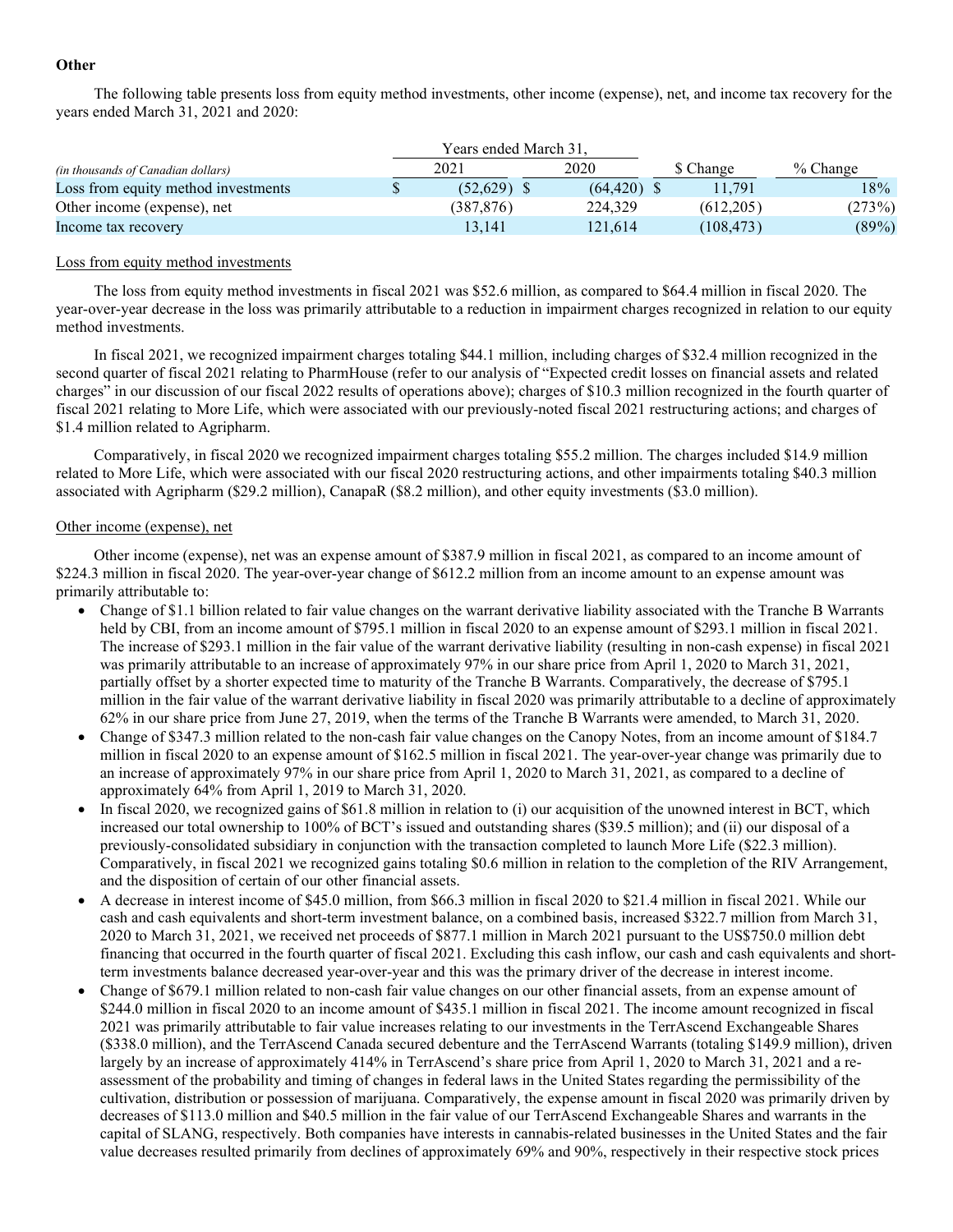# **Other**

The following table presents loss from equity method investments, other income (expense), net, and income tax recovery for the years ended March 31, 2021 and 2020:

|                                           | Years ended March 31. |               |            |            |
|-------------------------------------------|-----------------------|---------------|------------|------------|
| <i>(in thousands of Canadian dollars)</i> | 2021                  | 2020          | \$ Change  | $%$ Change |
| Loss from equity method investments       | \$<br>(52.629)        | $(64.420)$ \$ | 11.791     | 18%        |
| Other income (expense), net               | (387.876)             | 224,329       | (612.205)  | (273%)     |
| Income tax recovery                       | 13.141                | 121.614       | (108, 473) | $(89\%)$   |

# Loss from equity method investments

The loss from equity method investments in fiscal 2021 was \$52.6 million, as compared to \$64.4 million in fiscal 2020. The year-over-year decrease in the loss was primarily attributable to a reduction in impairment charges recognized in relation to our equity method investments.

In fiscal 2021, we recognized impairment charges totaling \$44.1 million, including charges of \$32.4 million recognized in the second quarter of fiscal 2021 relating to PharmHouse (refer to our analysis of "Expected credit losses on financial assets and related charges" in our discussion of our fiscal 2022 results of operations above); charges of \$10.3 million recognized in the fourth quarter of fiscal 2021 relating to More Life, which were associated with our previously-noted fiscal 2021 restructuring actions; and charges of \$1.4 million related to Agripharm.

Comparatively, in fiscal 2020 we recognized impairment charges totaling \$55.2 million. The charges included \$14.9 million related to More Life, which were associated with our fiscal 2020 restructuring actions, and other impairments totaling \$40.3 million associated with Agripharm (\$29.2 million), CanapaR (\$8.2 million), and other equity investments (\$3.0 million).

# Other income (expense), net

Other income (expense), net was an expense amount of \$387.9 million in fiscal 2021, as compared to an income amount of \$224.3 million in fiscal 2020. The year-over-year change of \$612.2 million from an income amount to an expense amount was primarily attributable to:

- Change of \$1.1 billion related to fair value changes on the warrant derivative liability associated with the Tranche B Warrants held by CBI, from an income amount of \$795.1 million in fiscal 2020 to an expense amount of \$293.1 million in fiscal 2021. The increase of \$293.1 million in the fair value of the warrant derivative liability (resulting in non-cash expense) in fiscal 2021 was primarily attributable to an increase of approximately 97% in our share price from April 1, 2020 to March 31, 2021, partially offset by a shorter expected time to maturity of the Tranche B Warrants. Comparatively, the decrease of \$795.1 million in the fair value of the warrant derivative liability in fiscal 2020 was primarily attributable to a decline of approximately 62% in our share price from June 27, 2019, when the terms of the Tranche B Warrants were amended, to March 31, 2020.
- Change of \$347.3 million related to the non-cash fair value changes on the Canopy Notes, from an income amount of \$184.7 million in fiscal 2020 to an expense amount of \$162.5 million in fiscal 2021. The year-over-year change was primarily due to an increase of approximately 97% in our share price from April 1, 2020 to March 31, 2021, as compared to a decline of approximately 64% from April 1, 2019 to March 31, 2020.
- In fiscal 2020, we recognized gains of \$61.8 million in relation to (i) our acquisition of the unowned interest in BCT, which increased our total ownership to 100% of BCT's issued and outstanding shares (\$39.5 million); and (ii) our disposal of a previously-consolidated subsidiary in conjunction with the transaction completed to launch More Life (\$22.3 million). Comparatively, in fiscal 2021 we recognized gains totaling \$0.6 million in relation to the completion of the RIV Arrangement, and the disposition of certain of our other financial assets.
- A decrease in interest income of \$45.0 million, from \$66.3 million in fiscal 2020 to \$21.4 million in fiscal 2021. While our cash and cash equivalents and short-term investment balance, on a combined basis, increased \$322.7 million from March 31, 2020 to March 31, 2021, we received net proceeds of \$877.1 million in March 2021 pursuant to the US\$750.0 million debt financing that occurred in the fourth quarter of fiscal 2021. Excluding this cash inflow, our cash and cash equivalents and shortterm investments balance decreased year-over-year and this was the primary driver of the decrease in interest income.
- Change of \$679.1 million related to non-cash fair value changes on our other financial assets, from an expense amount of \$244.0 million in fiscal 2020 to an income amount of \$435.1 million in fiscal 2021. The income amount recognized in fiscal 2021 was primarily attributable to fair value increases relating to our investments in the TerrAscend Exchangeable Shares (\$338.0 million), and the TerrAscend Canada secured debenture and the TerrAscend Warrants (totaling \$149.9 million), driven largely by an increase of approximately 414% in TerrAscend's share price from April 1, 2020 to March 31, 2021 and a reassessment of the probability and timing of changes in federal laws in the United States regarding the permissibility of the cultivation, distribution or possession of marijuana. Comparatively, the expense amount in fiscal 2020 was primarily driven by decreases of \$113.0 million and \$40.5 million in the fair value of our TerrAscend Exchangeable Shares and warrants in the capital of SLANG, respectively. Both companies have interests in cannabis-related businesses in the United States and the fair value decreases resulted primarily from declines of approximately 69% and 90%, respectively in their respective stock prices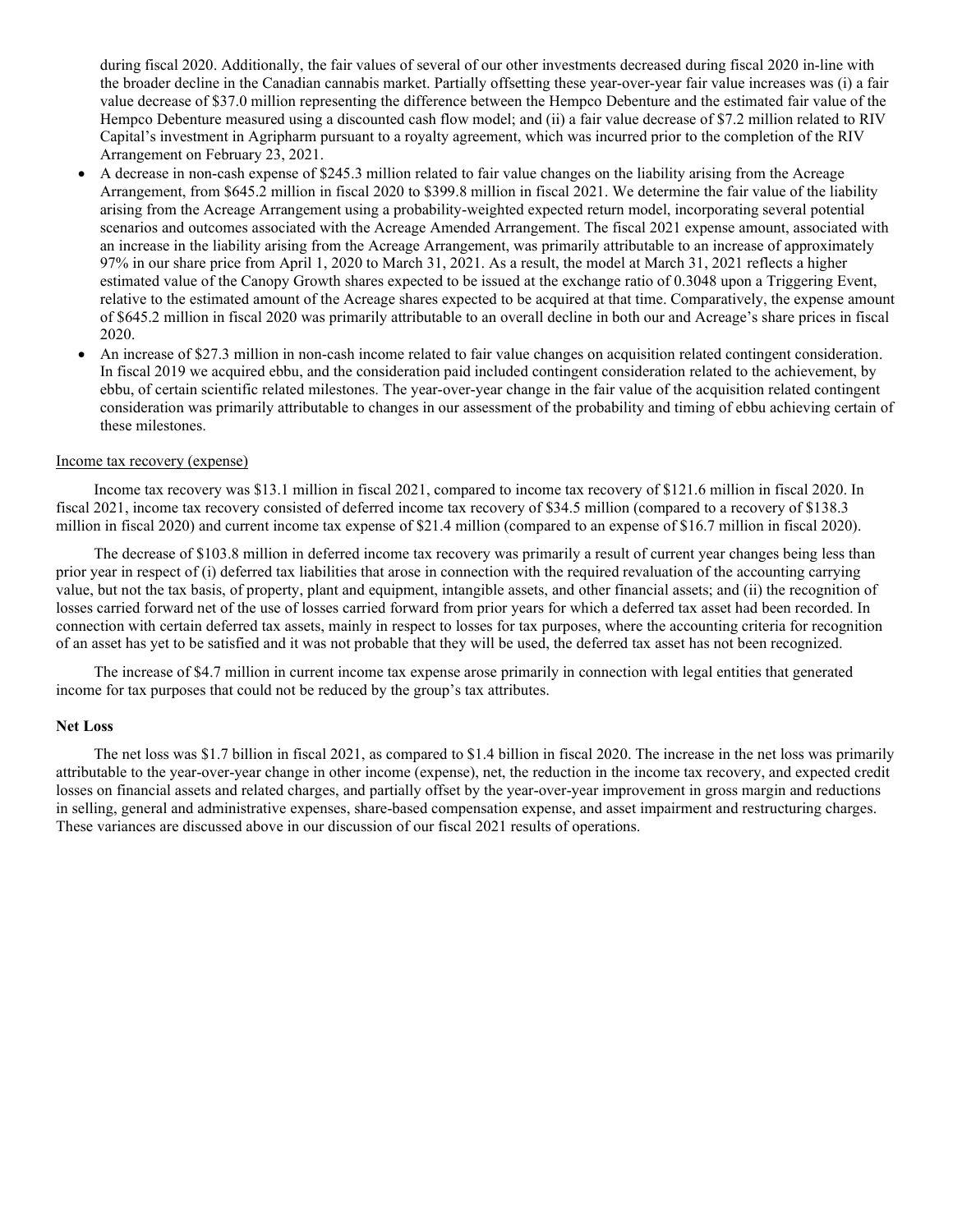during fiscal 2020. Additionally, the fair values of several of our other investments decreased during fiscal 2020 in-line with the broader decline in the Canadian cannabis market. Partially offsetting these year-over-year fair value increases was (i) a fair value decrease of \$37.0 million representing the difference between the Hempco Debenture and the estimated fair value of the Hempco Debenture measured using a discounted cash flow model; and (ii) a fair value decrease of \$7.2 million related to RIV Capital's investment in Agripharm pursuant to a royalty agreement, which was incurred prior to the completion of the RIV Arrangement on February 23, 2021.

- A decrease in non-cash expense of \$245.3 million related to fair value changes on the liability arising from the Acreage Arrangement, from \$645.2 million in fiscal 2020 to \$399.8 million in fiscal 2021. We determine the fair value of the liability arising from the Acreage Arrangement using a probability-weighted expected return model, incorporating several potential scenarios and outcomes associated with the Acreage Amended Arrangement. The fiscal 2021 expense amount, associated with an increase in the liability arising from the Acreage Arrangement, was primarily attributable to an increase of approximately 97% in our share price from April 1, 2020 to March 31, 2021. As a result, the model at March 31, 2021 reflects a higher estimated value of the Canopy Growth shares expected to be issued at the exchange ratio of 0.3048 upon a Triggering Event, relative to the estimated amount of the Acreage shares expected to be acquired at that time. Comparatively, the expense amount of \$645.2 million in fiscal 2020 was primarily attributable to an overall decline in both our and Acreage's share prices in fiscal 2020.
- An increase of \$27.3 million in non-cash income related to fair value changes on acquisition related contingent consideration. In fiscal 2019 we acquired ebbu, and the consideration paid included contingent consideration related to the achievement, by ebbu, of certain scientific related milestones. The year-over-year change in the fair value of the acquisition related contingent consideration was primarily attributable to changes in our assessment of the probability and timing of ebbu achieving certain of these milestones.

# Income tax recovery (expense)

Income tax recovery was \$13.1 million in fiscal 2021, compared to income tax recovery of \$121.6 million in fiscal 2020. In fiscal 2021, income tax recovery consisted of deferred income tax recovery of \$34.5 million (compared to a recovery of \$138.3 million in fiscal 2020) and current income tax expense of \$21.4 million (compared to an expense of \$16.7 million in fiscal 2020).

The decrease of \$103.8 million in deferred income tax recovery was primarily a result of current year changes being less than prior year in respect of (i) deferred tax liabilities that arose in connection with the required revaluation of the accounting carrying value, but not the tax basis, of property, plant and equipment, intangible assets, and other financial assets; and (ii) the recognition of losses carried forward net of the use of losses carried forward from prior years for which a deferred tax asset had been recorded. In connection with certain deferred tax assets, mainly in respect to losses for tax purposes, where the accounting criteria for recognition of an asset has yet to be satisfied and it was not probable that they will be used, the deferred tax asset has not been recognized.

The increase of \$4.7 million in current income tax expense arose primarily in connection with legal entities that generated income for tax purposes that could not be reduced by the group's tax attributes.

#### **Net Loss**

The net loss was \$1.7 billion in fiscal 2021, as compared to \$1.4 billion in fiscal 2020. The increase in the net loss was primarily attributable to the year-over-year change in other income (expense), net, the reduction in the income tax recovery, and expected credit losses on financial assets and related charges, and partially offset by the year-over-year improvement in gross margin and reductions in selling, general and administrative expenses, share-based compensation expense, and asset impairment and restructuring charges. These variances are discussed above in our discussion of our fiscal 2021 results of operations.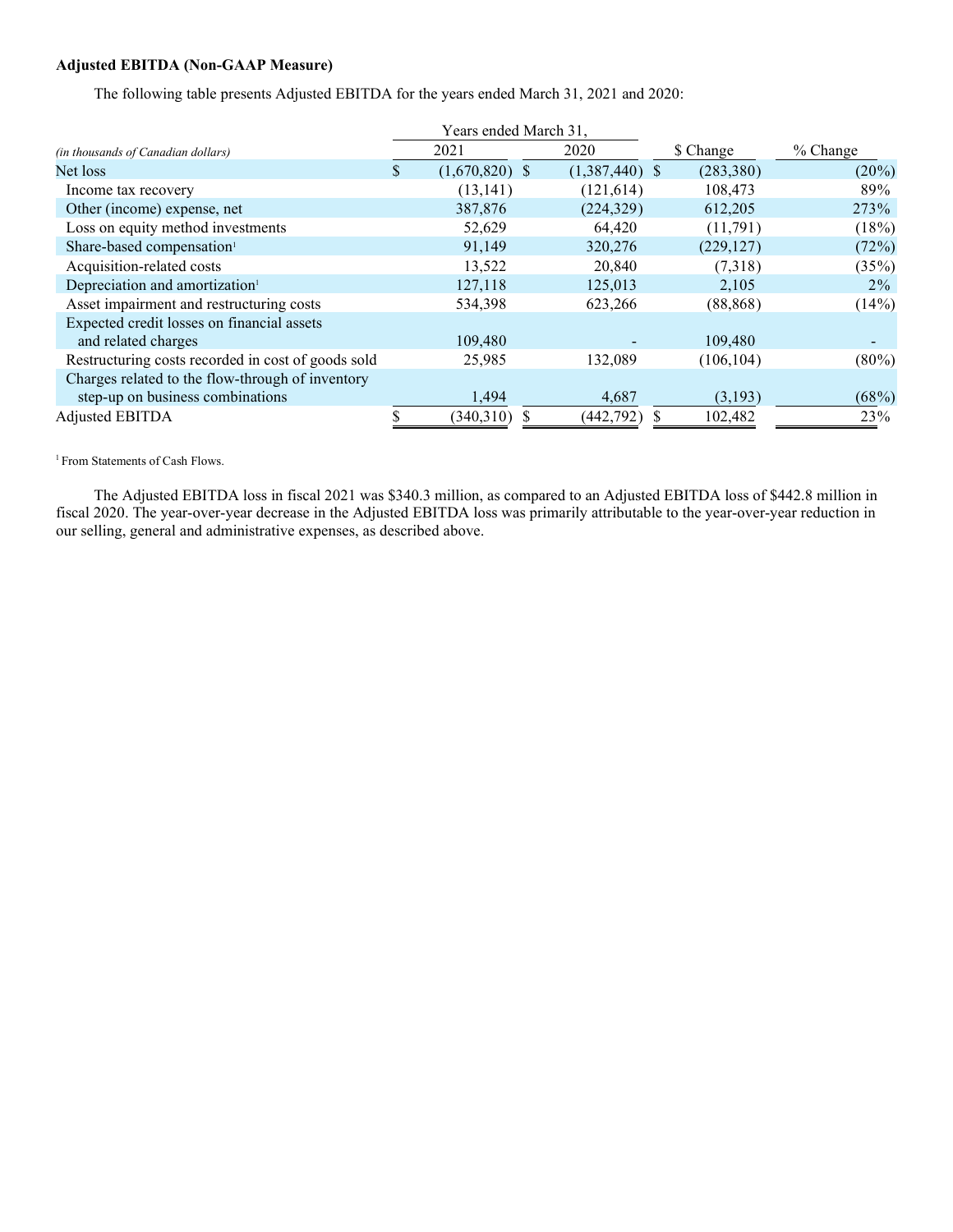# **Adjusted EBITDA (Non-GAAP Measure)**

The following table presents Adjusted EBITDA for the years ended March 31, 2021 and 2020:

|                                                    |    | Years ended March 31. |                  |            |            |
|----------------------------------------------------|----|-----------------------|------------------|------------|------------|
| <i>(in thousands of Canadian dollars)</i>          |    | 2021                  | 2020             | \$ Change  | $%$ Change |
| Net loss                                           | \$ | $(1,670,820)$ \$      | $(1,387,440)$ \$ | (283, 380) | $(20\%)$   |
| Income tax recovery                                |    | (13, 141)             | (121, 614)       | 108,473    | 89%        |
| Other (income) expense, net                        |    | 387,876               | (224, 329)       | 612,205    | 273%       |
| Loss on equity method investments                  |    | 52,629                | 64,420           | (11,791)   | (18%)      |
| Share-based compensation <sup>1</sup>              |    | 91,149                | 320,276          | (229, 127) | (72%)      |
| Acquisition-related costs                          |    | 13,522                | 20,840           | (7,318)    | (35%)      |
| Depreciation and amortization <sup>1</sup>         |    | 127,118               | 125,013          | 2,105      | $2\%$      |
| Asset impairment and restructuring costs           |    | 534,398               | 623,266          | (88, 868)  | (14%)      |
| Expected credit losses on financial assets         |    |                       |                  |            |            |
| and related charges                                |    | 109,480               |                  | 109,480    |            |
| Restructuring costs recorded in cost of goods sold |    | 25,985                | 132,089          | (106, 104) | $(80\%)$   |
| Charges related to the flow-through of inventory   |    |                       |                  |            |            |
| step-up on business combinations                   |    | 1,494                 | 4,687            | (3,193)    | (68%)      |
| Adjusted EBITDA                                    |    | (340,310)             | (442, 792)       | 102,482    | 23%        |

<sup>1</sup> From Statements of Cash Flows.

The Adjusted EBITDA loss in fiscal 2021 was \$340.3 million, as compared to an Adjusted EBITDA loss of \$442.8 million in fiscal 2020. The year-over-year decrease in the Adjusted EBITDA loss was primarily attributable to the year-over-year reduction in our selling, general and administrative expenses, as described above.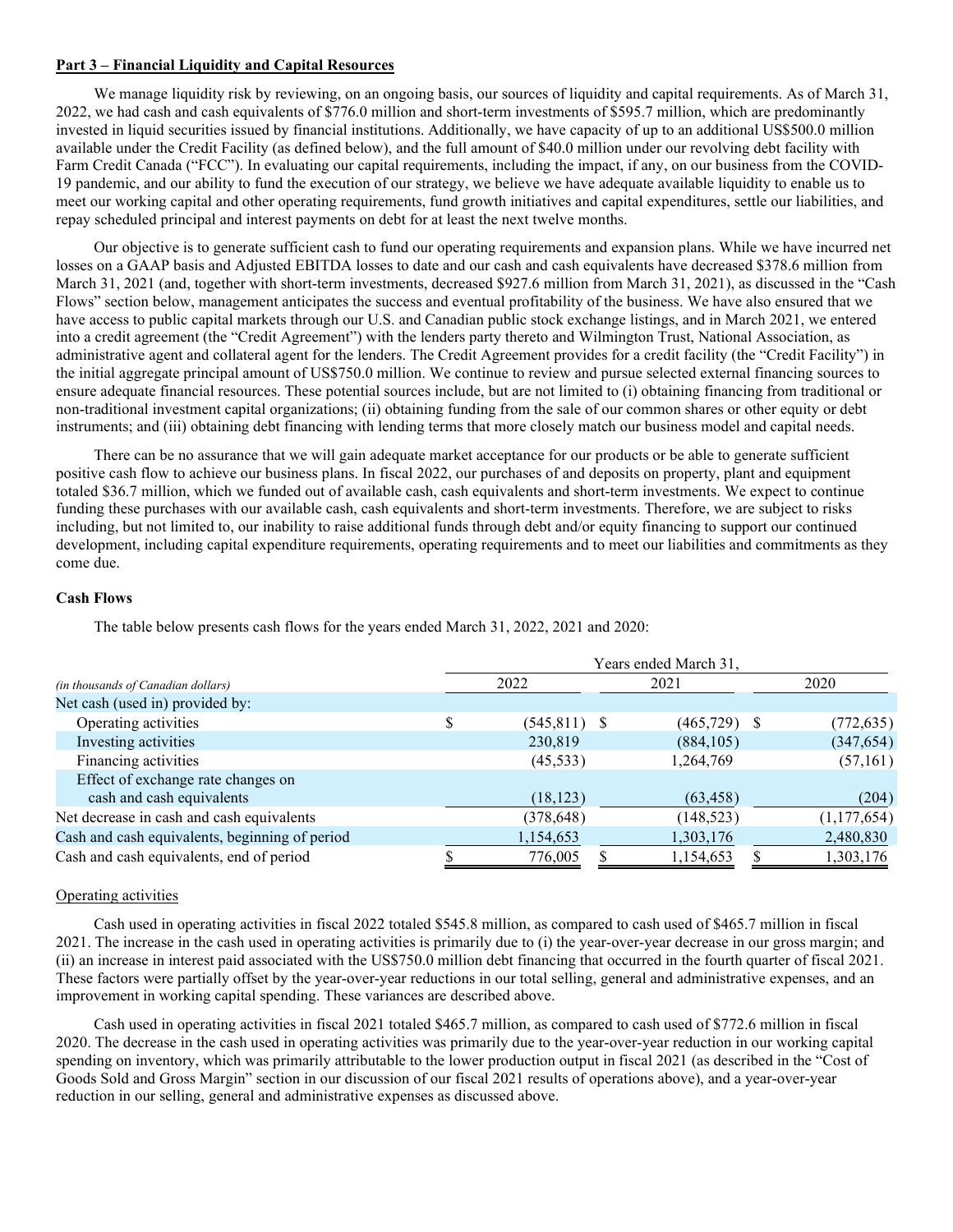# **Part 3 – Financial Liquidity and Capital Resources**

We manage liquidity risk by reviewing, on an ongoing basis, our sources of liquidity and capital requirements. As of March 31, 2022, we had cash and cash equivalents of \$776.0 million and short-term investments of \$595.7 million, which are predominantly invested in liquid securities issued by financial institutions. Additionally, we have capacity of up to an additional US\$500.0 million available under the Credit Facility (as defined below), and the full amount of \$40.0 million under our revolving debt facility with Farm Credit Canada ("FCC"). In evaluating our capital requirements, including the impact, if any, on our business from the COVID-19 pandemic, and our ability to fund the execution of our strategy, we believe we have adequate available liquidity to enable us to meet our working capital and other operating requirements, fund growth initiatives and capital expenditures, settle our liabilities, and repay scheduled principal and interest payments on debt for at least the next twelve months.

Our objective is to generate sufficient cash to fund our operating requirements and expansion plans. While we have incurred net losses on a GAAP basis and Adjusted EBITDA losses to date and our cash and cash equivalents have decreased \$378.6 million from March 31, 2021 (and, together with short-term investments, decreased \$927.6 million from March 31, 2021), as discussed in the "Cash Flows" section below, management anticipates the success and eventual profitability of the business. We have also ensured that we have access to public capital markets through our U.S. and Canadian public stock exchange listings, and in March 2021, we entered into a credit agreement (the "Credit Agreement") with the lenders party thereto and Wilmington Trust, National Association, as administrative agent and collateral agent for the lenders. The Credit Agreement provides for a credit facility (the "Credit Facility") in the initial aggregate principal amount of US\$750.0 million. We continue to review and pursue selected external financing sources to ensure adequate financial resources. These potential sources include, but are not limited to (i) obtaining financing from traditional or non-traditional investment capital organizations; (ii) obtaining funding from the sale of our common shares or other equity or debt instruments; and (iii) obtaining debt financing with lending terms that more closely match our business model and capital needs.

There can be no assurance that we will gain adequate market acceptance for our products or be able to generate sufficient positive cash flow to achieve our business plans. In fiscal 2022, our purchases of and deposits on property, plant and equipment totaled \$36.7 million, which we funded out of available cash, cash equivalents and short-term investments. We expect to continue funding these purchases with our available cash, cash equivalents and short-term investments. Therefore, we are subject to risks including, but not limited to, our inability to raise additional funds through debt and/or equity financing to support our continued development, including capital expenditure requirements, operating requirements and to meet our liabilities and commitments as they come due.

# **Cash Flows**

The table below presents cash flows for the years ended March 31, 2022, 2021 and 2020:

|                                                | Years ended March 31, |                 |  |                |      |             |  |  |  |  |  |
|------------------------------------------------|-----------------------|-----------------|--|----------------|------|-------------|--|--|--|--|--|
| (in thousands of Canadian dollars)             |                       | 2022            |  | 2021           | 2020 |             |  |  |  |  |  |
| Net cash (used in) provided by:                |                       |                 |  |                |      |             |  |  |  |  |  |
| Operating activities                           |                       | $(545, 811)$ \$ |  | $(465,729)$ \$ |      | (772, 635)  |  |  |  |  |  |
| Investing activities                           |                       | 230,819         |  | (884, 105)     |      | (347, 654)  |  |  |  |  |  |
| Financing activities                           |                       | (45, 533)       |  | 1,264,769      |      | (57,161)    |  |  |  |  |  |
| Effect of exchange rate changes on             |                       |                 |  |                |      |             |  |  |  |  |  |
| cash and cash equivalents                      |                       | (18, 123)       |  | (63, 458)      |      | (204)       |  |  |  |  |  |
| Net decrease in cash and cash equivalents      |                       | (378, 648)      |  | (148, 523)     |      | (1,177,654) |  |  |  |  |  |
| Cash and cash equivalents, beginning of period |                       | 1,154,653       |  | 1,303,176      |      | 2,480,830   |  |  |  |  |  |
| Cash and cash equivalents, end of period       |                       | 776,005         |  | 1,154,653      |      | 1,303,176   |  |  |  |  |  |

# Operating activities

Cash used in operating activities in fiscal 2022 totaled \$545.8 million, as compared to cash used of \$465.7 million in fiscal 2021. The increase in the cash used in operating activities is primarily due to (i) the year-over-year decrease in our gross margin; and (ii) an increase in interest paid associated with the US\$750.0 million debt financing that occurred in the fourth quarter of fiscal 2021. These factors were partially offset by the year-over-year reductions in our total selling, general and administrative expenses, and an improvement in working capital spending. These variances are described above.

Cash used in operating activities in fiscal 2021 totaled \$465.7 million, as compared to cash used of \$772.6 million in fiscal 2020. The decrease in the cash used in operating activities was primarily due to the year-over-year reduction in our working capital spending on inventory, which was primarily attributable to the lower production output in fiscal 2021 (as described in the "Cost of Goods Sold and Gross Margin" section in our discussion of our fiscal 2021 results of operations above), and a year-over-year reduction in our selling, general and administrative expenses as discussed above.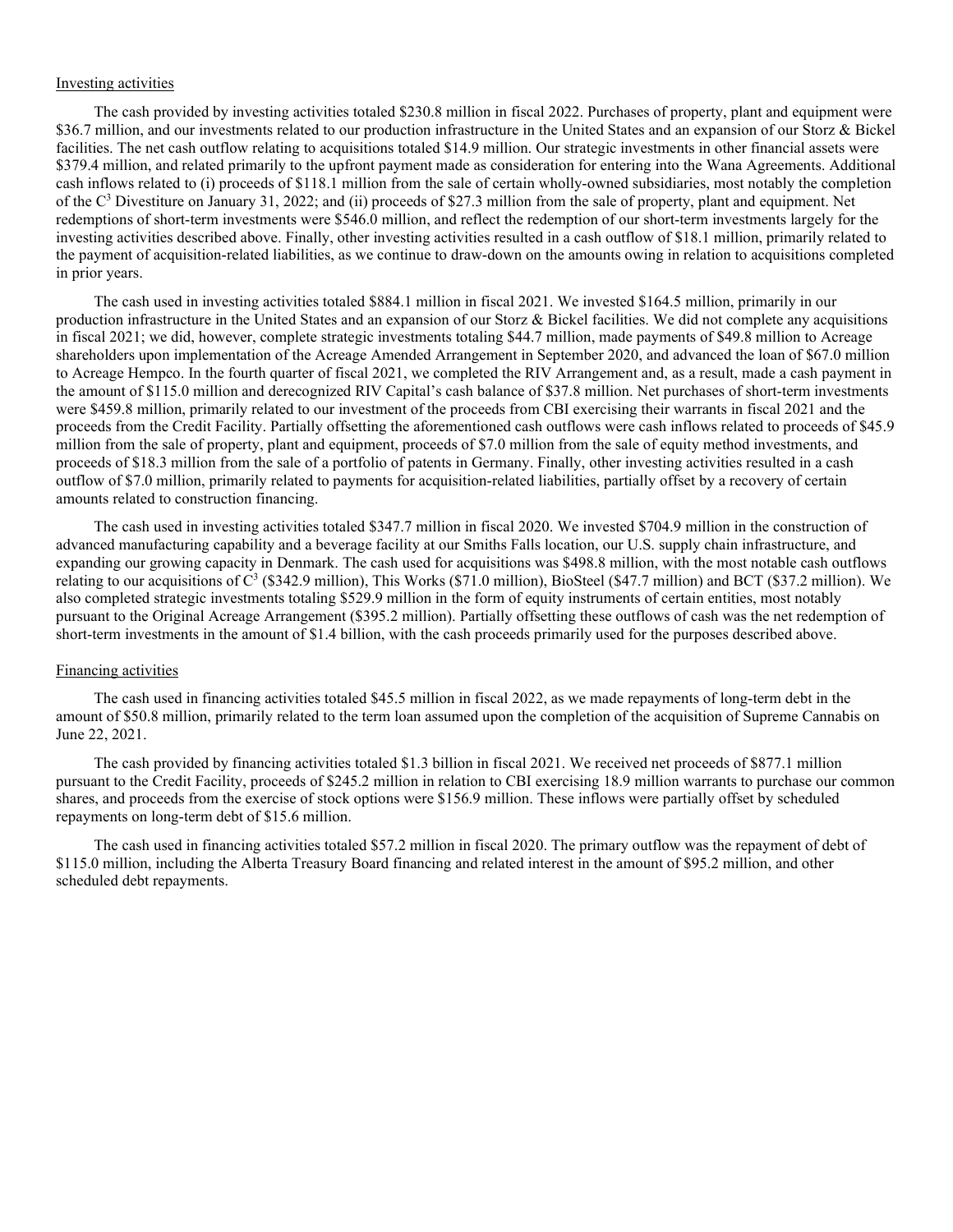# Investing activities

The cash provided by investing activities totaled \$230.8 million in fiscal 2022. Purchases of property, plant and equipment were \$36.7 million, and our investments related to our production infrastructure in the United States and an expansion of our Storz & Bickel facilities. The net cash outflow relating to acquisitions totaled \$14.9 million. Our strategic investments in other financial assets were \$379.4 million, and related primarily to the upfront payment made as consideration for entering into the Wana Agreements. Additional cash inflows related to (i) proceeds of \$118.1 million from the sale of certain wholly-owned subsidiaries, most notably the completion of the C3 Divestiture on January 31, 2022; and (ii) proceeds of \$27.3 million from the sale of property, plant and equipment. Net redemptions of short-term investments were \$546.0 million, and reflect the redemption of our short-term investments largely for the investing activities described above. Finally, other investing activities resulted in a cash outflow of \$18.1 million, primarily related to the payment of acquisition-related liabilities, as we continue to draw-down on the amounts owing in relation to acquisitions completed in prior years.

The cash used in investing activities totaled \$884.1 million in fiscal 2021. We invested \$164.5 million, primarily in our production infrastructure in the United States and an expansion of our Storz & Bickel facilities. We did not complete any acquisitions in fiscal 2021; we did, however, complete strategic investments totaling \$44.7 million, made payments of \$49.8 million to Acreage shareholders upon implementation of the Acreage Amended Arrangement in September 2020, and advanced the loan of \$67.0 million to Acreage Hempco. In the fourth quarter of fiscal 2021, we completed the RIV Arrangement and, as a result, made a cash payment in the amount of \$115.0 million and derecognized RIV Capital's cash balance of \$37.8 million. Net purchases of short-term investments were \$459.8 million, primarily related to our investment of the proceeds from CBI exercising their warrants in fiscal 2021 and the proceeds from the Credit Facility. Partially offsetting the aforementioned cash outflows were cash inflows related to proceeds of \$45.9 million from the sale of property, plant and equipment, proceeds of \$7.0 million from the sale of equity method investments, and proceeds of \$18.3 million from the sale of a portfolio of patents in Germany. Finally, other investing activities resulted in a cash outflow of \$7.0 million, primarily related to payments for acquisition-related liabilities, partially offset by a recovery of certain amounts related to construction financing.

The cash used in investing activities totaled \$347.7 million in fiscal 2020. We invested \$704.9 million in the construction of advanced manufacturing capability and a beverage facility at our Smiths Falls location, our U.S. supply chain infrastructure, and expanding our growing capacity in Denmark. The cash used for acquisitions was \$498.8 million, with the most notable cash outflows relating to our acquisitions of C3 (\$342.9 million), This Works (\$71.0 million), BioSteel (\$47.7 million) and BCT (\$37.2 million). We also completed strategic investments totaling \$529.9 million in the form of equity instruments of certain entities, most notably pursuant to the Original Acreage Arrangement (\$395.2 million). Partially offsetting these outflows of cash was the net redemption of short-term investments in the amount of \$1.4 billion, with the cash proceeds primarily used for the purposes described above.

#### Financing activities

The cash used in financing activities totaled \$45.5 million in fiscal 2022, as we made repayments of long-term debt in the amount of \$50.8 million, primarily related to the term loan assumed upon the completion of the acquisition of Supreme Cannabis on June 22, 2021.

The cash provided by financing activities totaled \$1.3 billion in fiscal 2021. We received net proceeds of \$877.1 million pursuant to the Credit Facility, proceeds of \$245.2 million in relation to CBI exercising 18.9 million warrants to purchase our common shares, and proceeds from the exercise of stock options were \$156.9 million. These inflows were partially offset by scheduled repayments on long-term debt of \$15.6 million.

The cash used in financing activities totaled \$57.2 million in fiscal 2020. The primary outflow was the repayment of debt of \$115.0 million, including the Alberta Treasury Board financing and related interest in the amount of \$95.2 million, and other scheduled debt repayments.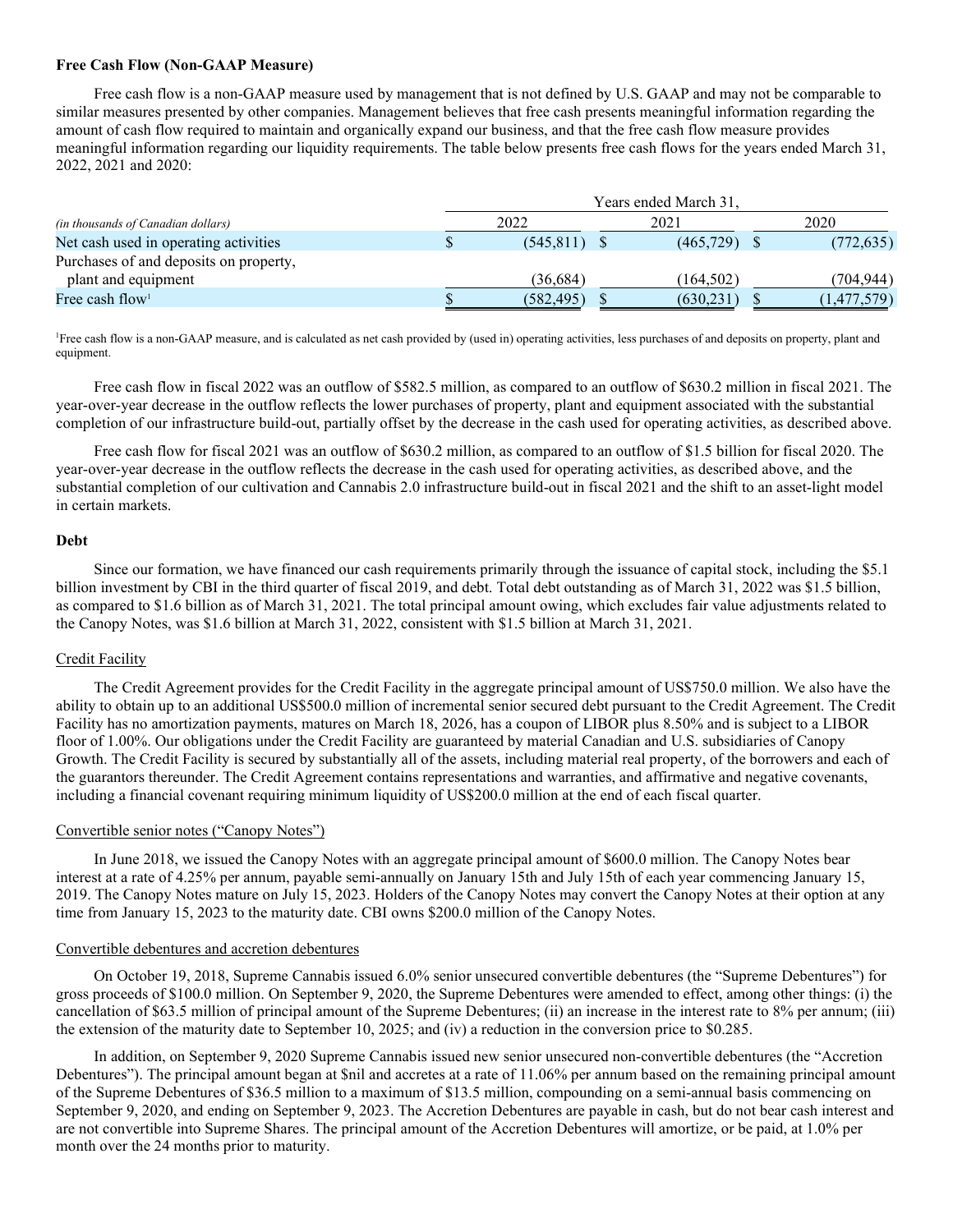# **Free Cash Flow (Non-GAAP Measure)**

Free cash flow is a non-GAAP measure used by management that is not defined by U.S. GAAP and may not be comparable to similar measures presented by other companies. Management believes that free cash presents meaningful information regarding the amount of cash flow required to maintain and organically expand our business, and that the free cash flow measure provides meaningful information regarding our liquidity requirements. The table below presents free cash flows for the years ended March 31, 2022, 2021 and 2020:

|                                           | Years ended March 31. |            |  |           |      |             |  |  |  |  |  |
|-------------------------------------------|-----------------------|------------|--|-----------|------|-------------|--|--|--|--|--|
| <i>(in thousands of Canadian dollars)</i> |                       | 2022       |  | 2021      | 2020 |             |  |  |  |  |  |
| Net cash used in operating activities     |                       | (545.811)  |  | (465,729) |      | (772, 635)  |  |  |  |  |  |
| Purchases of and deposits on property,    |                       |            |  |           |      |             |  |  |  |  |  |
| plant and equipment                       |                       | (36,684)   |  | (164.502) |      | (704.944)   |  |  |  |  |  |
| Free cash flow <sup>1</sup>               |                       | (582, 495) |  | (630,231  |      | (1,477,579) |  |  |  |  |  |

<sup>1</sup>Free cash flow is a non-GAAP measure, and is calculated as net cash provided by (used in) operating activities, less purchases of and deposits on property, plant and equipment.

Free cash flow in fiscal 2022 was an outflow of \$582.5 million, as compared to an outflow of \$630.2 million in fiscal 2021. The year-over-year decrease in the outflow reflects the lower purchases of property, plant and equipment associated with the substantial completion of our infrastructure build-out, partially offset by the decrease in the cash used for operating activities, as described above.

Free cash flow for fiscal 2021 was an outflow of \$630.2 million, as compared to an outflow of \$1.5 billion for fiscal 2020. The year-over-year decrease in the outflow reflects the decrease in the cash used for operating activities, as described above, and the substantial completion of our cultivation and Cannabis 2.0 infrastructure build-out in fiscal 2021 and the shift to an asset-light model in certain markets.

# **Debt**

Since our formation, we have financed our cash requirements primarily through the issuance of capital stock, including the \$5.1 billion investment by CBI in the third quarter of fiscal 2019, and debt. Total debt outstanding as of March 31, 2022 was \$1.5 billion, as compared to \$1.6 billion as of March 31, 2021. The total principal amount owing, which excludes fair value adjustments related to the Canopy Notes, was \$1.6 billion at March 31, 2022, consistent with \$1.5 billion at March 31, 2021.

# Credit Facility

The Credit Agreement provides for the Credit Facility in the aggregate principal amount of US\$750.0 million. We also have the ability to obtain up to an additional US\$500.0 million of incremental senior secured debt pursuant to the Credit Agreement. The Credit Facility has no amortization payments, matures on March 18, 2026, has a coupon of LIBOR plus 8.50% and is subject to a LIBOR floor of 1.00%. Our obligations under the Credit Facility are guaranteed by material Canadian and U.S. subsidiaries of Canopy Growth. The Credit Facility is secured by substantially all of the assets, including material real property, of the borrowers and each of the guarantors thereunder. The Credit Agreement contains representations and warranties, and affirmative and negative covenants, including a financial covenant requiring minimum liquidity of US\$200.0 million at the end of each fiscal quarter.

# Convertible senior notes ("Canopy Notes")

In June 2018, we issued the Canopy Notes with an aggregate principal amount of \$600.0 million. The Canopy Notes bear interest at a rate of 4.25% per annum, payable semi-annually on January 15th and July 15th of each year commencing January 15, 2019. The Canopy Notes mature on July 15, 2023. Holders of the Canopy Notes may convert the Canopy Notes at their option at any time from January 15, 2023 to the maturity date. CBI owns \$200.0 million of the Canopy Notes.

# Convertible debentures and accretion debentures

On October 19, 2018, Supreme Cannabis issued 6.0% senior unsecured convertible debentures (the "Supreme Debentures") for gross proceeds of \$100.0 million. On September 9, 2020, the Supreme Debentures were amended to effect, among other things: (i) the cancellation of \$63.5 million of principal amount of the Supreme Debentures; (ii) an increase in the interest rate to 8% per annum; (iii) the extension of the maturity date to September 10, 2025; and (iv) a reduction in the conversion price to \$0.285.

In addition, on September 9, 2020 Supreme Cannabis issued new senior unsecured non-convertible debentures (the "Accretion Debentures"). The principal amount began at \$nil and accretes at a rate of 11.06% per annum based on the remaining principal amount of the Supreme Debentures of \$36.5 million to a maximum of \$13.5 million, compounding on a semi-annual basis commencing on September 9, 2020, and ending on September 9, 2023. The Accretion Debentures are payable in cash, but do not bear cash interest and are not convertible into Supreme Shares. The principal amount of the Accretion Debentures will amortize, or be paid, at 1.0% per month over the 24 months prior to maturity.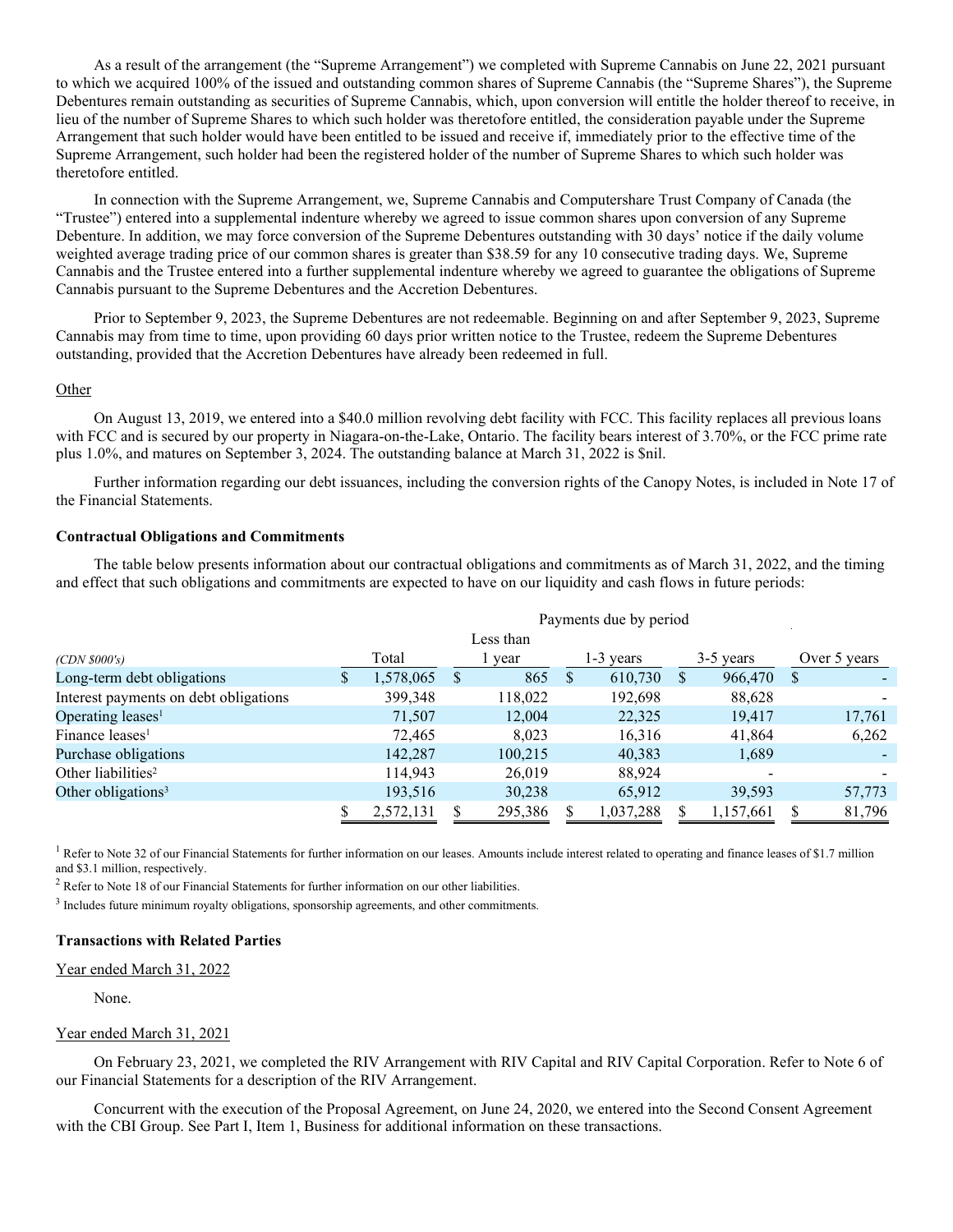As a result of the arrangement (the "Supreme Arrangement") we completed with Supreme Cannabis on June 22, 2021 pursuant to which we acquired 100% of the issued and outstanding common shares of Supreme Cannabis (the "Supreme Shares"), the Supreme Debentures remain outstanding as securities of Supreme Cannabis, which, upon conversion will entitle the holder thereof to receive, in lieu of the number of Supreme Shares to which such holder was theretofore entitled, the consideration payable under the Supreme Arrangement that such holder would have been entitled to be issued and receive if, immediately prior to the effective time of the Supreme Arrangement, such holder had been the registered holder of the number of Supreme Shares to which such holder was theretofore entitled.

In connection with the Supreme Arrangement, we, Supreme Cannabis and Computershare Trust Company of Canada (the "Trustee") entered into a supplemental indenture whereby we agreed to issue common shares upon conversion of any Supreme Debenture. In addition, we may force conversion of the Supreme Debentures outstanding with 30 days' notice if the daily volume weighted average trading price of our common shares is greater than \$38.59 for any 10 consecutive trading days. We, Supreme Cannabis and the Trustee entered into a further supplemental indenture whereby we agreed to guarantee the obligations of Supreme Cannabis pursuant to the Supreme Debentures and the Accretion Debentures.

Prior to September 9, 2023, the Supreme Debentures are not redeemable. Beginning on and after September 9, 2023, Supreme Cannabis may from time to time, upon providing 60 days prior written notice to the Trustee, redeem the Supreme Debentures outstanding, provided that the Accretion Debentures have already been redeemed in full.

#### Other

On August 13, 2019, we entered into a \$40.0 million revolving debt facility with FCC. This facility replaces all previous loans with FCC and is secured by our property in Niagara-on-the-Lake, Ontario. The facility bears interest of 3.70%, or the FCC prime rate plus 1.0%, and matures on September 3, 2024. The outstanding balance at March 31, 2022 is \$nil.

Further information regarding our debt issuances, including the conversion rights of the Canopy Notes, is included in Note 17 of the Financial Statements.

#### **Contractual Obligations and Commitments**

The table below presents information about our contractual obligations and commitments as of March 31, 2022, and the timing and effect that such obligations and commitments are expected to have on our liquidity and cash flows in future periods:

|                                       | Payments due by period |           |    |         |              |           |   |             |              |        |  |  |  |
|---------------------------------------|------------------------|-----------|----|---------|--------------|-----------|---|-------------|--------------|--------|--|--|--|
|                                       |                        |           |    |         |              |           |   |             |              |        |  |  |  |
| $(CDN\,$ \$000's)                     |                        | Total     |    | l year  |              | -3 years  |   | $3-5$ years | Over 5 years |        |  |  |  |
| Long-term debt obligations            | S.                     | 1,578,065 | -S | 865     | <sup>S</sup> | 610,730   | S | 966,470     | S            |        |  |  |  |
| Interest payments on debt obligations |                        | 399,348   |    | 118,022 |              | 192,698   |   | 88,628      |              |        |  |  |  |
| Operating leases <sup>1</sup>         |                        | 71,507    |    | 12,004  |              | 22,325    |   | 19,417      |              | 17,761 |  |  |  |
| Finance leases <sup>1</sup>           |                        | 72,465    |    | 8,023   |              | 16,316    |   | 41,864      |              | 6,262  |  |  |  |
| Purchase obligations                  |                        | 142,287   |    | 100,215 |              | 40,383    |   | 1,689       |              |        |  |  |  |
| Other liabilities <sup>2</sup>        |                        | 114.943   |    | 26,019  |              | 88,924    |   |             |              |        |  |  |  |
| Other obligations <sup>3</sup>        |                        | 193,516   |    | 30,238  |              | 65,912    |   | 39,593      |              | 57,773 |  |  |  |
|                                       |                        | 2,572,131 |    | 295,386 |              | 1,037,288 |   | 1,157,661   |              | 81,796 |  |  |  |

<sup>1</sup> Refer to Note 32 of our Financial Statements for further information on our leases. Amounts include interest related to operating and finance leases of \$1.7 million and \$3.1 million, respectively.

<sup>2</sup> Refer to Note 18 of our Financial Statements for further information on our other liabilities.

<sup>3</sup> Includes future minimum royalty obligations, sponsorship agreements, and other commitments.

# **Transactions with Related Parties**

#### Year ended March 31, 2022

None.

#### Year ended March 31, 2021

On February 23, 2021, we completed the RIV Arrangement with RIV Capital and RIV Capital Corporation. Refer to Note 6 of our Financial Statements for a description of the RIV Arrangement.

Concurrent with the execution of the Proposal Agreement, on June 24, 2020, we entered into the Second Consent Agreement with the CBI Group. See Part I, Item 1, Business for additional information on these transactions.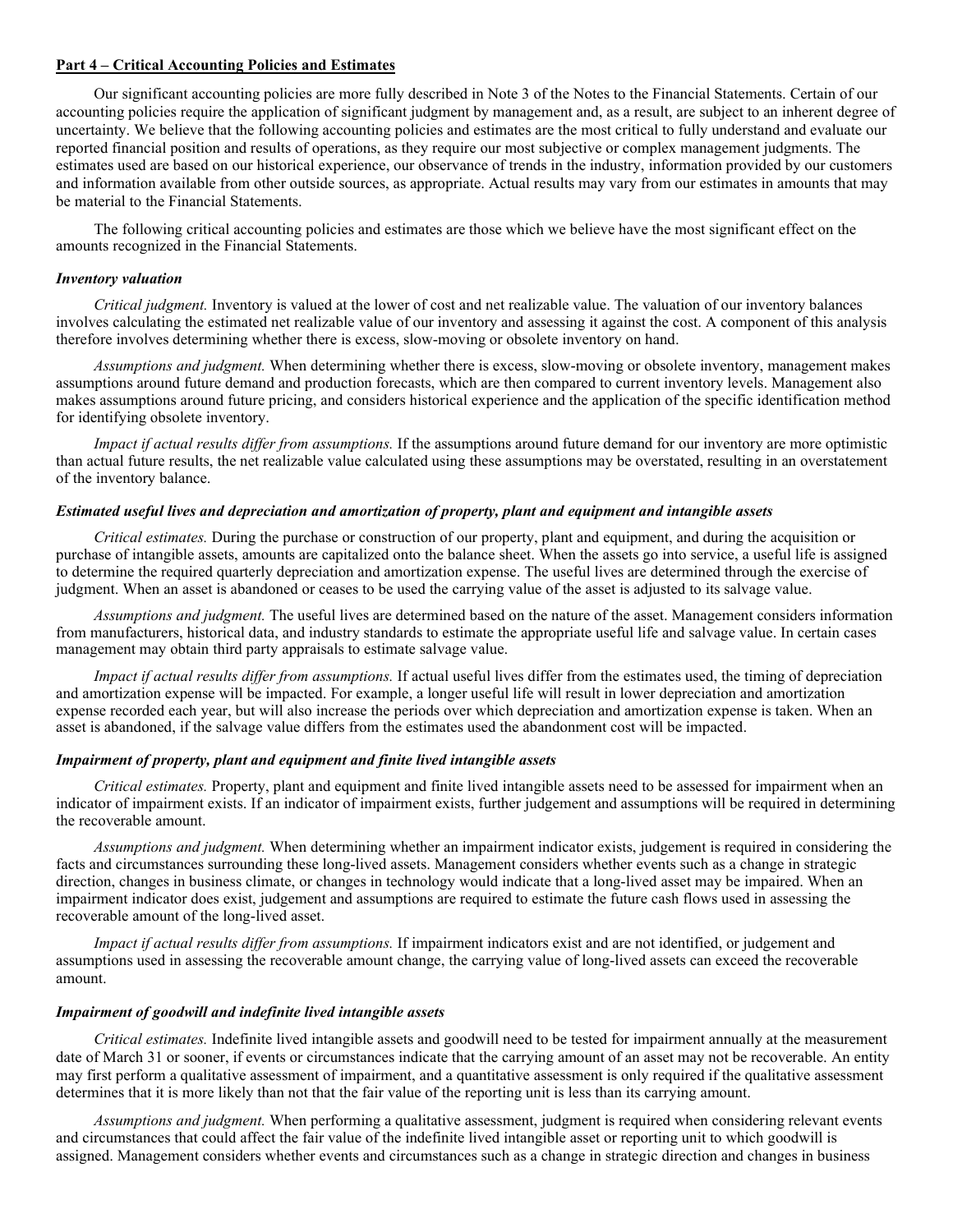# **Part 4 – Critical Accounting Policies and Estimates**

Our significant accounting policies are more fully described in Note 3 of the Notes to the Financial Statements. Certain of our accounting policies require the application of significant judgment by management and, as a result, are subject to an inherent degree of uncertainty. We believe that the following accounting policies and estimates are the most critical to fully understand and evaluate our reported financial position and results of operations, as they require our most subjective or complex management judgments. The estimates used are based on our historical experience, our observance of trends in the industry, information provided by our customers and information available from other outside sources, as appropriate. Actual results may vary from our estimates in amounts that may be material to the Financial Statements.

The following critical accounting policies and estimates are those which we believe have the most significant effect on the amounts recognized in the Financial Statements.

#### *Inventory valuation*

*Critical judgment.* Inventory is valued at the lower of cost and net realizable value. The valuation of our inventory balances involves calculating the estimated net realizable value of our inventory and assessing it against the cost. A component of this analysis therefore involves determining whether there is excess, slow-moving or obsolete inventory on hand.

*Assumptions and judgment.* When determining whether there is excess, slow-moving or obsolete inventory, management makes assumptions around future demand and production forecasts, which are then compared to current inventory levels. Management also makes assumptions around future pricing, and considers historical experience and the application of the specific identification method for identifying obsolete inventory.

*Impact if actual results differ from assumptions.* If the assumptions around future demand for our inventory are more optimistic than actual future results, the net realizable value calculated using these assumptions may be overstated, resulting in an overstatement of the inventory balance.

#### *Estimated useful lives and depreciation and amortization of property, plant and equipment and intangible assets*

*Critical estimates.* During the purchase or construction of our property, plant and equipment, and during the acquisition or purchase of intangible assets, amounts are capitalized onto the balance sheet. When the assets go into service, a useful life is assigned to determine the required quarterly depreciation and amortization expense. The useful lives are determined through the exercise of judgment. When an asset is abandoned or ceases to be used the carrying value of the asset is adjusted to its salvage value.

*Assumptions and judgment.* The useful lives are determined based on the nature of the asset. Management considers information from manufacturers, historical data, and industry standards to estimate the appropriate useful life and salvage value. In certain cases management may obtain third party appraisals to estimate salvage value.

*Impact if actual results differ from assumptions.* If actual useful lives differ from the estimates used, the timing of depreciation and amortization expense will be impacted. For example, a longer useful life will result in lower depreciation and amortization expense recorded each year, but will also increase the periods over which depreciation and amortization expense is taken. When an asset is abandoned, if the salvage value differs from the estimates used the abandonment cost will be impacted.

# *Impairment of property, plant and equipment and finite lived intangible assets*

*Critical estimates.* Property, plant and equipment and finite lived intangible assets need to be assessed for impairment when an indicator of impairment exists. If an indicator of impairment exists, further judgement and assumptions will be required in determining the recoverable amount.

*Assumptions and judgment.* When determining whether an impairment indicator exists, judgement is required in considering the facts and circumstances surrounding these long-lived assets. Management considers whether events such as a change in strategic direction, changes in business climate, or changes in technology would indicate that a long-lived asset may be impaired. When an impairment indicator does exist, judgement and assumptions are required to estimate the future cash flows used in assessing the recoverable amount of the long-lived asset.

*Impact if actual results differ from assumptions.* If impairment indicators exist and are not identified, or judgement and assumptions used in assessing the recoverable amount change, the carrying value of long-lived assets can exceed the recoverable amount.

#### *Impairment of goodwill and indefinite lived intangible assets*

*Critical estimates.* Indefinite lived intangible assets and goodwill need to be tested for impairment annually at the measurement date of March 31 or sooner, if events or circumstances indicate that the carrying amount of an asset may not be recoverable. An entity may first perform a qualitative assessment of impairment, and a quantitative assessment is only required if the qualitative assessment determines that it is more likely than not that the fair value of the reporting unit is less than its carrying amount.

*Assumptions and judgment.* When performing a qualitative assessment, judgment is required when considering relevant events and circumstances that could affect the fair value of the indefinite lived intangible asset or reporting unit to which goodwill is assigned. Management considers whether events and circumstances such as a change in strategic direction and changes in business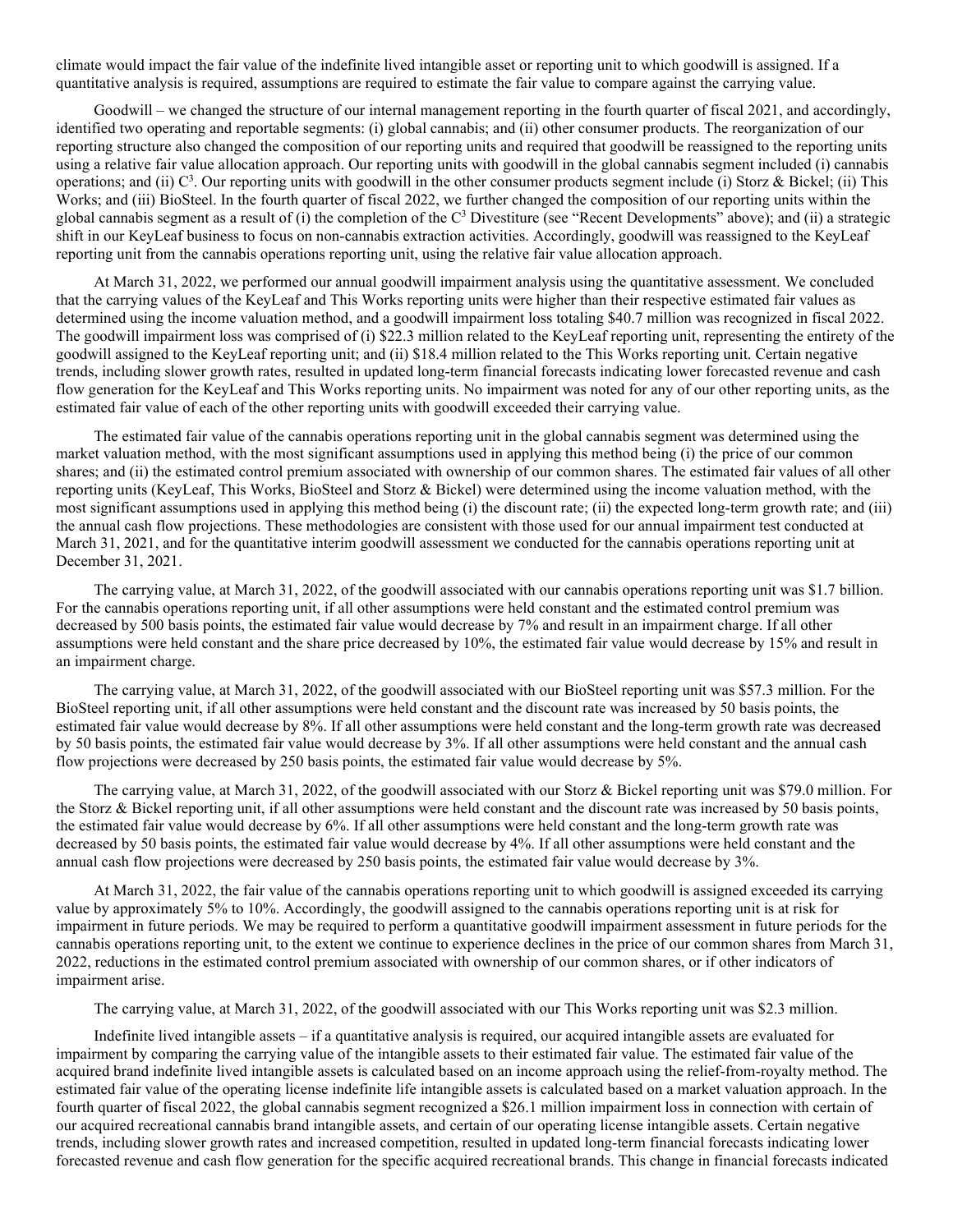climate would impact the fair value of the indefinite lived intangible asset or reporting unit to which goodwill is assigned. If a quantitative analysis is required, assumptions are required to estimate the fair value to compare against the carrying value.

Goodwill – we changed the structure of our internal management reporting in the fourth quarter of fiscal 2021, and accordingly, identified two operating and reportable segments: (i) global cannabis; and (ii) other consumer products. The reorganization of our reporting structure also changed the composition of our reporting units and required that goodwill be reassigned to the reporting units using a relative fair value allocation approach. Our reporting units with goodwill in the global cannabis segment included (i) cannabis operations; and (ii)  $C^3$ . Our reporting units with goodwill in the other consumer products segment include (i) Storz & Bickel; (ii) This Works; and (iii) BioSteel. In the fourth quarter of fiscal 2022, we further changed the composition of our reporting units within the global cannabis segment as a result of (i) the completion of the  $C<sup>3</sup>$  Divestiture (see "Recent Developments" above); and (ii) a strategic shift in our KeyLeaf business to focus on non-cannabis extraction activities. Accordingly, goodwill was reassigned to the KeyLeaf reporting unit from the cannabis operations reporting unit, using the relative fair value allocation approach.

At March 31, 2022, we performed our annual goodwill impairment analysis using the quantitative assessment. We concluded that the carrying values of the KeyLeaf and This Works reporting units were higher than their respective estimated fair values as determined using the income valuation method, and a goodwill impairment loss totaling \$40.7 million was recognized in fiscal 2022. The goodwill impairment loss was comprised of (i) \$22.3 million related to the KeyLeaf reporting unit, representing the entirety of the goodwill assigned to the KeyLeaf reporting unit; and (ii) \$18.4 million related to the This Works reporting unit. Certain negative trends, including slower growth rates, resulted in updated long-term financial forecasts indicating lower forecasted revenue and cash flow generation for the KeyLeaf and This Works reporting units. No impairment was noted for any of our other reporting units, as the estimated fair value of each of the other reporting units with goodwill exceeded their carrying value.

The estimated fair value of the cannabis operations reporting unit in the global cannabis segment was determined using the market valuation method, with the most significant assumptions used in applying this method being (i) the price of our common shares; and (ii) the estimated control premium associated with ownership of our common shares. The estimated fair values of all other reporting units (KeyLeaf, This Works, BioSteel and Storz & Bickel) were determined using the income valuation method, with the most significant assumptions used in applying this method being (i) the discount rate; (ii) the expected long-term growth rate; and (iii) the annual cash flow projections. These methodologies are consistent with those used for our annual impairment test conducted at March 31, 2021, and for the quantitative interim goodwill assessment we conducted for the cannabis operations reporting unit at December 31, 2021.

The carrying value, at March 31, 2022, of the goodwill associated with our cannabis operations reporting unit was \$1.7 billion. For the cannabis operations reporting unit, if all other assumptions were held constant and the estimated control premium was decreased by 500 basis points, the estimated fair value would decrease by 7% and result in an impairment charge. If all other assumptions were held constant and the share price decreased by 10%, the estimated fair value would decrease by 15% and result in an impairment charge.

The carrying value, at March 31, 2022, of the goodwill associated with our BioSteel reporting unit was \$57.3 million. For the BioSteel reporting unit, if all other assumptions were held constant and the discount rate was increased by 50 basis points, the estimated fair value would decrease by 8%. If all other assumptions were held constant and the long-term growth rate was decreased by 50 basis points, the estimated fair value would decrease by 3%. If all other assumptions were held constant and the annual cash flow projections were decreased by 250 basis points, the estimated fair value would decrease by 5%.

The carrying value, at March 31, 2022, of the goodwill associated with our Storz & Bickel reporting unit was \$79.0 million. For the Storz & Bickel reporting unit, if all other assumptions were held constant and the discount rate was increased by 50 basis points, the estimated fair value would decrease by 6%. If all other assumptions were held constant and the long-term growth rate was decreased by 50 basis points, the estimated fair value would decrease by 4%. If all other assumptions were held constant and the annual cash flow projections were decreased by 250 basis points, the estimated fair value would decrease by 3%.

At March 31, 2022, the fair value of the cannabis operations reporting unit to which goodwill is assigned exceeded its carrying value by approximately 5% to 10%. Accordingly, the goodwill assigned to the cannabis operations reporting unit is at risk for impairment in future periods. We may be required to perform a quantitative goodwill impairment assessment in future periods for the cannabis operations reporting unit, to the extent we continue to experience declines in the price of our common shares from March 31, 2022, reductions in the estimated control premium associated with ownership of our common shares, or if other indicators of impairment arise.

The carrying value, at March 31, 2022, of the goodwill associated with our This Works reporting unit was \$2.3 million.

Indefinite lived intangible assets – if a quantitative analysis is required, our acquired intangible assets are evaluated for impairment by comparing the carrying value of the intangible assets to their estimated fair value. The estimated fair value of the acquired brand indefinite lived intangible assets is calculated based on an income approach using the relief-from-royalty method. The estimated fair value of the operating license indefinite life intangible assets is calculated based on a market valuation approach. In the fourth quarter of fiscal 2022, the global cannabis segment recognized a \$26.1 million impairment loss in connection with certain of our acquired recreational cannabis brand intangible assets, and certain of our operating license intangible assets. Certain negative trends, including slower growth rates and increased competition, resulted in updated long-term financial forecasts indicating lower forecasted revenue and cash flow generation for the specific acquired recreational brands. This change in financial forecasts indicated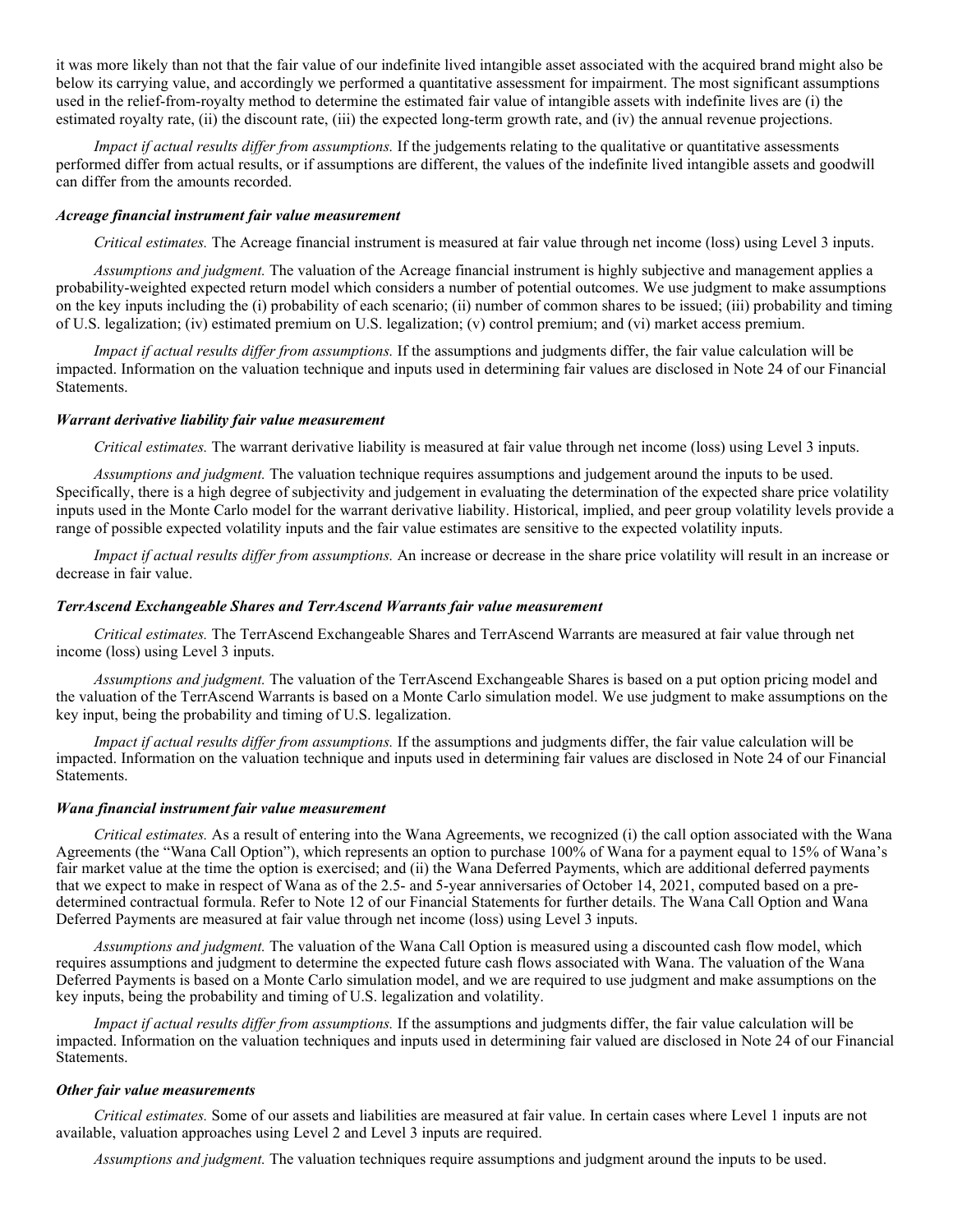it was more likely than not that the fair value of our indefinite lived intangible asset associated with the acquired brand might also be below its carrying value, and accordingly we performed a quantitative assessment for impairment. The most significant assumptions used in the relief-from-royalty method to determine the estimated fair value of intangible assets with indefinite lives are (i) the estimated royalty rate, (ii) the discount rate, (iii) the expected long-term growth rate, and (iv) the annual revenue projections.

*Impact if actual results differ from assumptions.* If the judgements relating to the qualitative or quantitative assessments performed differ from actual results, or if assumptions are different, the values of the indefinite lived intangible assets and goodwill can differ from the amounts recorded.

#### *Acreage financial instrument fair value measurement*

*Critical estimates.* The Acreage financial instrument is measured at fair value through net income (loss) using Level 3 inputs.

*Assumptions and judgment.* The valuation of the Acreage financial instrument is highly subjective and management applies a probability-weighted expected return model which considers a number of potential outcomes. We use judgment to make assumptions on the key inputs including the (i) probability of each scenario; (ii) number of common shares to be issued; (iii) probability and timing of U.S. legalization; (iv) estimated premium on U.S. legalization; (v) control premium; and (vi) market access premium.

*Impact if actual results differ from assumptions.* If the assumptions and judgments differ, the fair value calculation will be impacted. Information on the valuation technique and inputs used in determining fair values are disclosed in Note 24 of our Financial Statements.

#### *Warrant derivative liability fair value measurement*

*Critical estimates.* The warrant derivative liability is measured at fair value through net income (loss) using Level 3 inputs.

*Assumptions and judgment.* The valuation technique requires assumptions and judgement around the inputs to be used. Specifically, there is a high degree of subjectivity and judgement in evaluating the determination of the expected share price volatility inputs used in the Monte Carlo model for the warrant derivative liability. Historical, implied, and peer group volatility levels provide a range of possible expected volatility inputs and the fair value estimates are sensitive to the expected volatility inputs.

*Impact if actual results differ from assumptions.* An increase or decrease in the share price volatility will result in an increase or decrease in fair value.

#### *TerrAscend Exchangeable Shares and TerrAscend Warrants fair value measurement*

*Critical estimates.* The TerrAscend Exchangeable Shares and TerrAscend Warrants are measured at fair value through net income (loss) using Level 3 inputs.

*Assumptions and judgment.* The valuation of the TerrAscend Exchangeable Shares is based on a put option pricing model and the valuation of the TerrAscend Warrants is based on a Monte Carlo simulation model. We use judgment to make assumptions on the key input, being the probability and timing of U.S. legalization.

*Impact if actual results differ from assumptions.* If the assumptions and judgments differ, the fair value calculation will be impacted. Information on the valuation technique and inputs used in determining fair values are disclosed in Note 24 of our Financial Statements.

#### *Wana financial instrument fair value measurement*

*Critical estimates.* As a result of entering into the Wana Agreements, we recognized (i) the call option associated with the Wana Agreements (the "Wana Call Option"), which represents an option to purchase 100% of Wana for a payment equal to 15% of Wana's fair market value at the time the option is exercised; and (ii) the Wana Deferred Payments, which are additional deferred payments that we expect to make in respect of Wana as of the 2.5- and 5-year anniversaries of October 14, 2021, computed based on a predetermined contractual formula. Refer to Note 12 of our Financial Statements for further details. The Wana Call Option and Wana Deferred Payments are measured at fair value through net income (loss) using Level 3 inputs.

*Assumptions and judgment.* The valuation of the Wana Call Option is measured using a discounted cash flow model, which requires assumptions and judgment to determine the expected future cash flows associated with Wana. The valuation of the Wana Deferred Payments is based on a Monte Carlo simulation model, and we are required to use judgment and make assumptions on the key inputs, being the probability and timing of U.S. legalization and volatility.

*Impact if actual results differ from assumptions.* If the assumptions and judgments differ, the fair value calculation will be impacted. Information on the valuation techniques and inputs used in determining fair valued are disclosed in Note 24 of our Financial Statements.

# *Other fair value measurements*

*Critical estimates.* Some of our assets and liabilities are measured at fair value. In certain cases where Level 1 inputs are not available, valuation approaches using Level 2 and Level 3 inputs are required.

*Assumptions and judgment.* The valuation techniques require assumptions and judgment around the inputs to be used.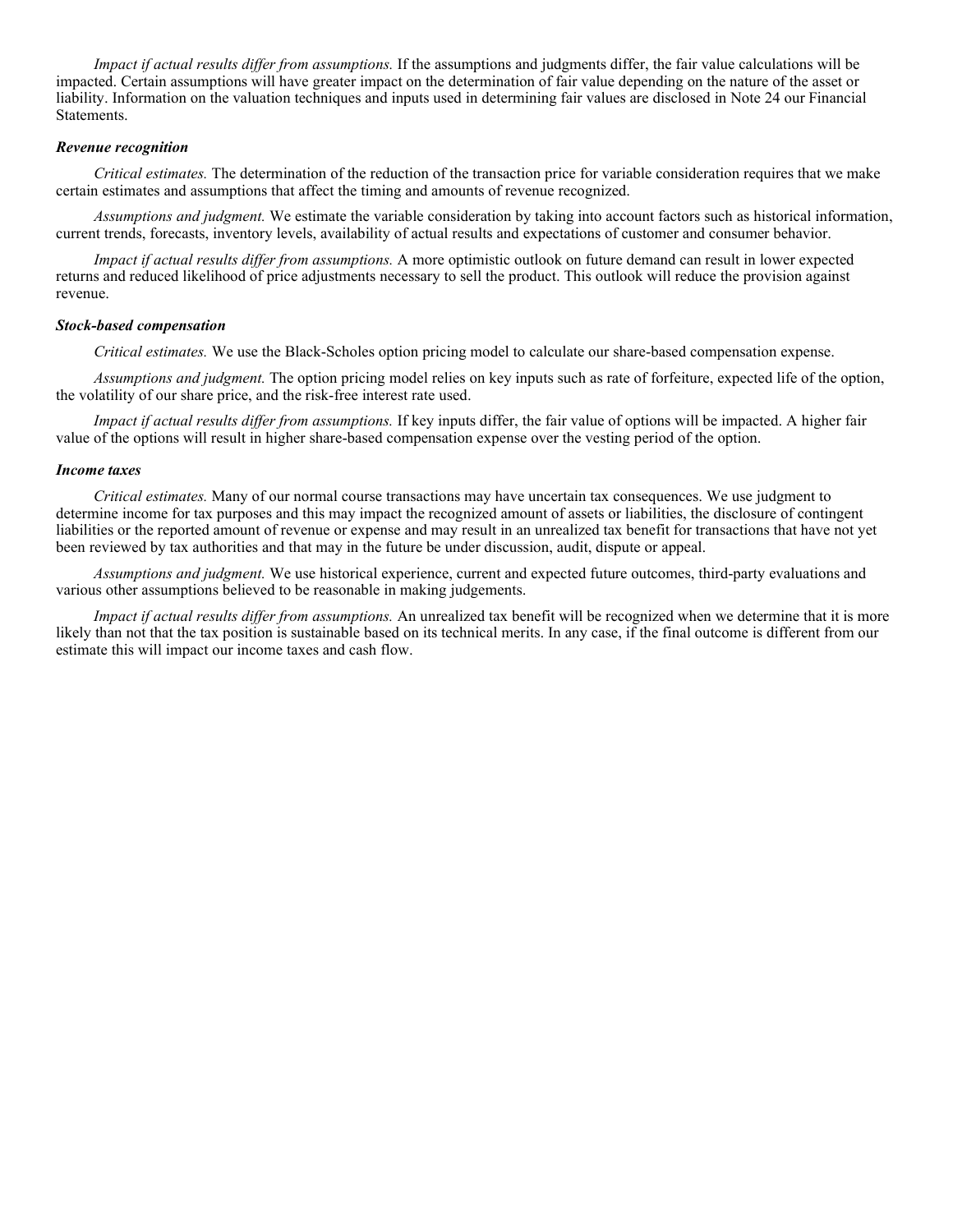*Impact if actual results differ from assumptions.* If the assumptions and judgments differ, the fair value calculations will be impacted. Certain assumptions will have greater impact on the determination of fair value depending on the nature of the asset or liability. Information on the valuation techniques and inputs used in determining fair values are disclosed in Note 24 our Financial Statements.

#### *Revenue recognition*

*Critical estimates.* The determination of the reduction of the transaction price for variable consideration requires that we make certain estimates and assumptions that affect the timing and amounts of revenue recognized.

*Assumptions and judgment.* We estimate the variable consideration by taking into account factors such as historical information, current trends, forecasts, inventory levels, availability of actual results and expectations of customer and consumer behavior.

*Impact if actual results differ from assumptions.* A more optimistic outlook on future demand can result in lower expected returns and reduced likelihood of price adjustments necessary to sell the product. This outlook will reduce the provision against revenue.

#### *Stock-based compensation*

*Critical estimates.* We use the Black-Scholes option pricing model to calculate our share-based compensation expense.

*Assumptions and judgment.* The option pricing model relies on key inputs such as rate of forfeiture, expected life of the option, the volatility of our share price, and the risk-free interest rate used.

*Impact if actual results differ from assumptions.* If key inputs differ, the fair value of options will be impacted. A higher fair value of the options will result in higher share-based compensation expense over the vesting period of the option.

#### *Income taxes*

*Critical estimates.* Many of our normal course transactions may have uncertain tax consequences. We use judgment to determine income for tax purposes and this may impact the recognized amount of assets or liabilities, the disclosure of contingent liabilities or the reported amount of revenue or expense and may result in an unrealized tax benefit for transactions that have not yet been reviewed by tax authorities and that may in the future be under discussion, audit, dispute or appeal.

*Assumptions and judgment.* We use historical experience, current and expected future outcomes, third-party evaluations and various other assumptions believed to be reasonable in making judgements.

*Impact if actual results differ from assumptions.* An unrealized tax benefit will be recognized when we determine that it is more likely than not that the tax position is sustainable based on its technical merits. In any case, if the final outcome is different from our estimate this will impact our income taxes and cash flow.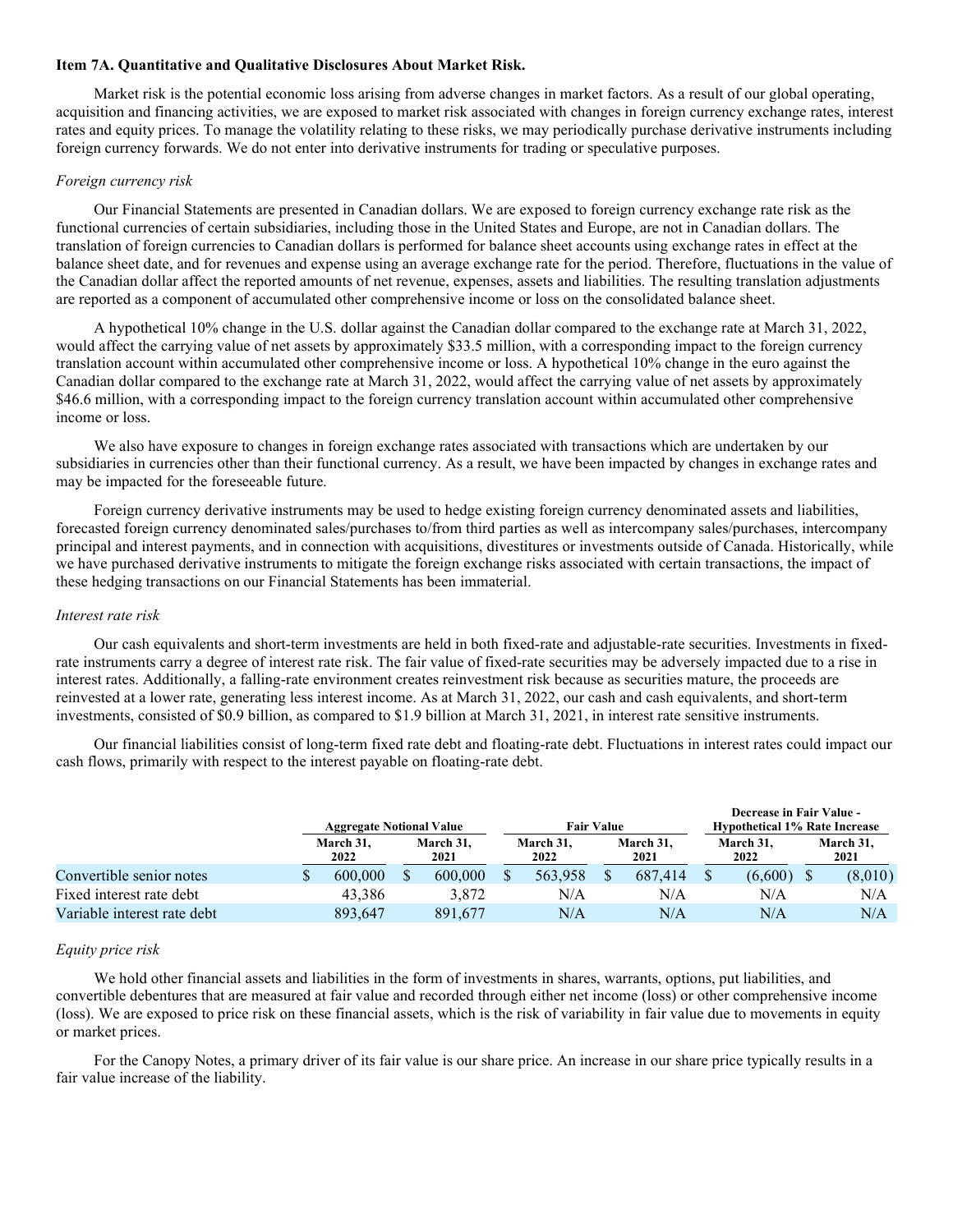#### **Item 7A. Quantitative and Qualitative Disclosures About Market Risk.**

Market risk is the potential economic loss arising from adverse changes in market factors. As a result of our global operating, acquisition and financing activities, we are exposed to market risk associated with changes in foreign currency exchange rates, interest rates and equity prices. To manage the volatility relating to these risks, we may periodically purchase derivative instruments including foreign currency forwards. We do not enter into derivative instruments for trading or speculative purposes.

# *Foreign currency risk*

Our Financial Statements are presented in Canadian dollars. We are exposed to foreign currency exchange rate risk as the functional currencies of certain subsidiaries, including those in the United States and Europe, are not in Canadian dollars. The translation of foreign currencies to Canadian dollars is performed for balance sheet accounts using exchange rates in effect at the balance sheet date, and for revenues and expense using an average exchange rate for the period. Therefore, fluctuations in the value of the Canadian dollar affect the reported amounts of net revenue, expenses, assets and liabilities. The resulting translation adjustments are reported as a component of accumulated other comprehensive income or loss on the consolidated balance sheet.

A hypothetical 10% change in the U.S. dollar against the Canadian dollar compared to the exchange rate at March 31, 2022, would affect the carrying value of net assets by approximately \$33.5 million, with a corresponding impact to the foreign currency translation account within accumulated other comprehensive income or loss. A hypothetical 10% change in the euro against the Canadian dollar compared to the exchange rate at March 31, 2022, would affect the carrying value of net assets by approximately \$46.6 million, with a corresponding impact to the foreign currency translation account within accumulated other comprehensive income or loss.

We also have exposure to changes in foreign exchange rates associated with transactions which are undertaken by our subsidiaries in currencies other than their functional currency. As a result, we have been impacted by changes in exchange rates and may be impacted for the foreseeable future.

Foreign currency derivative instruments may be used to hedge existing foreign currency denominated assets and liabilities, forecasted foreign currency denominated sales/purchases to/from third parties as well as intercompany sales/purchases, intercompany principal and interest payments, and in connection with acquisitions, divestitures or investments outside of Canada. Historically, while we have purchased derivative instruments to mitigate the foreign exchange risks associated with certain transactions, the impact of these hedging transactions on our Financial Statements has been immaterial.

#### *Interest rate risk*

Our cash equivalents and short-term investments are held in both fixed-rate and adjustable-rate securities. Investments in fixedrate instruments carry a degree of interest rate risk. The fair value of fixed-rate securities may be adversely impacted due to a rise in interest rates. Additionally, a falling-rate environment creates reinvestment risk because as securities mature, the proceeds are reinvested at a lower rate, generating less interest income. As at March 31, 2022, our cash and cash equivalents, and short-term investments, consisted of \$0.9 billion, as compared to \$1.9 billion at March 31, 2021, in interest rate sensitive instruments.

Our financial liabilities consist of long-term fixed rate debt and floating-rate debt. Fluctuations in interest rates could impact our cash flows, primarily with respect to the interest payable on floating-rate debt.

|                             | <b>Aggregate Notional Value</b> |  |                   | <b>Fair Value</b> |                   |  | Decrease in Fair Value -<br><b>Hypothetical 1% Rate Increase</b> |                   |         |                   |         |
|-----------------------------|---------------------------------|--|-------------------|-------------------|-------------------|--|------------------------------------------------------------------|-------------------|---------|-------------------|---------|
|                             | March 31.<br>2022               |  | March 31.<br>2021 |                   | March 31.<br>2022 |  | March 31,<br>2021                                                | March 31.<br>2022 |         | March 31,<br>2021 |         |
| Convertible senior notes    | 600,000                         |  | 600,000           |                   | 563,958           |  | 687,414                                                          |                   | (6,600) |                   | (8,010) |
| Fixed interest rate debt    | 43.386                          |  | 3.872             |                   | N/A               |  | N/A                                                              |                   | N/A     |                   | N/A     |
| Variable interest rate debt | 893.647                         |  | 891,677           |                   | N/A               |  | N/A                                                              |                   | N/A     |                   | N/A     |

#### *Equity price risk*

We hold other financial assets and liabilities in the form of investments in shares, warrants, options, put liabilities, and convertible debentures that are measured at fair value and recorded through either net income (loss) or other comprehensive income (loss). We are exposed to price risk on these financial assets, which is the risk of variability in fair value due to movements in equity or market prices.

For the Canopy Notes, a primary driver of its fair value is our share price. An increase in our share price typically results in a fair value increase of the liability.